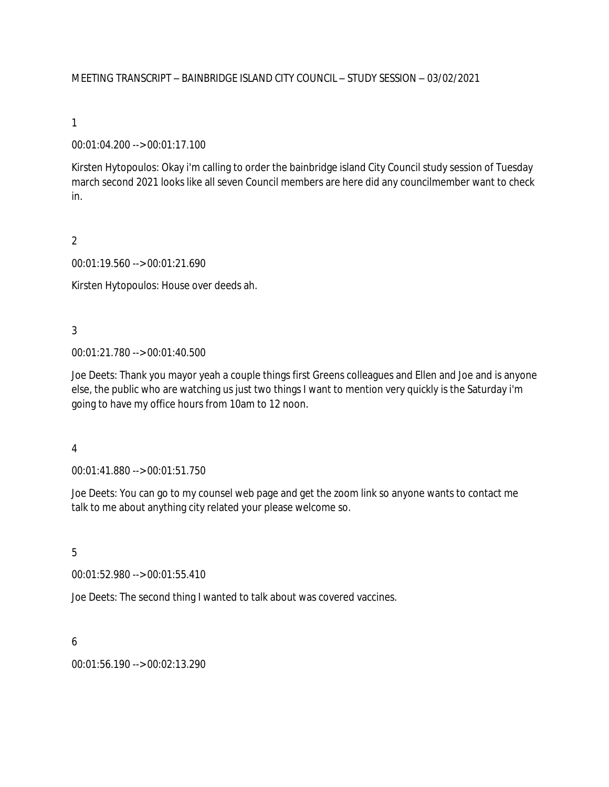#### MEETING TRANSCRIPT – BAINBRIDGE ISLAND CITY COUNCIL – STUDY SESSION – 03/02/2021

#### 1

#### 00:01:04.200 --> 00:01:17.100

Kirsten Hytopoulos: Okay i'm calling to order the bainbridge island City Council study session of Tuesday march second 2021 looks like all seven Council members are here did any councilmember want to check in.

### 2

00:01:19.560 --> 00:01:21.690

Kirsten Hytopoulos: House over deeds ah.

## 3

00:01:21.780 --> 00:01:40.500

Joe Deets: Thank you mayor yeah a couple things first Greens colleagues and Ellen and Joe and is anyone else, the public who are watching us just two things I want to mention very quickly is the Saturday i'm going to have my office hours from 10am to 12 noon.

#### 4

00:01:41.880 --> 00:01:51.750

Joe Deets: You can go to my counsel web page and get the zoom link so anyone wants to contact me talk to me about anything city related your please welcome so.

# 5

00:01:52.980 --> 00:01:55.410

Joe Deets: The second thing I wanted to talk about was covered vaccines.

#### 6

00:01:56.190 --> 00:02:13.290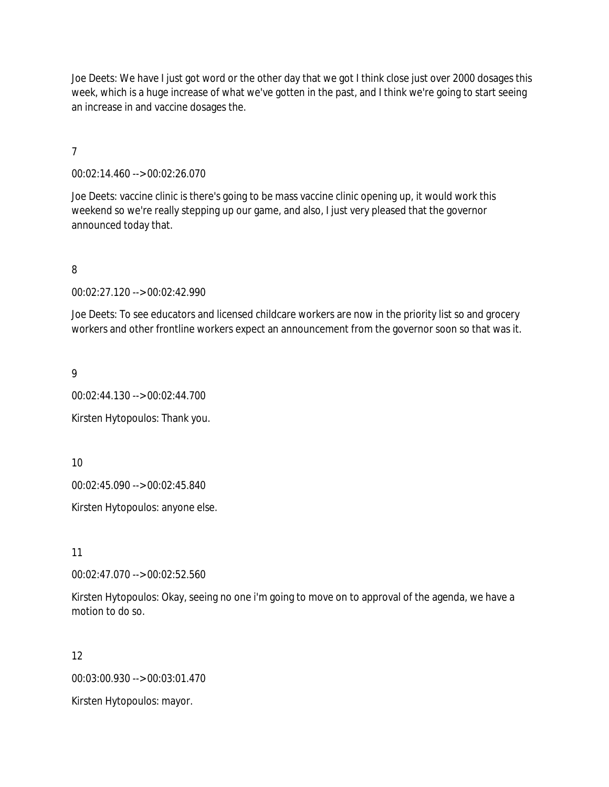Joe Deets: We have I just got word or the other day that we got I think close just over 2000 dosages this week, which is a huge increase of what we've gotten in the past, and I think we're going to start seeing an increase in and vaccine dosages the.

7

00:02:14.460 --> 00:02:26.070

Joe Deets: vaccine clinic is there's going to be mass vaccine clinic opening up, it would work this weekend so we're really stepping up our game, and also, I just very pleased that the governor announced today that.

8

00:02:27.120 --> 00:02:42.990

Joe Deets: To see educators and licensed childcare workers are now in the priority list so and grocery workers and other frontline workers expect an announcement from the governor soon so that was it.

9

00:02:44.130 --> 00:02:44.700 Kirsten Hytopoulos: Thank you.

10

00:02:45.090 --> 00:02:45.840

Kirsten Hytopoulos: anyone else.

11

00:02:47.070 --> 00:02:52.560

Kirsten Hytopoulos: Okay, seeing no one i'm going to move on to approval of the agenda, we have a motion to do so.

12

00:03:00.930 --> 00:03:01.470

Kirsten Hytopoulos: mayor.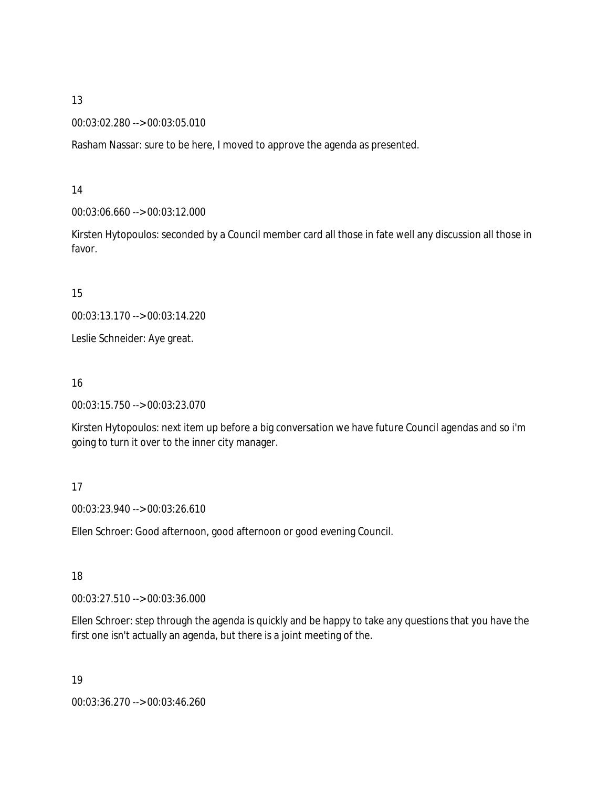00:03:02.280 --> 00:03:05.010

Rasham Nassar: sure to be here, I moved to approve the agenda as presented.

14

00:03:06.660 --> 00:03:12.000

Kirsten Hytopoulos: seconded by a Council member card all those in fate well any discussion all those in favor.

15

00:03:13.170 --> 00:03:14.220

Leslie Schneider: Aye great.

16

00:03:15.750 --> 00:03:23.070

Kirsten Hytopoulos: next item up before a big conversation we have future Council agendas and so i'm going to turn it over to the inner city manager.

#### 17

00:03:23.940 --> 00:03:26.610

Ellen Schroer: Good afternoon, good afternoon or good evening Council.

18

00:03:27.510 --> 00:03:36.000

Ellen Schroer: step through the agenda is quickly and be happy to take any questions that you have the first one isn't actually an agenda, but there is a joint meeting of the.

19

00:03:36.270 --> 00:03:46.260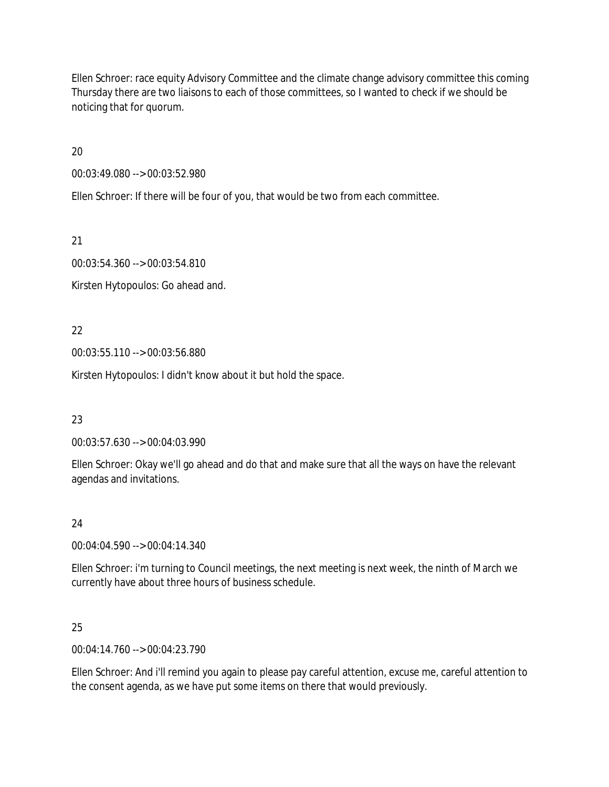Ellen Schroer: race equity Advisory Committee and the climate change advisory committee this coming Thursday there are two liaisons to each of those committees, so I wanted to check if we should be noticing that for quorum.

20

00:03:49.080 --> 00:03:52.980

Ellen Schroer: If there will be four of you, that would be two from each committee.

21

00:03:54.360 --> 00:03:54.810

Kirsten Hytopoulos: Go ahead and.

22

00:03:55.110 --> 00:03:56.880

Kirsten Hytopoulos: I didn't know about it but hold the space.

23

00:03:57.630 --> 00:04:03.990

Ellen Schroer: Okay we'll go ahead and do that and make sure that all the ways on have the relevant agendas and invitations.

# 24

00:04:04.590 --> 00:04:14.340

Ellen Schroer: i'm turning to Council meetings, the next meeting is next week, the ninth of March we currently have about three hours of business schedule.

25

00:04:14.760 --> 00:04:23.790

Ellen Schroer: And i'll remind you again to please pay careful attention, excuse me, careful attention to the consent agenda, as we have put some items on there that would previously.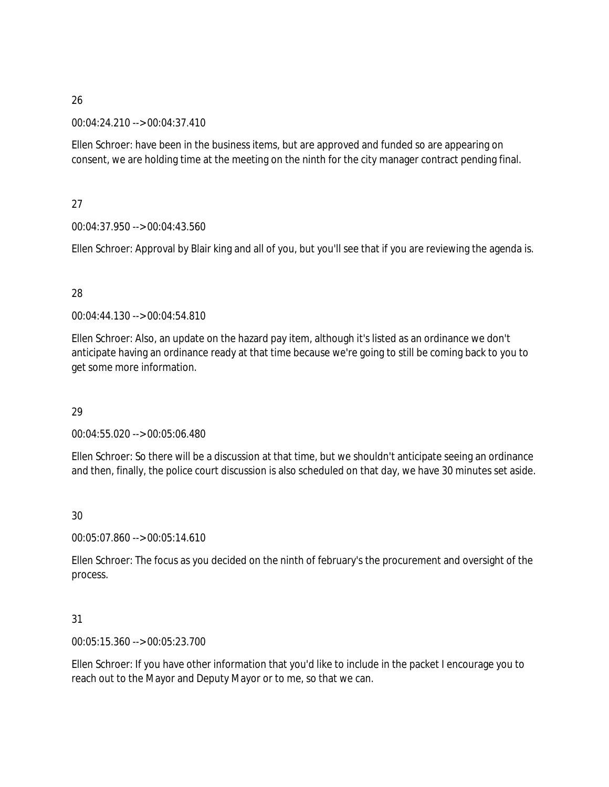### 00:04:24.210 --> 00:04:37.410

Ellen Schroer: have been in the business items, but are approved and funded so are appearing on consent, we are holding time at the meeting on the ninth for the city manager contract pending final.

## 27

## 00:04:37.950 --> 00:04:43.560

Ellen Schroer: Approval by Blair king and all of you, but you'll see that if you are reviewing the agenda is.

## 28

00:04:44.130 --> 00:04:54.810

Ellen Schroer: Also, an update on the hazard pay item, although it's listed as an ordinance we don't anticipate having an ordinance ready at that time because we're going to still be coming back to you to get some more information.

## 29

00:04:55.020 --> 00:05:06.480

Ellen Schroer: So there will be a discussion at that time, but we shouldn't anticipate seeing an ordinance and then, finally, the police court discussion is also scheduled on that day, we have 30 minutes set aside.

# 30

00:05:07.860 --> 00:05:14.610

Ellen Schroer: The focus as you decided on the ninth of february's the procurement and oversight of the process.

# 31

00:05:15.360 --> 00:05:23.700

Ellen Schroer: If you have other information that you'd like to include in the packet I encourage you to reach out to the Mayor and Deputy Mayor or to me, so that we can.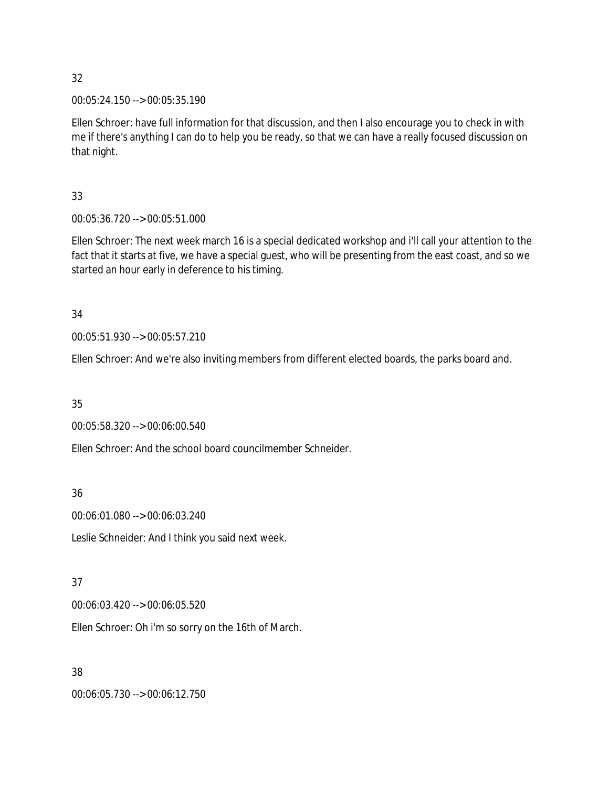00:05:24.150 --> 00:05:35.190

Ellen Schroer: have full information for that discussion, and then I also encourage you to check in with me if there's anything I can do to help you be ready, so that we can have a really focused discussion on that night.

## 33

00:05:36.720 --> 00:05:51.000

Ellen Schroer: The next week march 16 is a special dedicated workshop and i'll call your attention to the fact that it starts at five, we have a special guest, who will be presenting from the east coast, and so we started an hour early in deference to his timing.

## 34

00:05:51.930 --> 00:05:57.210

Ellen Schroer: And we're also inviting members from different elected boards, the parks board and.

# 35

00:05:58.320 --> 00:06:00.540

Ellen Schroer: And the school board councilmember Schneider.

36

00:06:01.080 --> 00:06:03.240

Leslie Schneider: And I think you said next week.

# 37

00:06:03.420 --> 00:06:05.520

Ellen Schroer: Oh i'm so sorry on the 16th of March.

## 38

00:06:05.730 --> 00:06:12.750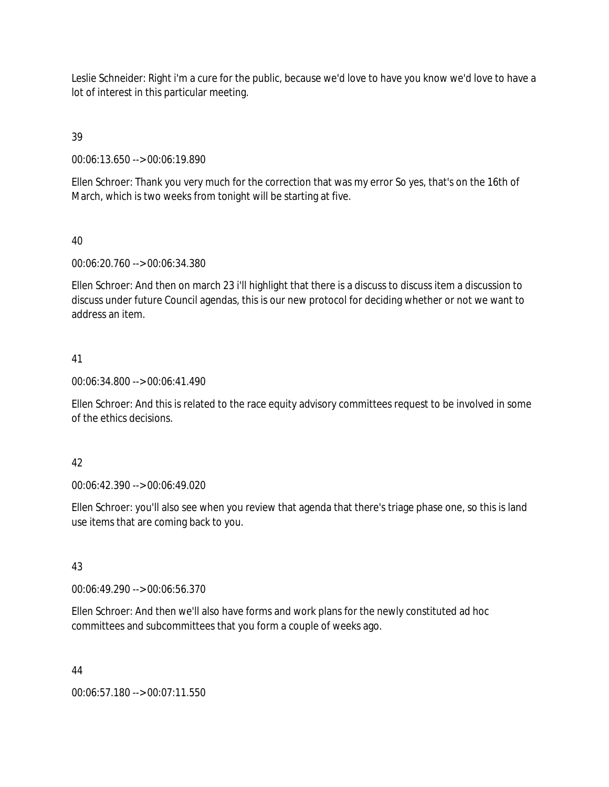Leslie Schneider: Right i'm a cure for the public, because we'd love to have you know we'd love to have a lot of interest in this particular meeting.

39

00:06:13.650 --> 00:06:19.890

Ellen Schroer: Thank you very much for the correction that was my error So yes, that's on the 16th of March, which is two weeks from tonight will be starting at five.

### 40

00:06:20.760 --> 00:06:34.380

Ellen Schroer: And then on march 23 i'll highlight that there is a discuss to discuss item a discussion to discuss under future Council agendas, this is our new protocol for deciding whether or not we want to address an item.

## 41

00:06:34.800 --> 00:06:41.490

Ellen Schroer: And this is related to the race equity advisory committees request to be involved in some of the ethics decisions.

## 42

00:06:42.390 --> 00:06:49.020

Ellen Schroer: you'll also see when you review that agenda that there's triage phase one, so this is land use items that are coming back to you.

## 43

00:06:49.290 --> 00:06:56.370

Ellen Schroer: And then we'll also have forms and work plans for the newly constituted ad hoc committees and subcommittees that you form a couple of weeks ago.

#### 44

00:06:57.180 --> 00:07:11.550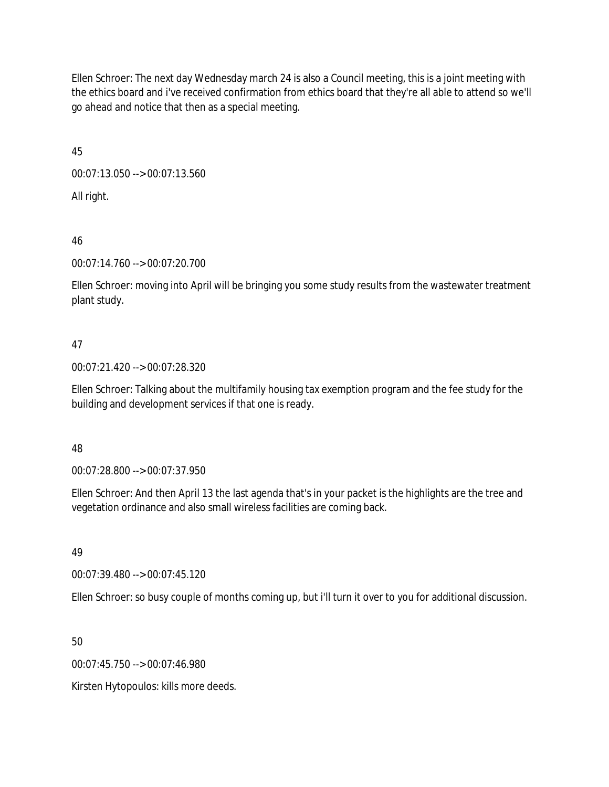Ellen Schroer: The next day Wednesday march 24 is also a Council meeting, this is a joint meeting with the ethics board and i've received confirmation from ethics board that they're all able to attend so we'll go ahead and notice that then as a special meeting.

45

00:07:13.050 --> 00:07:13.560

All right.

46

00:07:14.760 --> 00:07:20.700

Ellen Schroer: moving into April will be bringing you some study results from the wastewater treatment plant study.

# 47

00:07:21.420 --> 00:07:28.320

Ellen Schroer: Talking about the multifamily housing tax exemption program and the fee study for the building and development services if that one is ready.

# 48

00:07:28.800 --> 00:07:37.950

Ellen Schroer: And then April 13 the last agenda that's in your packet is the highlights are the tree and vegetation ordinance and also small wireless facilities are coming back.

49

00:07:39.480 --> 00:07:45.120

Ellen Schroer: so busy couple of months coming up, but i'll turn it over to you for additional discussion.

50

00:07:45.750 --> 00:07:46.980

Kirsten Hytopoulos: kills more deeds.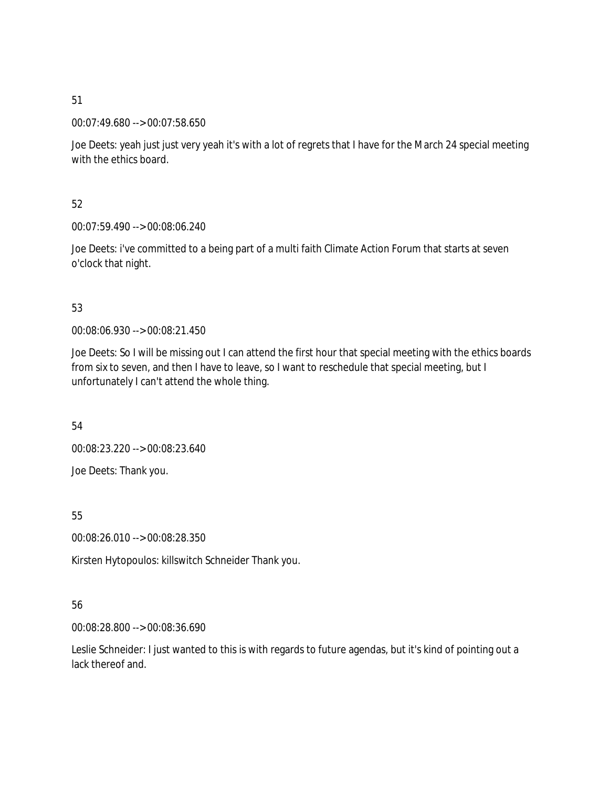00:07:49.680 --> 00:07:58.650

Joe Deets: yeah just just very yeah it's with a lot of regrets that I have for the March 24 special meeting with the ethics board.

52

00:07:59.490 --> 00:08:06.240

Joe Deets: i've committed to a being part of a multi faith Climate Action Forum that starts at seven o'clock that night.

## 53

00:08:06.930 --> 00:08:21.450

Joe Deets: So I will be missing out I can attend the first hour that special meeting with the ethics boards from six to seven, and then I have to leave, so I want to reschedule that special meeting, but I unfortunately I can't attend the whole thing.

54

00:08:23.220 --> 00:08:23.640 Joe Deets: Thank you.

55

00:08:26.010 --> 00:08:28.350

Kirsten Hytopoulos: killswitch Schneider Thank you.

## 56

00:08:28.800 --> 00:08:36.690

Leslie Schneider: I just wanted to this is with regards to future agendas, but it's kind of pointing out a lack thereof and.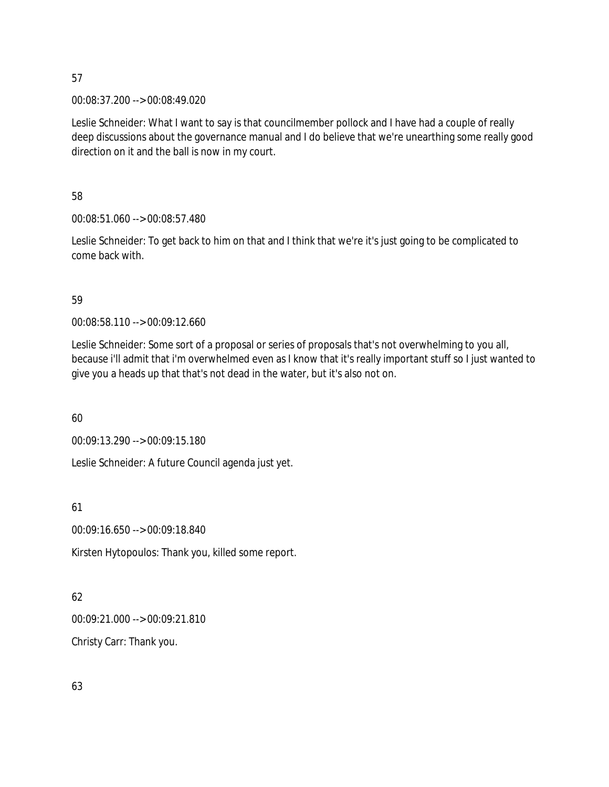00:08:37.200 --> 00:08:49.020

Leslie Schneider: What I want to say is that councilmember pollock and I have had a couple of really deep discussions about the governance manual and I do believe that we're unearthing some really good direction on it and the ball is now in my court.

58

00:08:51.060 --> 00:08:57.480

Leslie Schneider: To get back to him on that and I think that we're it's just going to be complicated to come back with.

59

00:08:58.110 --> 00:09:12.660

Leslie Schneider: Some sort of a proposal or series of proposals that's not overwhelming to you all, because i'll admit that i'm overwhelmed even as I know that it's really important stuff so I just wanted to give you a heads up that that's not dead in the water, but it's also not on.

60

00:09:13.290 --> 00:09:15.180

Leslie Schneider: A future Council agenda just yet.

61

00:09:16.650 --> 00:09:18.840

Kirsten Hytopoulos: Thank you, killed some report.

62

00:09:21.000 --> 00:09:21.810

Christy Carr: Thank you.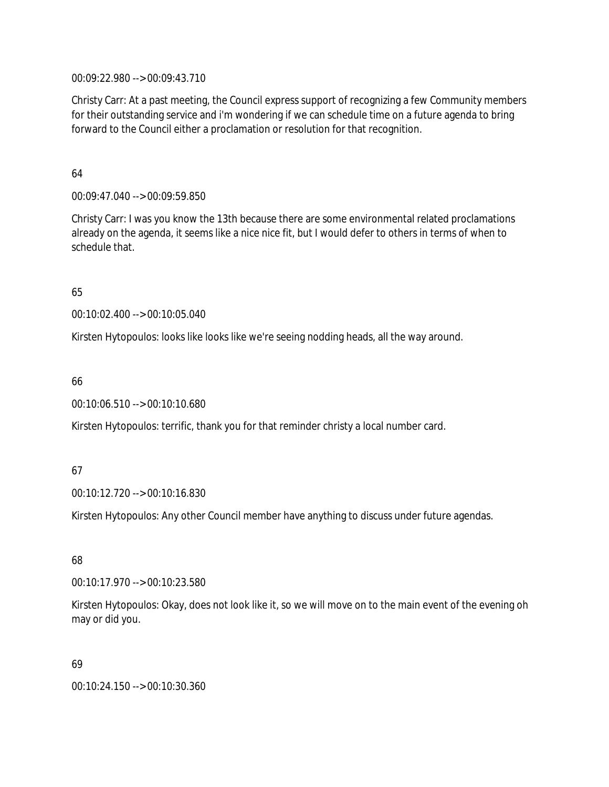00:09:22.980 --> 00:09:43.710

Christy Carr: At a past meeting, the Council express support of recognizing a few Community members for their outstanding service and i'm wondering if we can schedule time on a future agenda to bring forward to the Council either a proclamation or resolution for that recognition.

64

00:09:47.040 --> 00:09:59.850

Christy Carr: I was you know the 13th because there are some environmental related proclamations already on the agenda, it seems like a nice nice fit, but I would defer to others in terms of when to schedule that.

65

00:10:02.400 --> 00:10:05.040

Kirsten Hytopoulos: looks like looks like we're seeing nodding heads, all the way around.

66

00:10:06.510 --> 00:10:10.680

Kirsten Hytopoulos: terrific, thank you for that reminder christy a local number card.

#### 67

00:10:12.720 --> 00:10:16.830

Kirsten Hytopoulos: Any other Council member have anything to discuss under future agendas.

#### 68

00:10:17.970 --> 00:10:23.580

Kirsten Hytopoulos: Okay, does not look like it, so we will move on to the main event of the evening oh may or did you.

#### 69

00:10:24.150 --> 00:10:30.360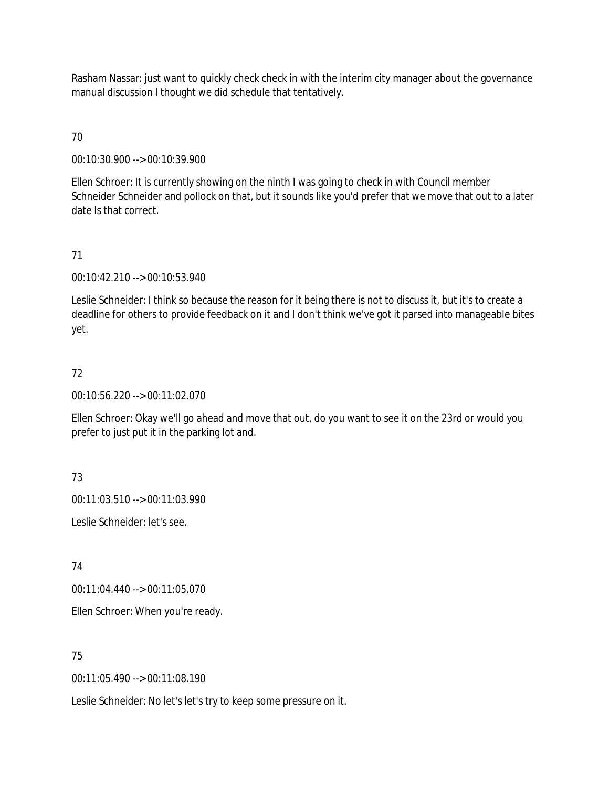Rasham Nassar: just want to quickly check check in with the interim city manager about the governance manual discussion I thought we did schedule that tentatively.

# 70

00:10:30.900 --> 00:10:39.900

Ellen Schroer: It is currently showing on the ninth I was going to check in with Council member Schneider Schneider and pollock on that, but it sounds like you'd prefer that we move that out to a later date Is that correct.

## 71

00:10:42.210 --> 00:10:53.940

Leslie Schneider: I think so because the reason for it being there is not to discuss it, but it's to create a deadline for others to provide feedback on it and I don't think we've got it parsed into manageable bites yet.

# 72

00:10:56.220 --> 00:11:02.070

Ellen Schroer: Okay we'll go ahead and move that out, do you want to see it on the 23rd or would you prefer to just put it in the parking lot and.

73

00:11:03.510 --> 00:11:03.990

Leslie Schneider: let's see.

74

00:11:04.440 --> 00:11:05.070

Ellen Schroer: When you're ready.

75

00:11:05.490 --> 00:11:08.190

Leslie Schneider: No let's let's try to keep some pressure on it.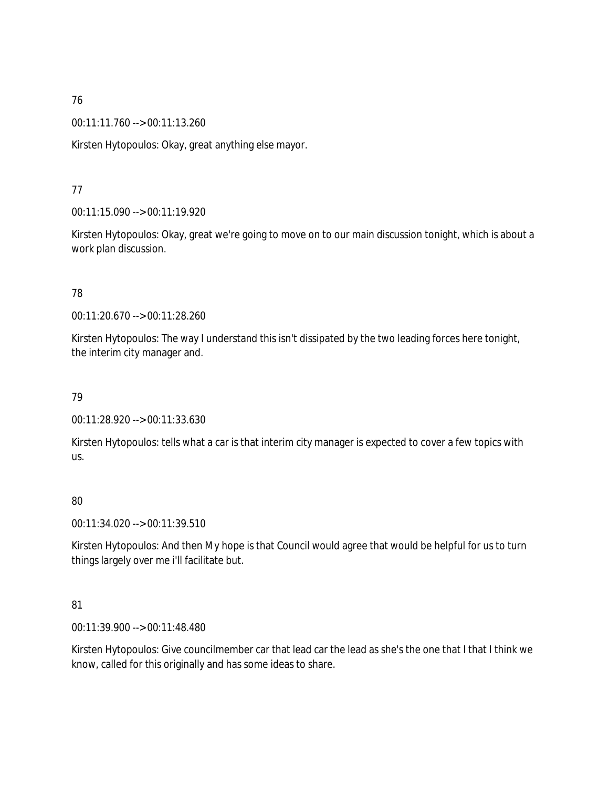00:11:11.760 --> 00:11:13.260

Kirsten Hytopoulos: Okay, great anything else mayor.

## 77

00:11:15.090 --> 00:11:19.920

Kirsten Hytopoulos: Okay, great we're going to move on to our main discussion tonight, which is about a work plan discussion.

## 78

00:11:20.670 --> 00:11:28.260

Kirsten Hytopoulos: The way I understand this isn't dissipated by the two leading forces here tonight, the interim city manager and.

## 79

00:11:28.920 --> 00:11:33.630

Kirsten Hytopoulos: tells what a car is that interim city manager is expected to cover a few topics with us.

## 80

00:11:34.020 --> 00:11:39.510

Kirsten Hytopoulos: And then My hope is that Council would agree that would be helpful for us to turn things largely over me i'll facilitate but.

## 81

00:11:39.900 --> 00:11:48.480

Kirsten Hytopoulos: Give councilmember car that lead car the lead as she's the one that I that I think we know, called for this originally and has some ideas to share.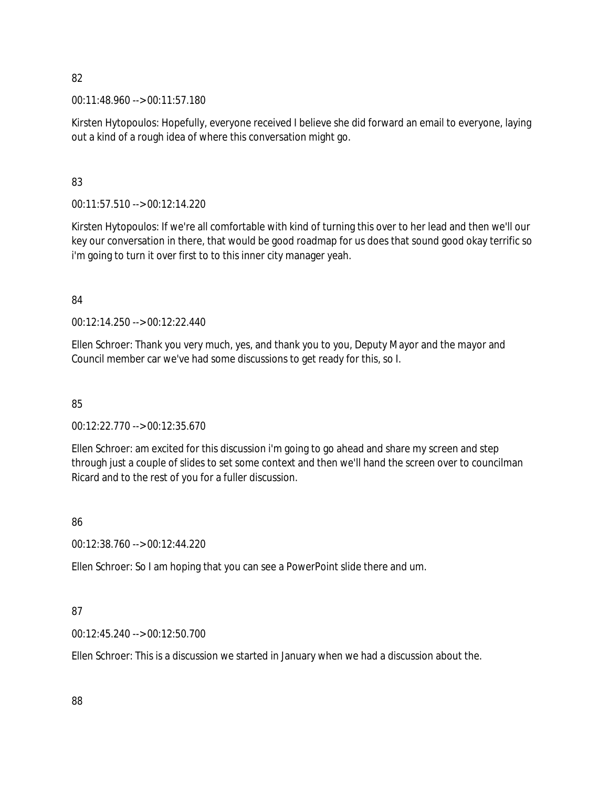00:11:48.960 --> 00:11:57.180

Kirsten Hytopoulos: Hopefully, everyone received I believe she did forward an email to everyone, laying out a kind of a rough idea of where this conversation might go.

## 83

00:11:57.510 --> 00:12:14.220

Kirsten Hytopoulos: If we're all comfortable with kind of turning this over to her lead and then we'll our key our conversation in there, that would be good roadmap for us does that sound good okay terrific so i'm going to turn it over first to to this inner city manager yeah.

# 84

00:12:14.250 --> 00:12:22.440

Ellen Schroer: Thank you very much, yes, and thank you to you, Deputy Mayor and the mayor and Council member car we've had some discussions to get ready for this, so I.

# 85

00:12:22.770 --> 00:12:35.670

Ellen Schroer: am excited for this discussion i'm going to go ahead and share my screen and step through just a couple of slides to set some context and then we'll hand the screen over to councilman Ricard and to the rest of you for a fuller discussion.

# 86

00:12:38.760 --> 00:12:44.220

Ellen Schroer: So I am hoping that you can see a PowerPoint slide there and um.

# 87

00:12:45.240 --> 00:12:50.700

Ellen Schroer: This is a discussion we started in January when we had a discussion about the.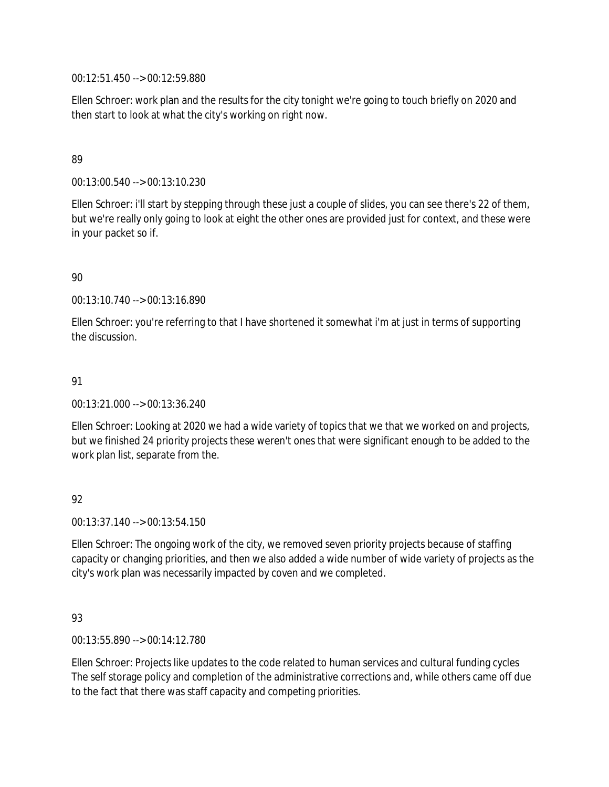00:12:51.450 --> 00:12:59.880

Ellen Schroer: work plan and the results for the city tonight we're going to touch briefly on 2020 and then start to look at what the city's working on right now.

### 89

00:13:00.540 --> 00:13:10.230

Ellen Schroer: i'll start by stepping through these just a couple of slides, you can see there's 22 of them, but we're really only going to look at eight the other ones are provided just for context, and these were in your packet so if.

### 90

00:13:10.740 --> 00:13:16.890

Ellen Schroer: you're referring to that I have shortened it somewhat i'm at just in terms of supporting the discussion.

### 91

00:13:21.000 --> 00:13:36.240

Ellen Schroer: Looking at 2020 we had a wide variety of topics that we that we worked on and projects, but we finished 24 priority projects these weren't ones that were significant enough to be added to the work plan list, separate from the.

## 92

00:13:37.140 --> 00:13:54.150

Ellen Schroer: The ongoing work of the city, we removed seven priority projects because of staffing capacity or changing priorities, and then we also added a wide number of wide variety of projects as the city's work plan was necessarily impacted by coven and we completed.

## 93

00:13:55.890 --> 00:14:12.780

Ellen Schroer: Projects like updates to the code related to human services and cultural funding cycles The self storage policy and completion of the administrative corrections and, while others came off due to the fact that there was staff capacity and competing priorities.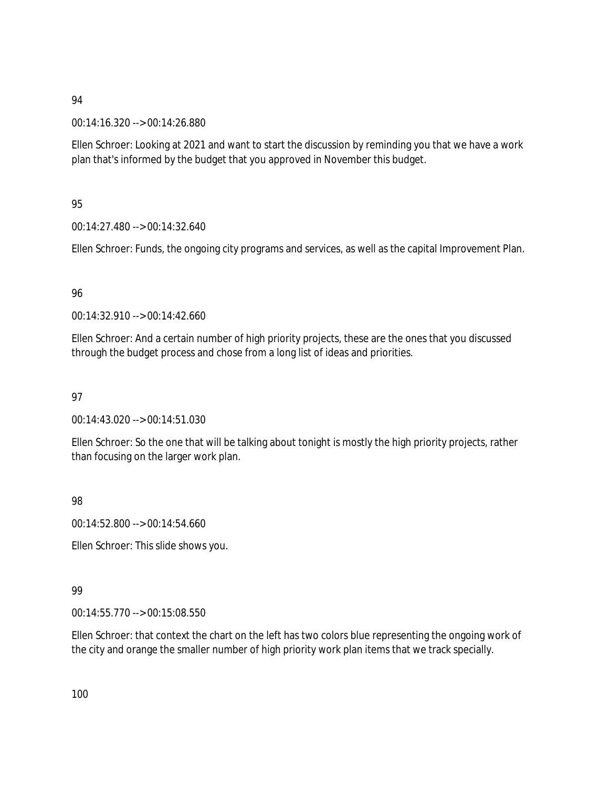00:14:16.320 --> 00:14:26.880

Ellen Schroer: Looking at 2021 and want to start the discussion by reminding you that we have a work plan that's informed by the budget that you approved in November this budget.

## 95

00:14:27.480 --> 00:14:32.640

Ellen Schroer: Funds, the ongoing city programs and services, as well as the capital Improvement Plan.

## 96

00:14:32.910 --> 00:14:42.660

Ellen Schroer: And a certain number of high priority projects, these are the ones that you discussed through the budget process and chose from a long list of ideas and priorities.

## 97

00:14:43.020 --> 00:14:51.030

Ellen Schroer: So the one that will be talking about tonight is mostly the high priority projects, rather than focusing on the larger work plan.

## 98

00:14:52.800 --> 00:14:54.660

Ellen Schroer: This slide shows you.

# 99

00:14:55.770 --> 00:15:08.550

Ellen Schroer: that context the chart on the left has two colors blue representing the ongoing work of the city and orange the smaller number of high priority work plan items that we track specially.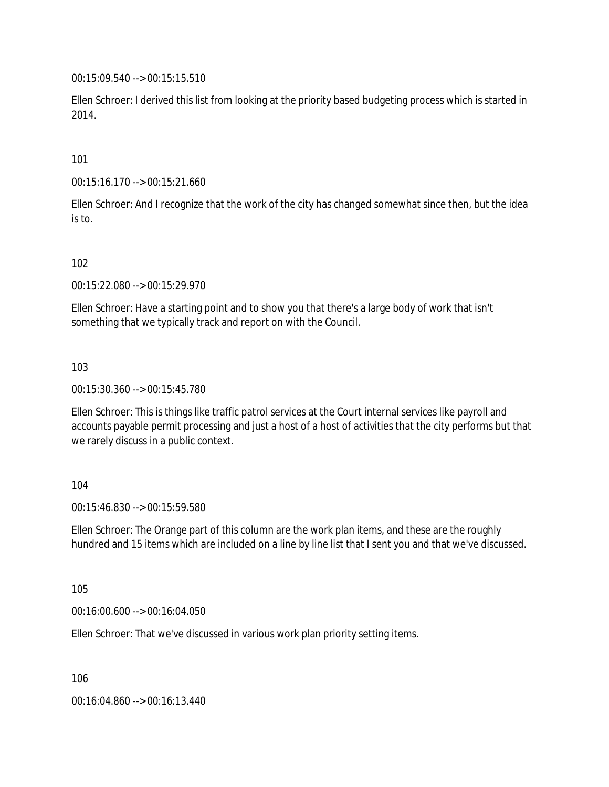00:15:09.540 --> 00:15:15.510

Ellen Schroer: I derived this list from looking at the priority based budgeting process which is started in 2014.

#### 101

00:15:16.170 --> 00:15:21.660

Ellen Schroer: And I recognize that the work of the city has changed somewhat since then, but the idea is to.

### 102

00:15:22.080 --> 00:15:29.970

Ellen Schroer: Have a starting point and to show you that there's a large body of work that isn't something that we typically track and report on with the Council.

#### 103

00:15:30.360 --> 00:15:45.780

Ellen Schroer: This is things like traffic patrol services at the Court internal services like payroll and accounts payable permit processing and just a host of a host of activities that the city performs but that we rarely discuss in a public context.

#### 104

00:15:46.830 --> 00:15:59.580

Ellen Schroer: The Orange part of this column are the work plan items, and these are the roughly hundred and 15 items which are included on a line by line list that I sent you and that we've discussed.

105

00:16:00.600 --> 00:16:04.050

Ellen Schroer: That we've discussed in various work plan priority setting items.

106

00:16:04.860 --> 00:16:13.440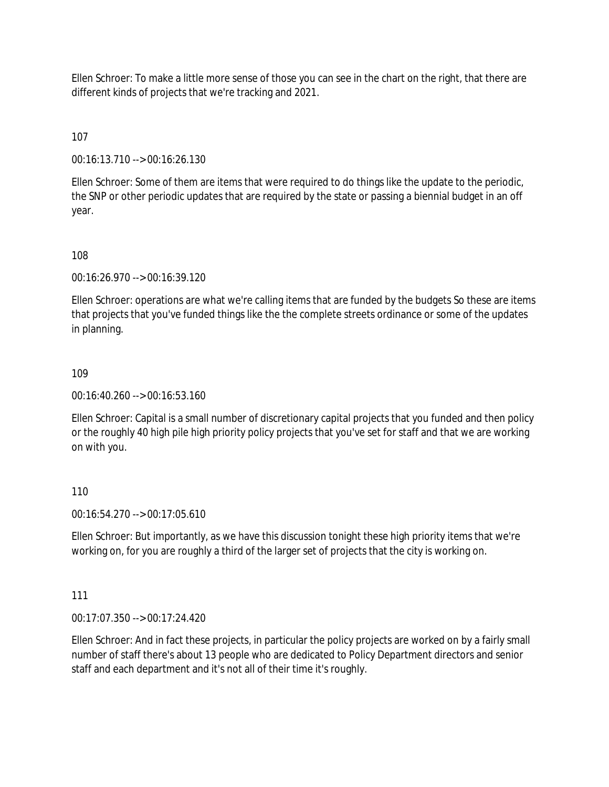Ellen Schroer: To make a little more sense of those you can see in the chart on the right, that there are different kinds of projects that we're tracking and 2021.

107

00:16:13.710 --> 00:16:26.130

Ellen Schroer: Some of them are items that were required to do things like the update to the periodic, the SNP or other periodic updates that are required by the state or passing a biennial budget in an off year.

108

00:16:26.970 --> 00:16:39.120

Ellen Schroer: operations are what we're calling items that are funded by the budgets So these are items that projects that you've funded things like the the complete streets ordinance or some of the updates in planning.

109

00:16:40.260 --> 00:16:53.160

Ellen Schroer: Capital is a small number of discretionary capital projects that you funded and then policy or the roughly 40 high pile high priority policy projects that you've set for staff and that we are working on with you.

110

00:16:54.270 --> 00:17:05.610

Ellen Schroer: But importantly, as we have this discussion tonight these high priority items that we're working on, for you are roughly a third of the larger set of projects that the city is working on.

111

00:17:07.350 --> 00:17:24.420

Ellen Schroer: And in fact these projects, in particular the policy projects are worked on by a fairly small number of staff there's about 13 people who are dedicated to Policy Department directors and senior staff and each department and it's not all of their time it's roughly.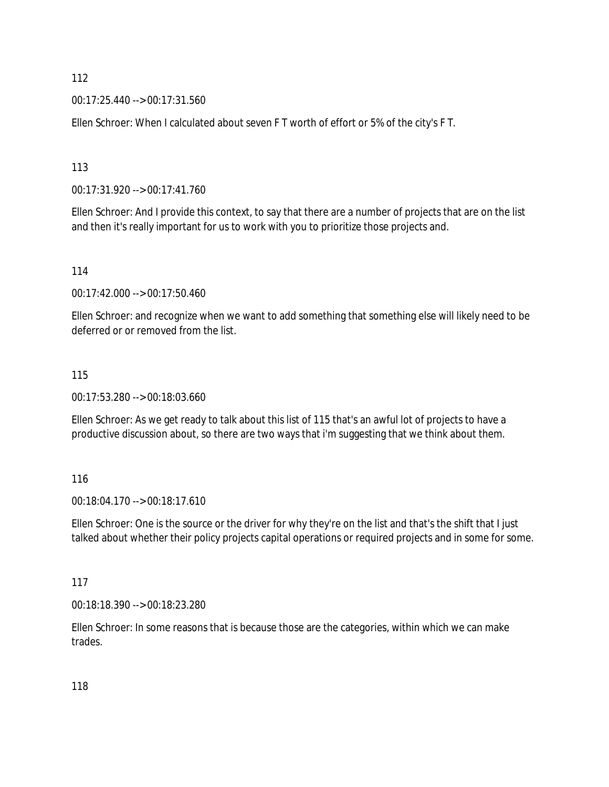00:17:25.440 --> 00:17:31.560

Ellen Schroer: When I calculated about seven F T worth of effort or 5% of the city's F T.

113

00:17:31.920 --> 00:17:41.760

Ellen Schroer: And I provide this context, to say that there are a number of projects that are on the list and then it's really important for us to work with you to prioritize those projects and.

114

00:17:42.000 --> 00:17:50.460

Ellen Schroer: and recognize when we want to add something that something else will likely need to be deferred or or removed from the list.

#### 115

00:17:53.280 --> 00:18:03.660

Ellen Schroer: As we get ready to talk about this list of 115 that's an awful lot of projects to have a productive discussion about, so there are two ways that i'm suggesting that we think about them.

116

00:18:04.170 --> 00:18:17.610

Ellen Schroer: One is the source or the driver for why they're on the list and that's the shift that I just talked about whether their policy projects capital operations or required projects and in some for some.

117

00:18:18.390 --> 00:18:23.280

Ellen Schroer: In some reasons that is because those are the categories, within which we can make trades.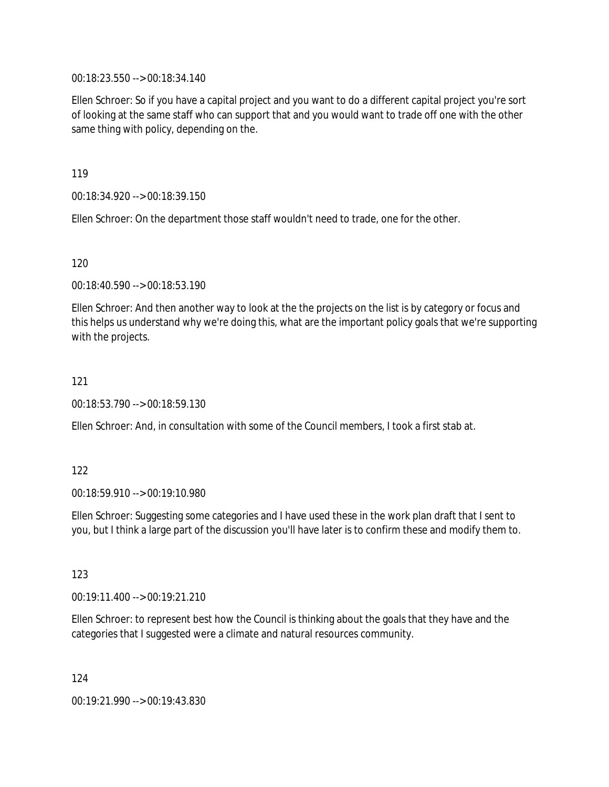00:18:23.550 --> 00:18:34.140

Ellen Schroer: So if you have a capital project and you want to do a different capital project you're sort of looking at the same staff who can support that and you would want to trade off one with the other same thing with policy, depending on the.

119

00:18:34.920 --> 00:18:39.150

Ellen Schroer: On the department those staff wouldn't need to trade, one for the other.

120

00:18:40.590 --> 00:18:53.190

Ellen Schroer: And then another way to look at the the projects on the list is by category or focus and this helps us understand why we're doing this, what are the important policy goals that we're supporting with the projects.

121

00:18:53.790 --> 00:18:59.130

Ellen Schroer: And, in consultation with some of the Council members, I took a first stab at.

122

00:18:59.910 --> 00:19:10.980

Ellen Schroer: Suggesting some categories and I have used these in the work plan draft that I sent to you, but I think a large part of the discussion you'll have later is to confirm these and modify them to.

123

00:19:11.400 --> 00:19:21.210

Ellen Schroer: to represent best how the Council is thinking about the goals that they have and the categories that I suggested were a climate and natural resources community.

124

00:19:21.990 --> 00:19:43.830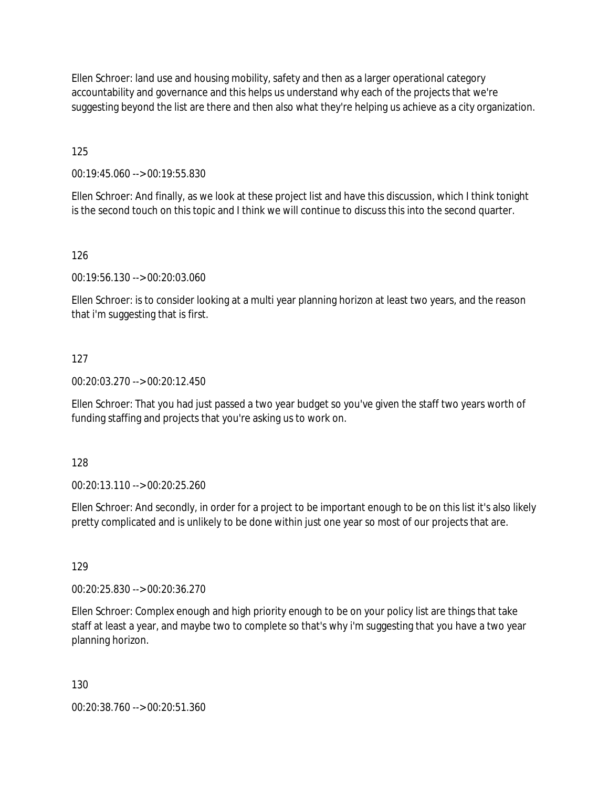Ellen Schroer: land use and housing mobility, safety and then as a larger operational category accountability and governance and this helps us understand why each of the projects that we're suggesting beyond the list are there and then also what they're helping us achieve as a city organization.

125

00:19:45.060 --> 00:19:55.830

Ellen Schroer: And finally, as we look at these project list and have this discussion, which I think tonight is the second touch on this topic and I think we will continue to discuss this into the second quarter.

### 126

00:19:56.130 --> 00:20:03.060

Ellen Schroer: is to consider looking at a multi year planning horizon at least two years, and the reason that i'm suggesting that is first.

#### 127

00:20:03.270 --> 00:20:12.450

Ellen Schroer: That you had just passed a two year budget so you've given the staff two years worth of funding staffing and projects that you're asking us to work on.

128

00:20:13.110 --> 00:20:25.260

Ellen Schroer: And secondly, in order for a project to be important enough to be on this list it's also likely pretty complicated and is unlikely to be done within just one year so most of our projects that are.

129

00:20:25.830 --> 00:20:36.270

Ellen Schroer: Complex enough and high priority enough to be on your policy list are things that take staff at least a year, and maybe two to complete so that's why i'm suggesting that you have a two year planning horizon.

130

00:20:38.760 --> 00:20:51.360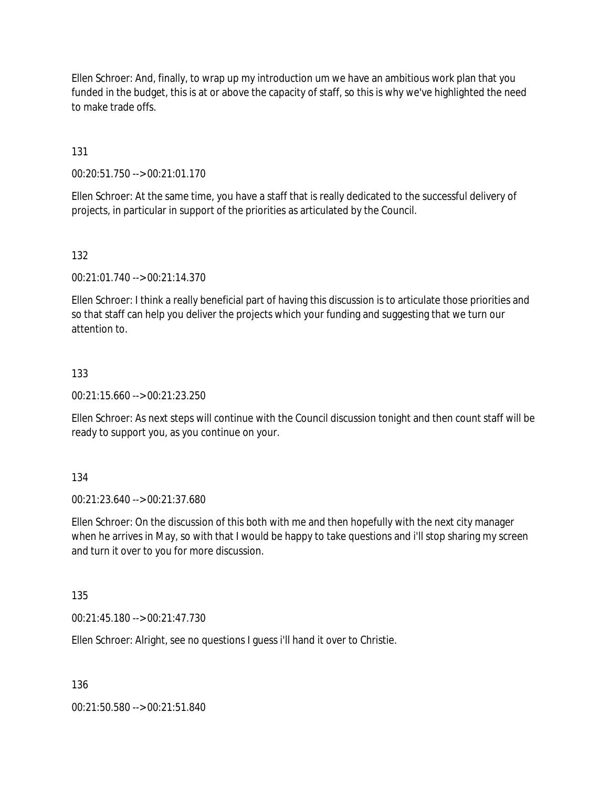Ellen Schroer: And, finally, to wrap up my introduction um we have an ambitious work plan that you funded in the budget, this is at or above the capacity of staff, so this is why we've highlighted the need to make trade offs.

131

00:20:51.750 --> 00:21:01.170

Ellen Schroer: At the same time, you have a staff that is really dedicated to the successful delivery of projects, in particular in support of the priorities as articulated by the Council.

132

00:21:01.740 --> 00:21:14.370

Ellen Schroer: I think a really beneficial part of having this discussion is to articulate those priorities and so that staff can help you deliver the projects which your funding and suggesting that we turn our attention to.

#### 133

00:21:15.660 --> 00:21:23.250

Ellen Schroer: As next steps will continue with the Council discussion tonight and then count staff will be ready to support you, as you continue on your.

134

00:21:23.640 --> 00:21:37.680

Ellen Schroer: On the discussion of this both with me and then hopefully with the next city manager when he arrives in May, so with that I would be happy to take questions and i'll stop sharing my screen and turn it over to you for more discussion.

135

00:21:45.180 --> 00:21:47.730

Ellen Schroer: Alright, see no questions I guess i'll hand it over to Christie.

136

00:21:50.580 --> 00:21:51.840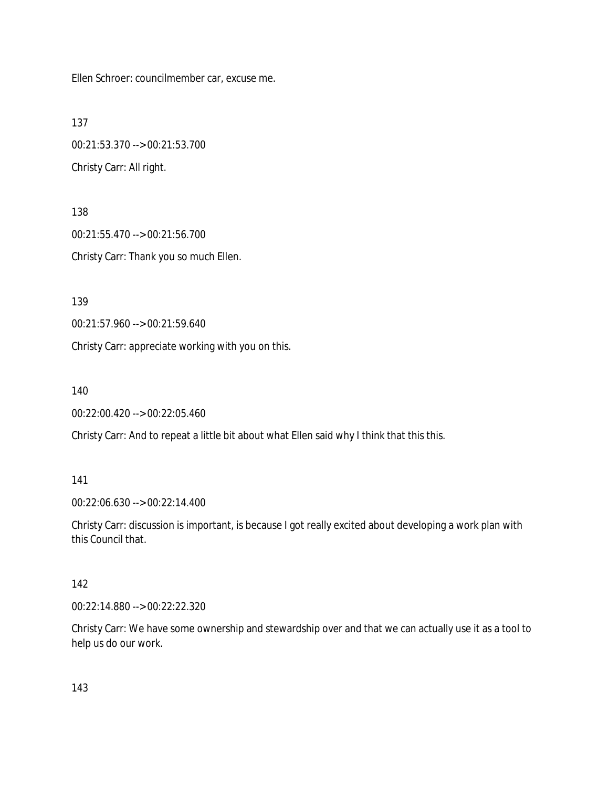Ellen Schroer: councilmember car, excuse me.

137

00:21:53.370 --> 00:21:53.700 Christy Carr: All right.

138 00:21:55.470 --> 00:21:56.700 Christy Carr: Thank you so much Ellen.

139

00:21:57.960 --> 00:21:59.640

Christy Carr: appreciate working with you on this.

140

00:22:00.420 --> 00:22:05.460

Christy Carr: And to repeat a little bit about what Ellen said why I think that this this.

#### 141

00:22:06.630 --> 00:22:14.400

Christy Carr: discussion is important, is because I got really excited about developing a work plan with this Council that.

#### 142

00:22:14.880 --> 00:22:22.320

Christy Carr: We have some ownership and stewardship over and that we can actually use it as a tool to help us do our work.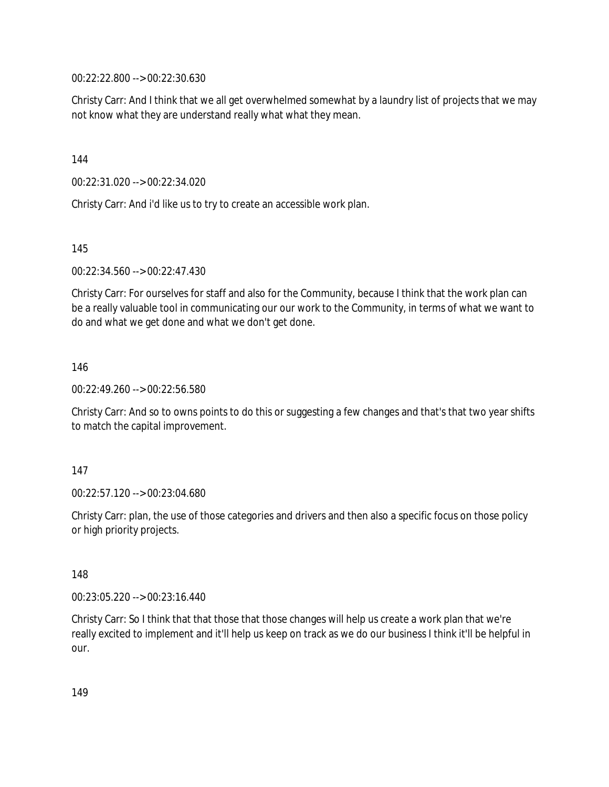00:22:22.800 --> 00:22:30.630

Christy Carr: And I think that we all get overwhelmed somewhat by a laundry list of projects that we may not know what they are understand really what what they mean.

144

00:22:31.020 --> 00:22:34.020

Christy Carr: And i'd like us to try to create an accessible work plan.

145

00:22:34.560 --> 00:22:47.430

Christy Carr: For ourselves for staff and also for the Community, because I think that the work plan can be a really valuable tool in communicating our our work to the Community, in terms of what we want to do and what we get done and what we don't get done.

146

00:22:49.260 --> 00:22:56.580

Christy Carr: And so to owns points to do this or suggesting a few changes and that's that two year shifts to match the capital improvement.

147

00:22:57.120 --> 00:23:04.680

Christy Carr: plan, the use of those categories and drivers and then also a specific focus on those policy or high priority projects.

148

00:23:05.220 --> 00:23:16.440

Christy Carr: So I think that that those that those changes will help us create a work plan that we're really excited to implement and it'll help us keep on track as we do our business I think it'll be helpful in our.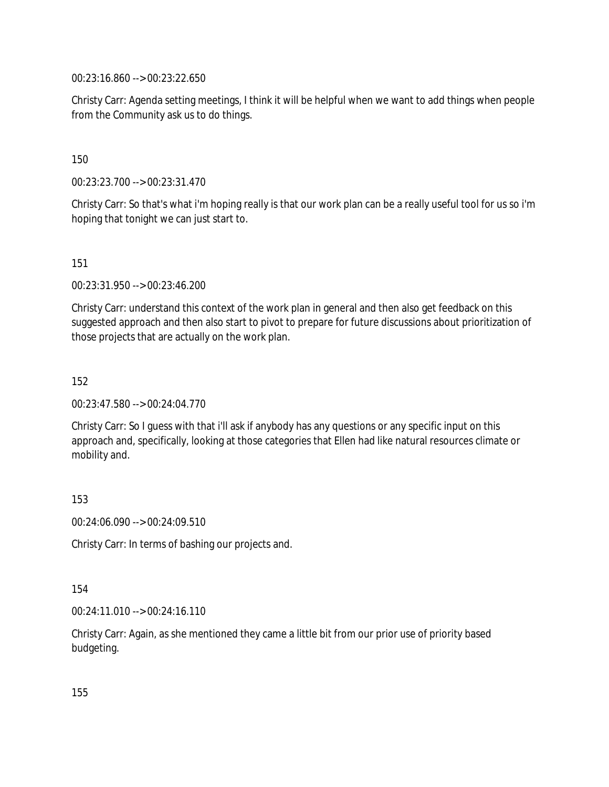00:23:16.860 --> 00:23:22.650

Christy Carr: Agenda setting meetings, I think it will be helpful when we want to add things when people from the Community ask us to do things.

150

00:23:23.700 --> 00:23:31.470

Christy Carr: So that's what i'm hoping really is that our work plan can be a really useful tool for us so i'm hoping that tonight we can just start to.

151

00:23:31.950 --> 00:23:46.200

Christy Carr: understand this context of the work plan in general and then also get feedback on this suggested approach and then also start to pivot to prepare for future discussions about prioritization of those projects that are actually on the work plan.

152

00:23:47.580 --> 00:24:04.770

Christy Carr: So I guess with that i'll ask if anybody has any questions or any specific input on this approach and, specifically, looking at those categories that Ellen had like natural resources climate or mobility and.

153

00:24:06.090 --> 00:24:09.510

Christy Carr: In terms of bashing our projects and.

154

00:24:11.010 --> 00:24:16.110

Christy Carr: Again, as she mentioned they came a little bit from our prior use of priority based budgeting.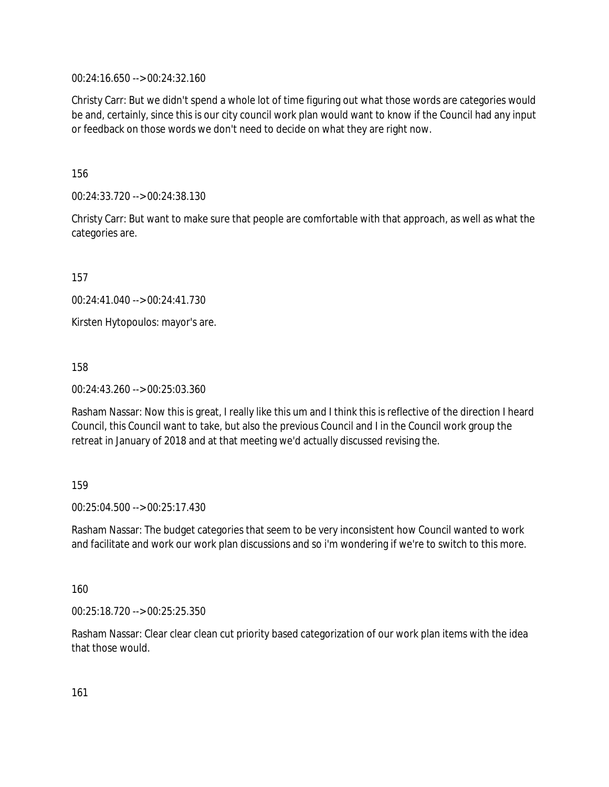00:24:16.650 --> 00:24:32.160

Christy Carr: But we didn't spend a whole lot of time figuring out what those words are categories would be and, certainly, since this is our city council work plan would want to know if the Council had any input or feedback on those words we don't need to decide on what they are right now.

156

00:24:33.720 --> 00:24:38.130

Christy Carr: But want to make sure that people are comfortable with that approach, as well as what the categories are.

157

00:24:41.040 --> 00:24:41.730

Kirsten Hytopoulos: mayor's are.

158

00:24:43.260 --> 00:25:03.360

Rasham Nassar: Now this is great, I really like this um and I think this is reflective of the direction I heard Council, this Council want to take, but also the previous Council and I in the Council work group the retreat in January of 2018 and at that meeting we'd actually discussed revising the.

#### 159

 $00.25:04.500 \rightarrow 00.25:17.430$ 

Rasham Nassar: The budget categories that seem to be very inconsistent how Council wanted to work and facilitate and work our work plan discussions and so i'm wondering if we're to switch to this more.

160

00:25:18.720 --> 00:25:25.350

Rasham Nassar: Clear clear clean cut priority based categorization of our work plan items with the idea that those would.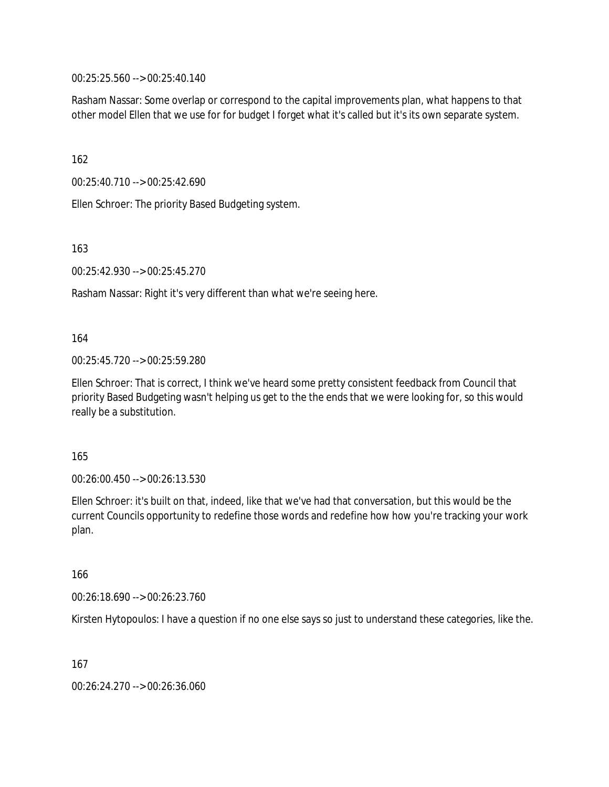00:25:25.560 --> 00:25:40.140

Rasham Nassar: Some overlap or correspond to the capital improvements plan, what happens to that other model Ellen that we use for for budget I forget what it's called but it's its own separate system.

162

00:25:40.710 --> 00:25:42.690

Ellen Schroer: The priority Based Budgeting system.

163

00:25:42.930 --> 00:25:45.270

Rasham Nassar: Right it's very different than what we're seeing here.

164

00:25:45.720 --> 00:25:59.280

Ellen Schroer: That is correct, I think we've heard some pretty consistent feedback from Council that priority Based Budgeting wasn't helping us get to the the ends that we were looking for, so this would really be a substitution.

165

00:26:00.450 --> 00:26:13.530

Ellen Schroer: it's built on that, indeed, like that we've had that conversation, but this would be the current Councils opportunity to redefine those words and redefine how how you're tracking your work plan.

166

00:26:18.690 --> 00:26:23.760

Kirsten Hytopoulos: I have a question if no one else says so just to understand these categories, like the.

167

00:26:24.270 --> 00:26:36.060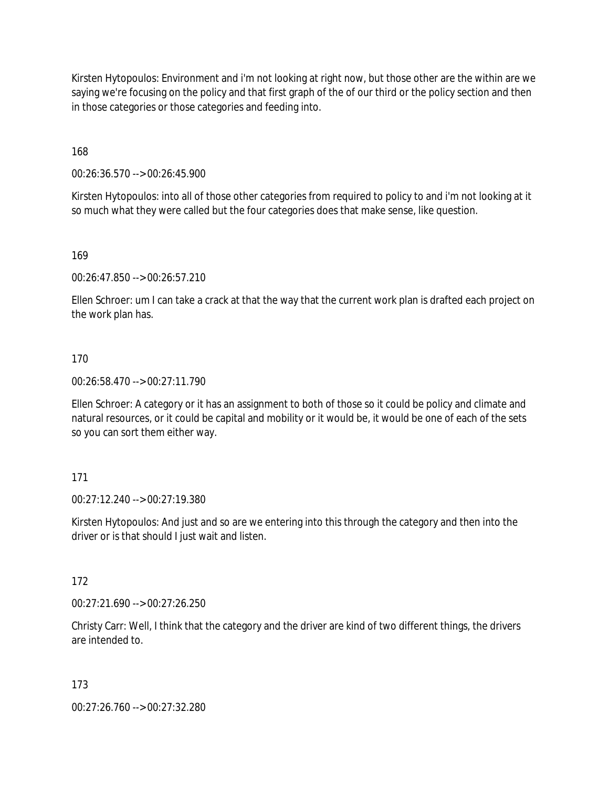Kirsten Hytopoulos: Environment and i'm not looking at right now, but those other are the within are we saying we're focusing on the policy and that first graph of the of our third or the policy section and then in those categories or those categories and feeding into.

168

00:26:36.570 --> 00:26:45.900

Kirsten Hytopoulos: into all of those other categories from required to policy to and i'm not looking at it so much what they were called but the four categories does that make sense, like question.

169

00:26:47.850 --> 00:26:57.210

Ellen Schroer: um I can take a crack at that the way that the current work plan is drafted each project on the work plan has.

170

00:26:58.470 --> 00:27:11.790

Ellen Schroer: A category or it has an assignment to both of those so it could be policy and climate and natural resources, or it could be capital and mobility or it would be, it would be one of each of the sets so you can sort them either way.

171

00:27:12.240 --> 00:27:19.380

Kirsten Hytopoulos: And just and so are we entering into this through the category and then into the driver or is that should I just wait and listen.

172

00:27:21.690 --> 00:27:26.250

Christy Carr: Well, I think that the category and the driver are kind of two different things, the drivers are intended to.

173

00:27:26.760 --> 00:27:32.280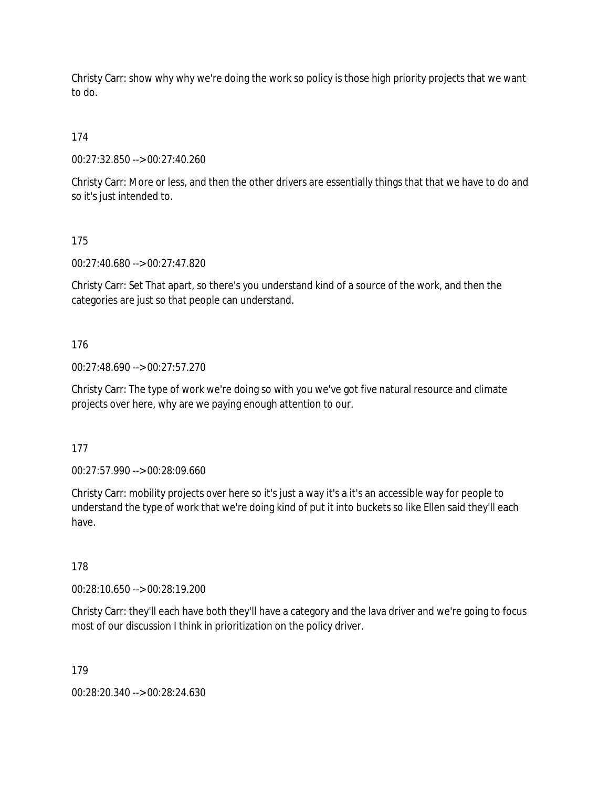Christy Carr: show why why we're doing the work so policy is those high priority projects that we want to do.

174

00:27:32.850 --> 00:27:40.260

Christy Carr: More or less, and then the other drivers are essentially things that that we have to do and so it's just intended to.

175

00:27:40.680 --> 00:27:47.820

Christy Carr: Set That apart, so there's you understand kind of a source of the work, and then the categories are just so that people can understand.

176

00:27:48.690 --> 00:27:57.270

Christy Carr: The type of work we're doing so with you we've got five natural resource and climate projects over here, why are we paying enough attention to our.

177

00:27:57.990 --> 00:28:09.660

Christy Carr: mobility projects over here so it's just a way it's a it's an accessible way for people to understand the type of work that we're doing kind of put it into buckets so like Ellen said they'll each have.

178

00:28:10.650 --> 00:28:19.200

Christy Carr: they'll each have both they'll have a category and the lava driver and we're going to focus most of our discussion I think in prioritization on the policy driver.

179

00:28:20.340 --> 00:28:24.630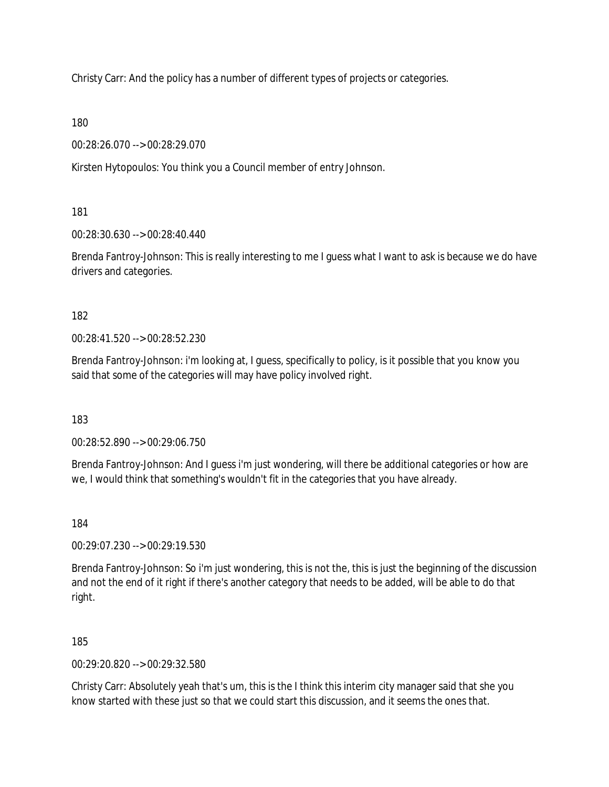Christy Carr: And the policy has a number of different types of projects or categories.

180

00:28:26.070 --> 00:28:29.070

Kirsten Hytopoulos: You think you a Council member of entry Johnson.

181

00:28:30.630 --> 00:28:40.440

Brenda Fantroy-Johnson: This is really interesting to me I guess what I want to ask is because we do have drivers and categories.

182

00:28:41.520 --> 00:28:52.230

Brenda Fantroy-Johnson: i'm looking at, I guess, specifically to policy, is it possible that you know you said that some of the categories will may have policy involved right.

183

00:28:52.890 --> 00:29:06.750

Brenda Fantroy-Johnson: And I guess i'm just wondering, will there be additional categories or how are we, I would think that something's wouldn't fit in the categories that you have already.

184

00:29:07.230 --> 00:29:19.530

Brenda Fantroy-Johnson: So i'm just wondering, this is not the, this is just the beginning of the discussion and not the end of it right if there's another category that needs to be added, will be able to do that right.

185

00:29:20.820 --> 00:29:32.580

Christy Carr: Absolutely yeah that's um, this is the I think this interim city manager said that she you know started with these just so that we could start this discussion, and it seems the ones that.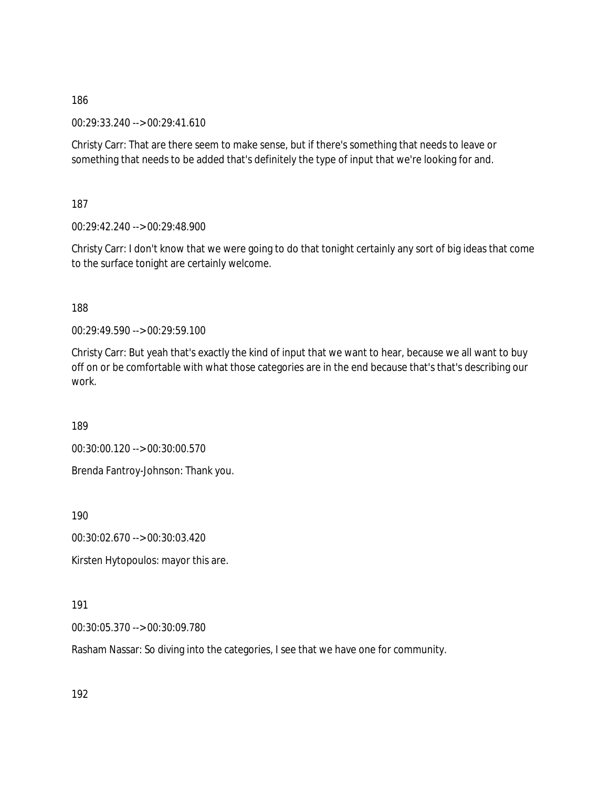00:29:33.240 --> 00:29:41.610

Christy Carr: That are there seem to make sense, but if there's something that needs to leave or something that needs to be added that's definitely the type of input that we're looking for and.

187

00:29:42.240 --> 00:29:48.900

Christy Carr: I don't know that we were going to do that tonight certainly any sort of big ideas that come to the surface tonight are certainly welcome.

188

00:29:49.590 --> 00:29:59.100

Christy Carr: But yeah that's exactly the kind of input that we want to hear, because we all want to buy off on or be comfortable with what those categories are in the end because that's that's describing our work.

189

00:30:00.120 --> 00:30:00.570

Brenda Fantroy-Johnson: Thank you.

190

00:30:02.670 --> 00:30:03.420

Kirsten Hytopoulos: mayor this are.

191

00:30:05.370 --> 00:30:09.780

Rasham Nassar: So diving into the categories, I see that we have one for community.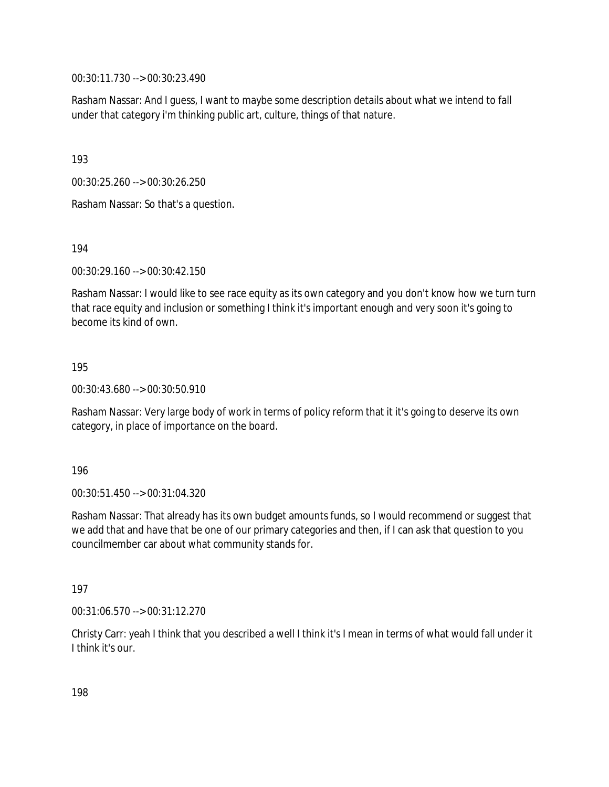00:30:11.730 --> 00:30:23.490

Rasham Nassar: And I guess, I want to maybe some description details about what we intend to fall under that category i'm thinking public art, culture, things of that nature.

193

00:30:25.260 --> 00:30:26.250

Rasham Nassar: So that's a question.

194

00:30:29.160 --> 00:30:42.150

Rasham Nassar: I would like to see race equity as its own category and you don't know how we turn turn that race equity and inclusion or something I think it's important enough and very soon it's going to become its kind of own.

195

00:30:43.680 --> 00:30:50.910

Rasham Nassar: Very large body of work in terms of policy reform that it it's going to deserve its own category, in place of importance on the board.

196

00:30:51.450 --> 00:31:04.320

Rasham Nassar: That already has its own budget amounts funds, so I would recommend or suggest that we add that and have that be one of our primary categories and then, if I can ask that question to you councilmember car about what community stands for.

197

00:31:06.570 --> 00:31:12.270

Christy Carr: yeah I think that you described a well I think it's I mean in terms of what would fall under it I think it's our.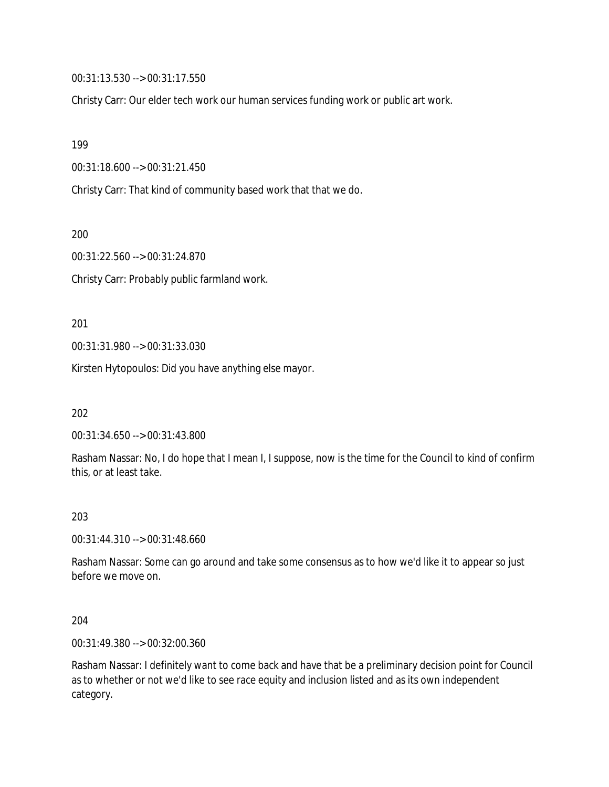00:31:13.530 --> 00:31:17.550

Christy Carr: Our elder tech work our human services funding work or public art work.

199

00:31:18.600 --> 00:31:21.450

Christy Carr: That kind of community based work that that we do.

200

00:31:22.560 --> 00:31:24.870

Christy Carr: Probably public farmland work.

201

00:31:31.980 --> 00:31:33.030

Kirsten Hytopoulos: Did you have anything else mayor.

202

00:31:34.650 --> 00:31:43.800

Rasham Nassar: No, I do hope that I mean I, I suppose, now is the time for the Council to kind of confirm this, or at least take.

#### 203

00:31:44.310 --> 00:31:48.660

Rasham Nassar: Some can go around and take some consensus as to how we'd like it to appear so just before we move on.

204

00:31:49.380 --> 00:32:00.360

Rasham Nassar: I definitely want to come back and have that be a preliminary decision point for Council as to whether or not we'd like to see race equity and inclusion listed and as its own independent category.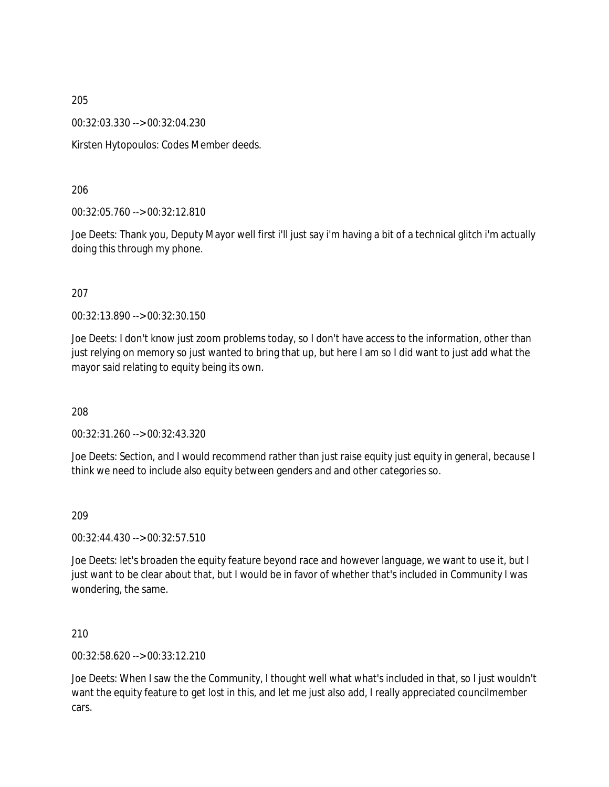00:32:03.330 --> 00:32:04.230

Kirsten Hytopoulos: Codes Member deeds.

206

00:32:05.760 --> 00:32:12.810

Joe Deets: Thank you, Deputy Mayor well first i'll just say i'm having a bit of a technical glitch i'm actually doing this through my phone.

#### 207

00:32:13.890 --> 00:32:30.150

Joe Deets: I don't know just zoom problems today, so I don't have access to the information, other than just relying on memory so just wanted to bring that up, but here I am so I did want to just add what the mayor said relating to equity being its own.

208

00:32:31.260 --> 00:32:43.320

Joe Deets: Section, and I would recommend rather than just raise equity just equity in general, because I think we need to include also equity between genders and and other categories so.

209

00:32:44.430 --> 00:32:57.510

Joe Deets: let's broaden the equity feature beyond race and however language, we want to use it, but I just want to be clear about that, but I would be in favor of whether that's included in Community I was wondering, the same.

210

00:32:58.620 --> 00:33:12.210

Joe Deets: When I saw the the Community, I thought well what what's included in that, so I just wouldn't want the equity feature to get lost in this, and let me just also add, I really appreciated councilmember cars.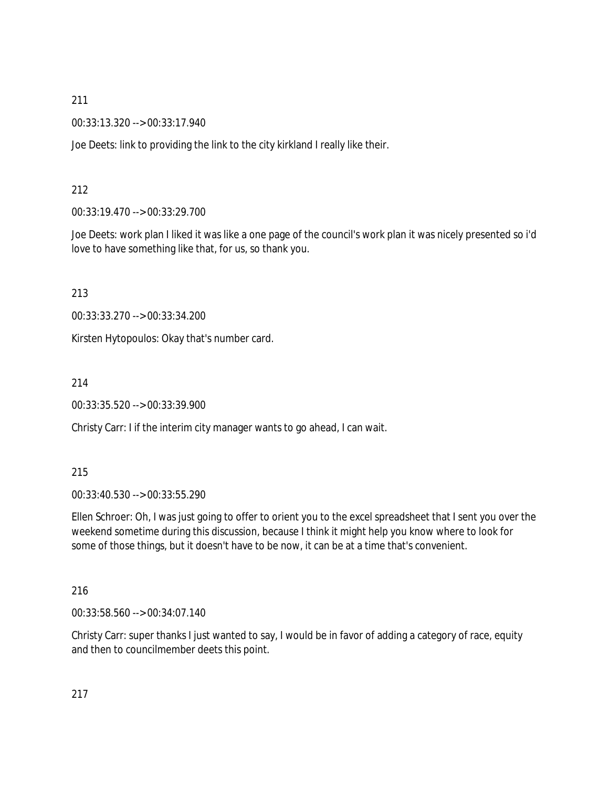00:33:13.320 --> 00:33:17.940

Joe Deets: link to providing the link to the city kirkland I really like their.

## 212

00:33:19.470 --> 00:33:29.700

Joe Deets: work plan I liked it was like a one page of the council's work plan it was nicely presented so i'd love to have something like that, for us, so thank you.

213

00:33:33.270 --> 00:33:34.200

Kirsten Hytopoulos: Okay that's number card.

214

00:33:35.520 --> 00:33:39.900

Christy Carr: I if the interim city manager wants to go ahead, I can wait.

## 215

00:33:40.530 --> 00:33:55.290

Ellen Schroer: Oh, I was just going to offer to orient you to the excel spreadsheet that I sent you over the weekend sometime during this discussion, because I think it might help you know where to look for some of those things, but it doesn't have to be now, it can be at a time that's convenient.

216

00:33:58.560 --> 00:34:07.140

Christy Carr: super thanks I just wanted to say, I would be in favor of adding a category of race, equity and then to councilmember deets this point.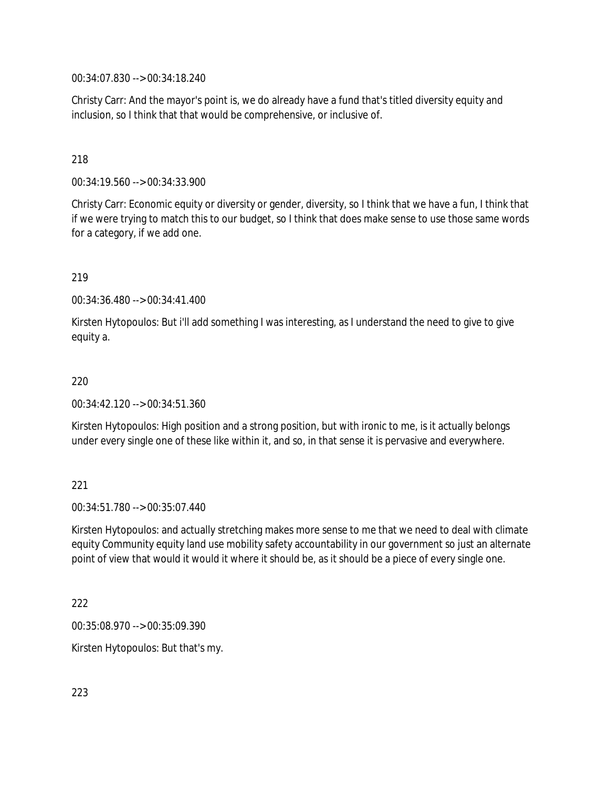00:34:07.830 --> 00:34:18.240

Christy Carr: And the mayor's point is, we do already have a fund that's titled diversity equity and inclusion, so I think that that would be comprehensive, or inclusive of.

### 218

00:34:19.560 --> 00:34:33.900

Christy Carr: Economic equity or diversity or gender, diversity, so I think that we have a fun, I think that if we were trying to match this to our budget, so I think that does make sense to use those same words for a category, if we add one.

#### 219

00:34:36.480 --> 00:34:41.400

Kirsten Hytopoulos: But i'll add something I was interesting, as I understand the need to give to give equity a.

#### 220

00:34:42.120 --> 00:34:51.360

Kirsten Hytopoulos: High position and a strong position, but with ironic to me, is it actually belongs under every single one of these like within it, and so, in that sense it is pervasive and everywhere.

#### 221

00:34:51.780 --> 00:35:07.440

Kirsten Hytopoulos: and actually stretching makes more sense to me that we need to deal with climate equity Community equity land use mobility safety accountability in our government so just an alternate point of view that would it would it where it should be, as it should be a piece of every single one.

#### 222

00:35:08.970 --> 00:35:09.390

Kirsten Hytopoulos: But that's my.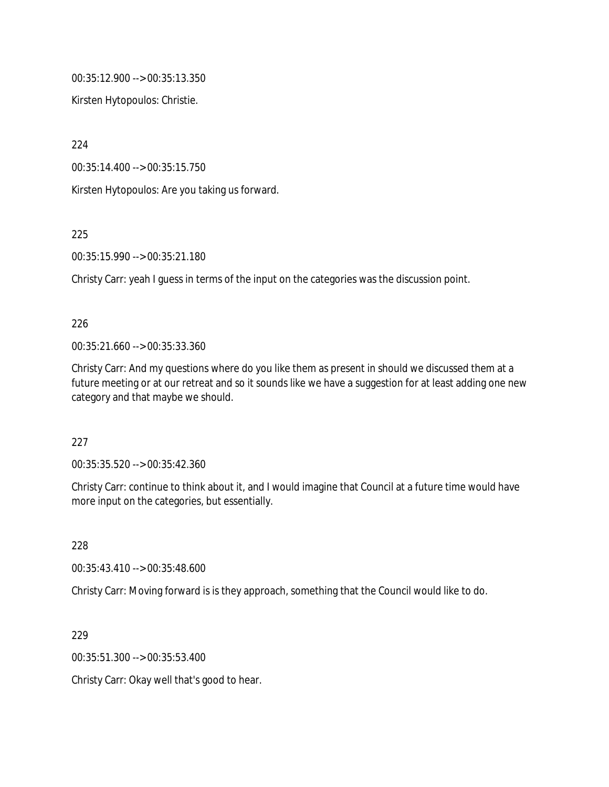00:35:12.900 --> 00:35:13.350

Kirsten Hytopoulos: Christie.

224

00:35:14.400 --> 00:35:15.750

Kirsten Hytopoulos: Are you taking us forward.

225

00:35:15.990 --> 00:35:21.180

Christy Carr: yeah I guess in terms of the input on the categories was the discussion point.

#### 226

00:35:21.660 --> 00:35:33.360

Christy Carr: And my questions where do you like them as present in should we discussed them at a future meeting or at our retreat and so it sounds like we have a suggestion for at least adding one new category and that maybe we should.

227

00:35:35.520 --> 00:35:42.360

Christy Carr: continue to think about it, and I would imagine that Council at a future time would have more input on the categories, but essentially.

228

00:35:43.410 --> 00:35:48.600

Christy Carr: Moving forward is is they approach, something that the Council would like to do.

229

00:35:51.300 --> 00:35:53.400

Christy Carr: Okay well that's good to hear.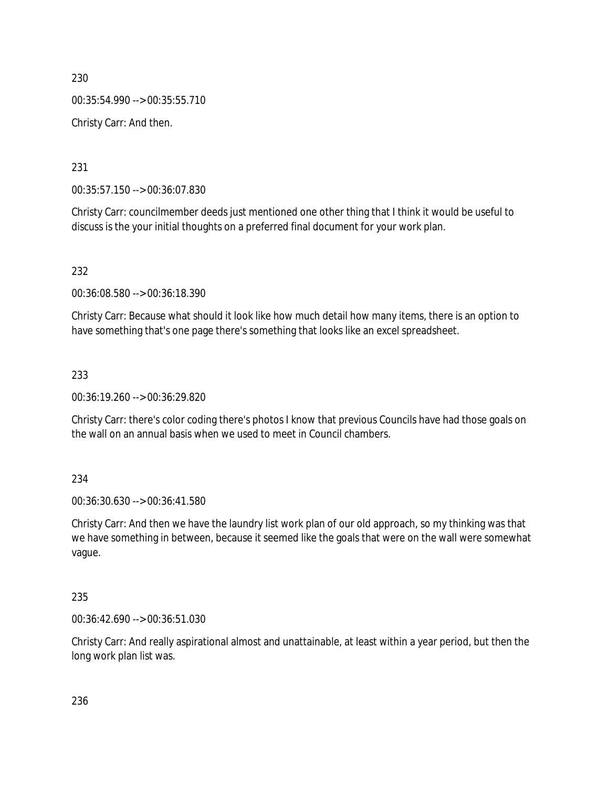230 00:35:54.990 --> 00:35:55.710 Christy Carr: And then.

231

00:35:57.150 --> 00:36:07.830

Christy Carr: councilmember deeds just mentioned one other thing that I think it would be useful to discuss is the your initial thoughts on a preferred final document for your work plan.

232

00:36:08.580 --> 00:36:18.390

Christy Carr: Because what should it look like how much detail how many items, there is an option to have something that's one page there's something that looks like an excel spreadsheet.

233

00:36:19.260 --> 00:36:29.820

Christy Carr: there's color coding there's photos I know that previous Councils have had those goals on the wall on an annual basis when we used to meet in Council chambers.

234

00:36:30.630 --> 00:36:41.580

Christy Carr: And then we have the laundry list work plan of our old approach, so my thinking was that we have something in between, because it seemed like the goals that were on the wall were somewhat vague.

235

00:36:42.690 --> 00:36:51.030

Christy Carr: And really aspirational almost and unattainable, at least within a year period, but then the long work plan list was.

236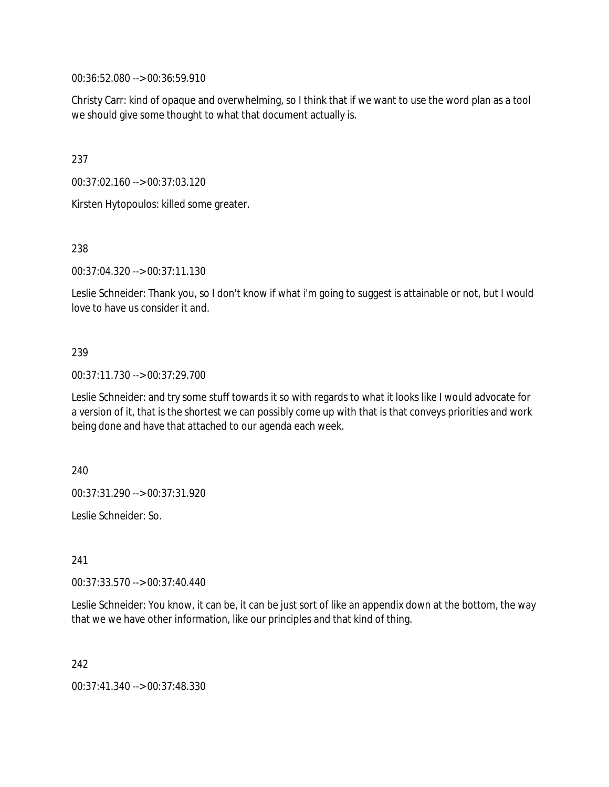00:36:52.080 --> 00:36:59.910

Christy Carr: kind of opaque and overwhelming, so I think that if we want to use the word plan as a tool we should give some thought to what that document actually is.

237

00:37:02.160 --> 00:37:03.120

Kirsten Hytopoulos: killed some greater.

238

00:37:04.320 --> 00:37:11.130

Leslie Schneider: Thank you, so I don't know if what i'm going to suggest is attainable or not, but I would love to have us consider it and.

### 239

00:37:11.730 --> 00:37:29.700

Leslie Schneider: and try some stuff towards it so with regards to what it looks like I would advocate for a version of it, that is the shortest we can possibly come up with that is that conveys priorities and work being done and have that attached to our agenda each week.

240

00:37:31.290 --> 00:37:31.920

Leslie Schneider: So.

241

00:37:33.570 --> 00:37:40.440

Leslie Schneider: You know, it can be, it can be just sort of like an appendix down at the bottom, the way that we we have other information, like our principles and that kind of thing.

242

00:37:41.340 --> 00:37:48.330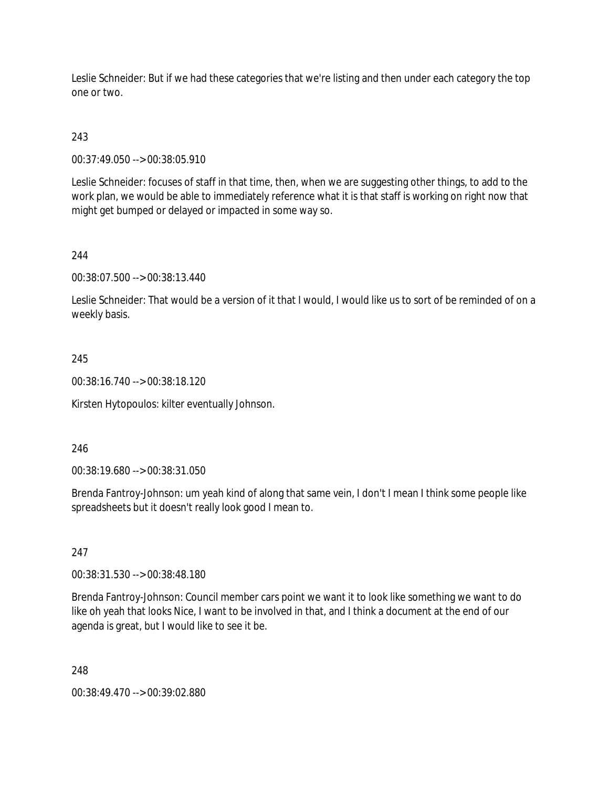Leslie Schneider: But if we had these categories that we're listing and then under each category the top one or two.

## 243

00:37:49.050 --> 00:38:05.910

Leslie Schneider: focuses of staff in that time, then, when we are suggesting other things, to add to the work plan, we would be able to immediately reference what it is that staff is working on right now that might get bumped or delayed or impacted in some way so.

### 244

00:38:07.500 --> 00:38:13.440

Leslie Schneider: That would be a version of it that I would, I would like us to sort of be reminded of on a weekly basis.

### 245

00:38:16.740 --> 00:38:18.120

Kirsten Hytopoulos: kilter eventually Johnson.

### 246

00:38:19.680 --> 00:38:31.050

Brenda Fantroy-Johnson: um yeah kind of along that same vein, I don't I mean I think some people like spreadsheets but it doesn't really look good I mean to.

### 247

00:38:31.530 --> 00:38:48.180

Brenda Fantroy-Johnson: Council member cars point we want it to look like something we want to do like oh yeah that looks Nice, I want to be involved in that, and I think a document at the end of our agenda is great, but I would like to see it be.

### 248

00:38:49.470 --> 00:39:02.880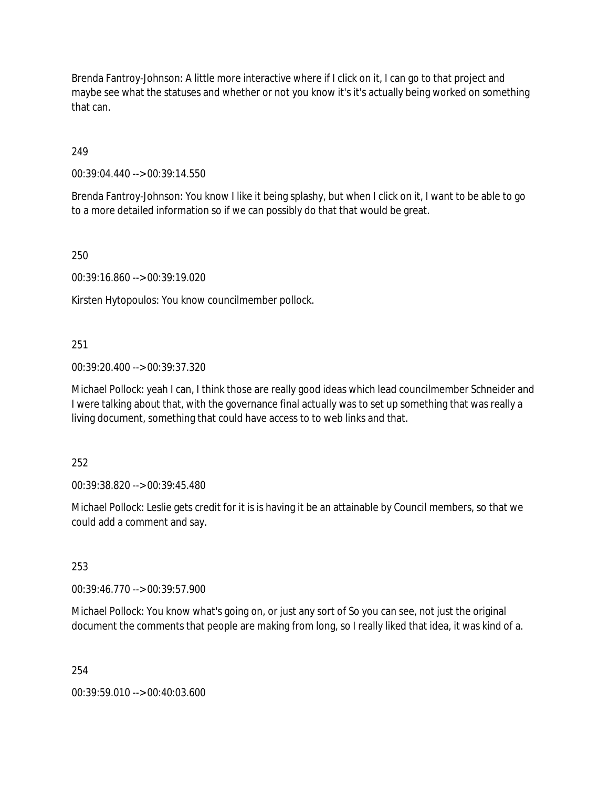Brenda Fantroy-Johnson: A little more interactive where if I click on it, I can go to that project and maybe see what the statuses and whether or not you know it's it's actually being worked on something that can.

249

00:39:04.440 --> 00:39:14.550

Brenda Fantroy-Johnson: You know I like it being splashy, but when I click on it, I want to be able to go to a more detailed information so if we can possibly do that that would be great.

250

00:39:16.860 --> 00:39:19.020

Kirsten Hytopoulos: You know councilmember pollock.

#### 251

00:39:20.400 --> 00:39:37.320

Michael Pollock: yeah I can, I think those are really good ideas which lead councilmember Schneider and I were talking about that, with the governance final actually was to set up something that was really a living document, something that could have access to to web links and that.

252

00:39:38.820 --> 00:39:45.480

Michael Pollock: Leslie gets credit for it is is having it be an attainable by Council members, so that we could add a comment and say.

253

00:39:46.770 --> 00:39:57.900

Michael Pollock: You know what's going on, or just any sort of So you can see, not just the original document the comments that people are making from long, so I really liked that idea, it was kind of a.

254

00:39:59.010 --> 00:40:03.600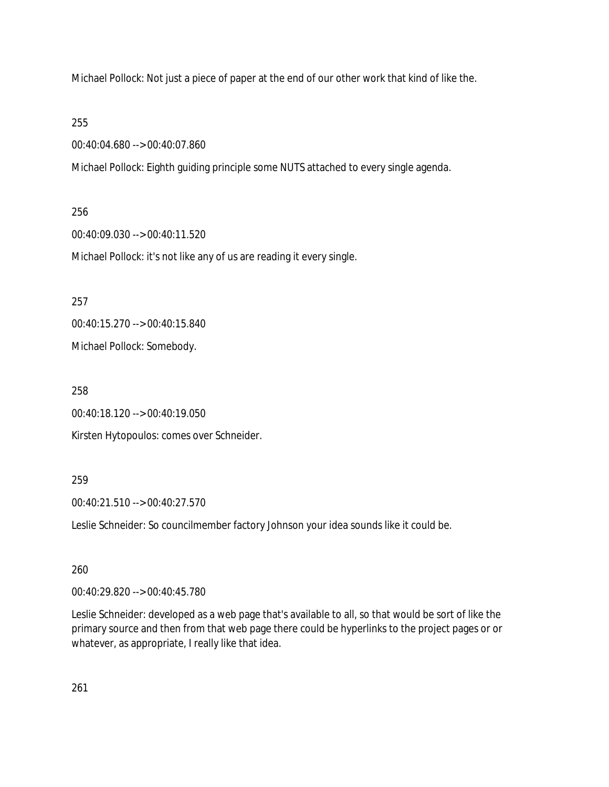Michael Pollock: Not just a piece of paper at the end of our other work that kind of like the.

255

00:40:04.680 --> 00:40:07.860

Michael Pollock: Eighth guiding principle some NUTS attached to every single agenda.

256

00:40:09.030 --> 00:40:11.520

Michael Pollock: it's not like any of us are reading it every single.

257

00:40:15.270 --> 00:40:15.840

Michael Pollock: Somebody.

258

00:40:18.120 --> 00:40:19.050

Kirsten Hytopoulos: comes over Schneider.

259

00:40:21.510 --> 00:40:27.570

Leslie Schneider: So councilmember factory Johnson your idea sounds like it could be.

260

00:40:29.820 --> 00:40:45.780

Leslie Schneider: developed as a web page that's available to all, so that would be sort of like the primary source and then from that web page there could be hyperlinks to the project pages or or whatever, as appropriate, I really like that idea.

261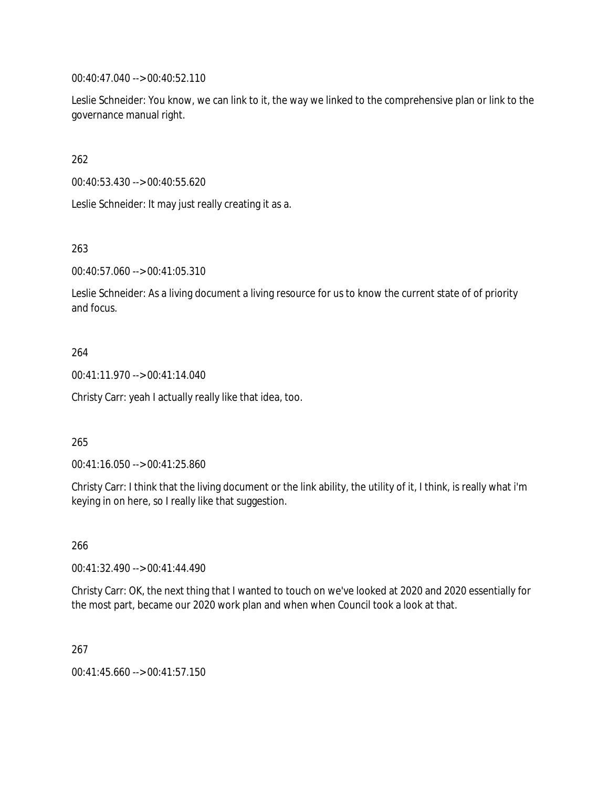00:40:47.040 --> 00:40:52.110

Leslie Schneider: You know, we can link to it, the way we linked to the comprehensive plan or link to the governance manual right.

262

00:40:53.430 --> 00:40:55.620

Leslie Schneider: It may just really creating it as a.

263

00:40:57.060 --> 00:41:05.310

Leslie Schneider: As a living document a living resource for us to know the current state of of priority and focus.

### 264

00:41:11.970 --> 00:41:14.040

Christy Carr: yeah I actually really like that idea, too.

### 265

00:41:16.050 --> 00:41:25.860

Christy Carr: I think that the living document or the link ability, the utility of it, I think, is really what i'm keying in on here, so I really like that suggestion.

266

00:41:32.490 --> 00:41:44.490

Christy Carr: OK, the next thing that I wanted to touch on we've looked at 2020 and 2020 essentially for the most part, became our 2020 work plan and when when Council took a look at that.

### 267

00:41:45.660 --> 00:41:57.150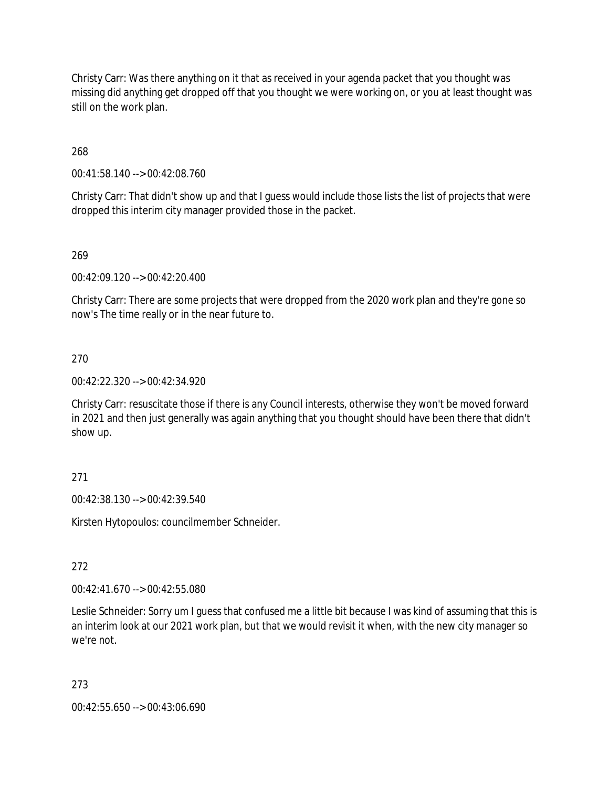Christy Carr: Was there anything on it that as received in your agenda packet that you thought was missing did anything get dropped off that you thought we were working on, or you at least thought was still on the work plan.

268

00:41:58.140 --> 00:42:08.760

Christy Carr: That didn't show up and that I guess would include those lists the list of projects that were dropped this interim city manager provided those in the packet.

269

00:42:09.120 --> 00:42:20.400

Christy Carr: There are some projects that were dropped from the 2020 work plan and they're gone so now's The time really or in the near future to.

270

00:42:22.320 --> 00:42:34.920

Christy Carr: resuscitate those if there is any Council interests, otherwise they won't be moved forward in 2021 and then just generally was again anything that you thought should have been there that didn't show up.

271

00:42:38.130 --> 00:42:39.540

Kirsten Hytopoulos: councilmember Schneider.

272

00:42:41.670 --> 00:42:55.080

Leslie Schneider: Sorry um I guess that confused me a little bit because I was kind of assuming that this is an interim look at our 2021 work plan, but that we would revisit it when, with the new city manager so we're not.

273

00:42:55.650 --> 00:43:06.690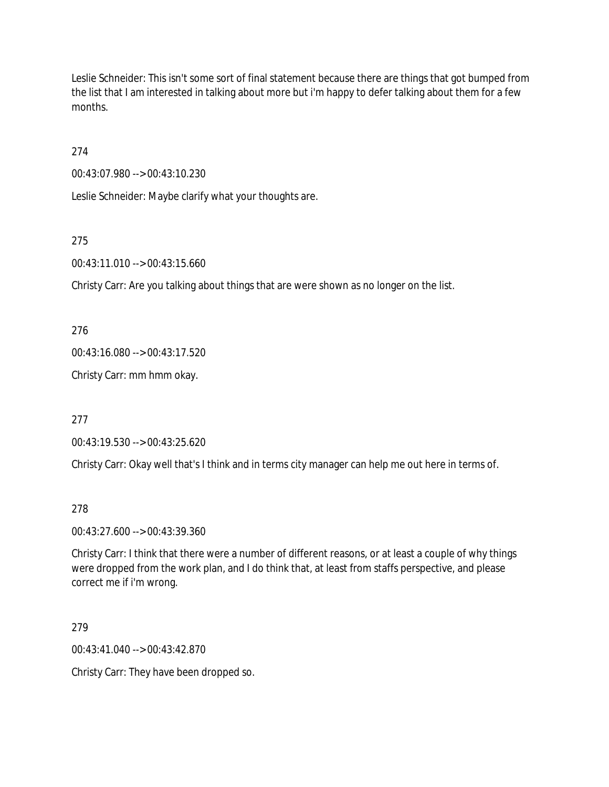Leslie Schneider: This isn't some sort of final statement because there are things that got bumped from the list that I am interested in talking about more but i'm happy to defer talking about them for a few months.

274

00:43:07.980 --> 00:43:10.230

Leslie Schneider: Maybe clarify what your thoughts are.

275

00:43:11.010 --> 00:43:15.660

Christy Carr: Are you talking about things that are were shown as no longer on the list.

276

00:43:16.080 --> 00:43:17.520

Christy Carr: mm hmm okay.

277

00:43:19.530 --> 00:43:25.620

Christy Carr: Okay well that's I think and in terms city manager can help me out here in terms of.

278

00:43:27.600 --> 00:43:39.360

Christy Carr: I think that there were a number of different reasons, or at least a couple of why things were dropped from the work plan, and I do think that, at least from staffs perspective, and please correct me if i'm wrong.

279

00:43:41.040 --> 00:43:42.870

Christy Carr: They have been dropped so.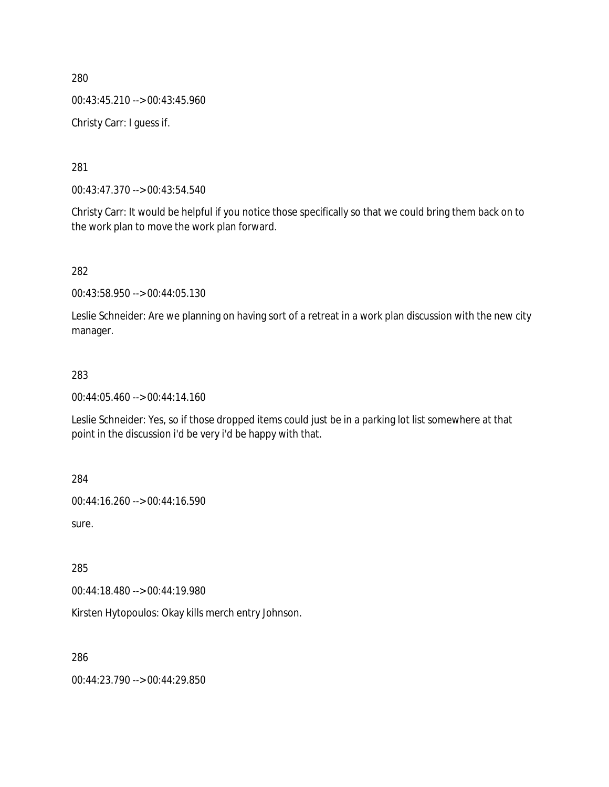00:43:45.210 --> 00:43:45.960

Christy Carr: I guess if.

281

00:43:47.370 --> 00:43:54.540

Christy Carr: It would be helpful if you notice those specifically so that we could bring them back on to the work plan to move the work plan forward.

282

00:43:58.950 --> 00:44:05.130

Leslie Schneider: Are we planning on having sort of a retreat in a work plan discussion with the new city manager.

### 283

00:44:05.460 --> 00:44:14.160

Leslie Schneider: Yes, so if those dropped items could just be in a parking lot list somewhere at that point in the discussion i'd be very i'd be happy with that.

284

00:44:16.260 --> 00:44:16.590

sure.

285

00:44:18.480 --> 00:44:19.980

Kirsten Hytopoulos: Okay kills merch entry Johnson.

286

00:44:23.790 --> 00:44:29.850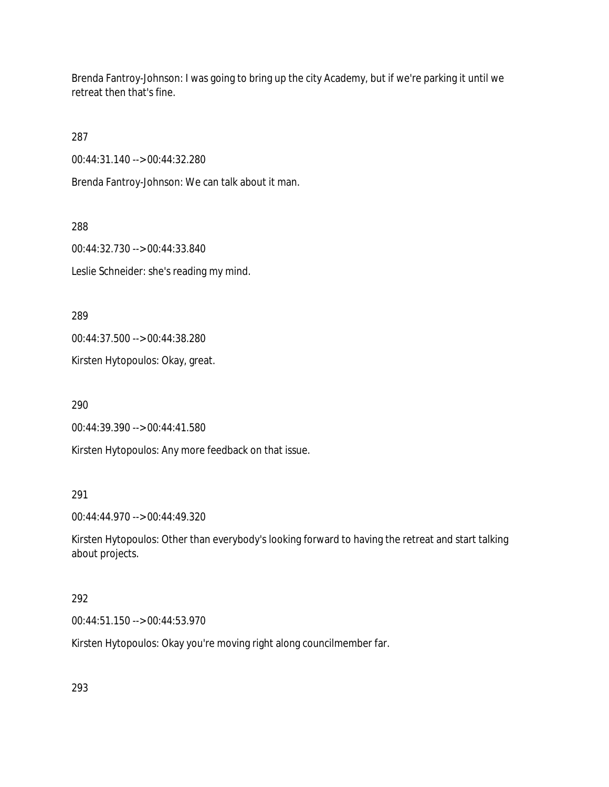Brenda Fantroy-Johnson: I was going to bring up the city Academy, but if we're parking it until we retreat then that's fine.

287

00:44:31.140 --> 00:44:32.280

Brenda Fantroy-Johnson: We can talk about it man.

288

00:44:32.730 --> 00:44:33.840 Leslie Schneider: she's reading my mind.

289

00:44:37.500 --> 00:44:38.280

Kirsten Hytopoulos: Okay, great.

290

00:44:39.390 --> 00:44:41.580

Kirsten Hytopoulos: Any more feedback on that issue.

291

00:44:44.970 --> 00:44:49.320

Kirsten Hytopoulos: Other than everybody's looking forward to having the retreat and start talking about projects.

### 292

00:44:51.150 --> 00:44:53.970

Kirsten Hytopoulos: Okay you're moving right along councilmember far.

293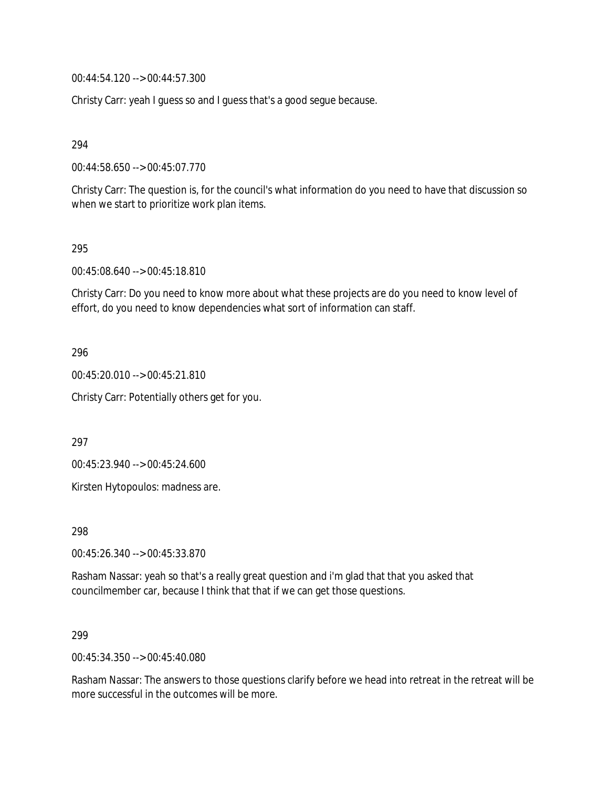00:44:54.120 --> 00:44:57.300

Christy Carr: yeah I guess so and I guess that's a good segue because.

294

00:44:58.650 --> 00:45:07.770

Christy Carr: The question is, for the council's what information do you need to have that discussion so when we start to prioritize work plan items.

295

00:45:08.640 --> 00:45:18.810

Christy Carr: Do you need to know more about what these projects are do you need to know level of effort, do you need to know dependencies what sort of information can staff.

296

00:45:20.010 --> 00:45:21.810

Christy Carr: Potentially others get for you.

297

00:45:23.940 --> 00:45:24.600

Kirsten Hytopoulos: madness are.

298

00:45:26.340 --> 00:45:33.870

Rasham Nassar: yeah so that's a really great question and i'm glad that that you asked that councilmember car, because I think that that if we can get those questions.

299

00:45:34.350 --> 00:45:40.080

Rasham Nassar: The answers to those questions clarify before we head into retreat in the retreat will be more successful in the outcomes will be more.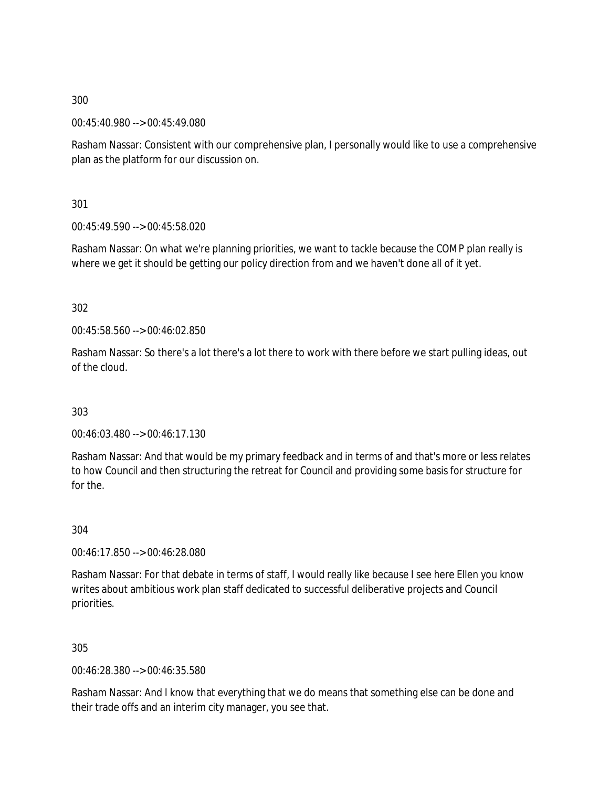00:45:40.980 --> 00:45:49.080

Rasham Nassar: Consistent with our comprehensive plan, I personally would like to use a comprehensive plan as the platform for our discussion on.

301

00:45:49.590 --> 00:45:58.020

Rasham Nassar: On what we're planning priorities, we want to tackle because the COMP plan really is where we get it should be getting our policy direction from and we haven't done all of it yet.

302

00:45:58.560 --> 00:46:02.850

Rasham Nassar: So there's a lot there's a lot there to work with there before we start pulling ideas, out of the cloud.

303

00:46:03.480 --> 00:46:17.130

Rasham Nassar: And that would be my primary feedback and in terms of and that's more or less relates to how Council and then structuring the retreat for Council and providing some basis for structure for for the.

304

00:46:17.850 --> 00:46:28.080

Rasham Nassar: For that debate in terms of staff, I would really like because I see here Ellen you know writes about ambitious work plan staff dedicated to successful deliberative projects and Council priorities.

305

00:46:28.380 --> 00:46:35.580

Rasham Nassar: And I know that everything that we do means that something else can be done and their trade offs and an interim city manager, you see that.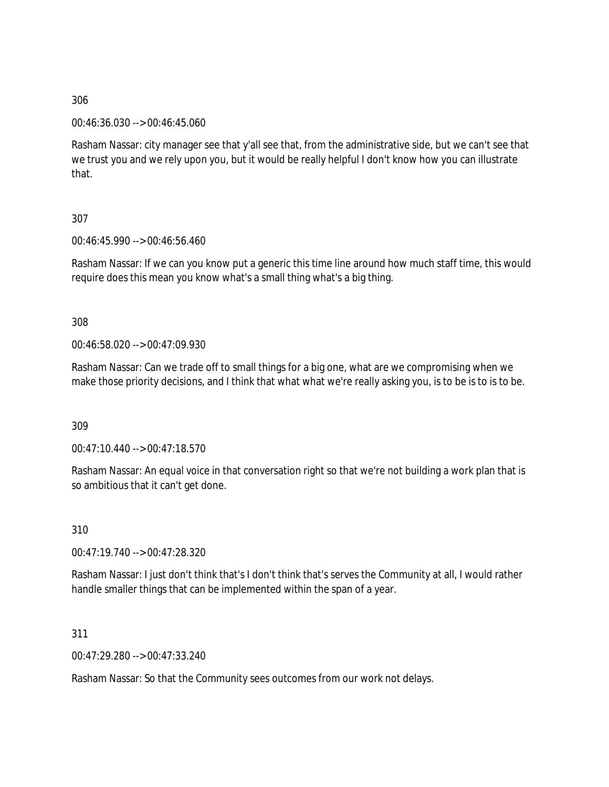00:46:36.030 --> 00:46:45.060

Rasham Nassar: city manager see that y'all see that, from the administrative side, but we can't see that we trust you and we rely upon you, but it would be really helpful I don't know how you can illustrate that.

## 307

00:46:45.990 --> 00:46:56.460

Rasham Nassar: If we can you know put a generic this time line around how much staff time, this would require does this mean you know what's a small thing what's a big thing.

### 308

00:46:58.020 --> 00:47:09.930

Rasham Nassar: Can we trade off to small things for a big one, what are we compromising when we make those priority decisions, and I think that what what we're really asking you, is to be is to is to be.

309

00:47:10.440 --> 00:47:18.570

Rasham Nassar: An equal voice in that conversation right so that we're not building a work plan that is so ambitious that it can't get done.

310

00:47:19.740 --> 00:47:28.320

Rasham Nassar: I just don't think that's I don't think that's serves the Community at all, I would rather handle smaller things that can be implemented within the span of a year.

### 311

00:47:29.280 --> 00:47:33.240

Rasham Nassar: So that the Community sees outcomes from our work not delays.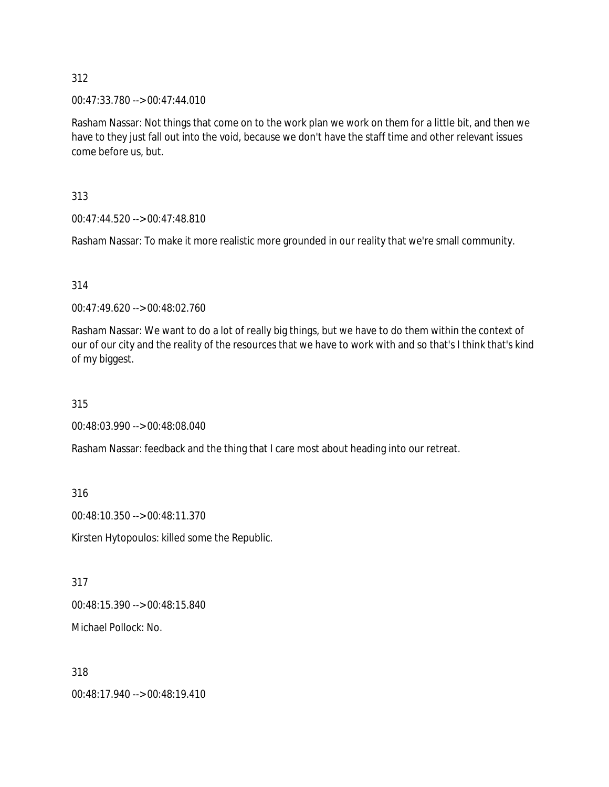00:47:33.780 --> 00:47:44.010

Rasham Nassar: Not things that come on to the work plan we work on them for a little bit, and then we have to they just fall out into the void, because we don't have the staff time and other relevant issues come before us, but.

313

00:47:44.520 --> 00:47:48.810

Rasham Nassar: To make it more realistic more grounded in our reality that we're small community.

314

00:47:49.620 --> 00:48:02.760

Rasham Nassar: We want to do a lot of really big things, but we have to do them within the context of our of our city and the reality of the resources that we have to work with and so that's I think that's kind of my biggest.

315

00:48:03.990 --> 00:48:08.040

Rasham Nassar: feedback and the thing that I care most about heading into our retreat.

316

00:48:10.350 --> 00:48:11.370

Kirsten Hytopoulos: killed some the Republic.

317

00:48:15.390 --> 00:48:15.840

Michael Pollock: No.

318

00:48:17.940 --> 00:48:19.410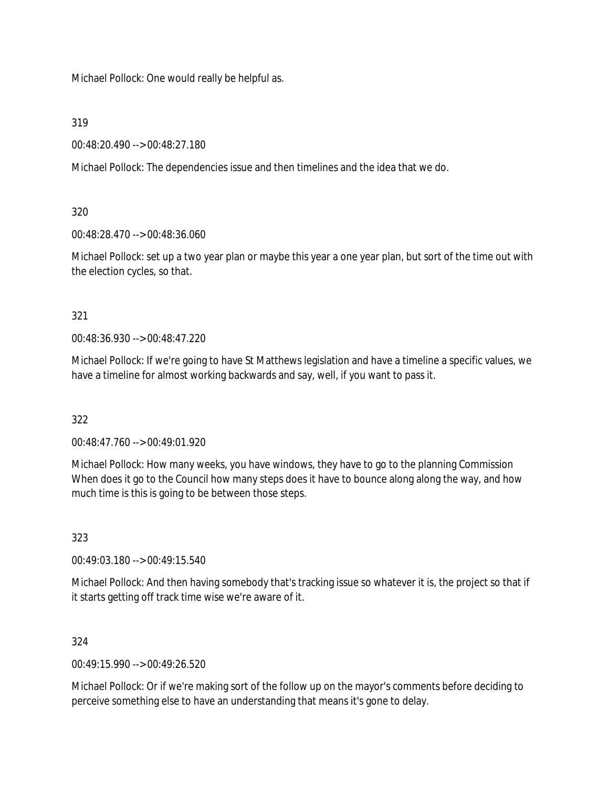Michael Pollock: One would really be helpful as.

319

00:48:20.490 --> 00:48:27.180

Michael Pollock: The dependencies issue and then timelines and the idea that we do.

320

00:48:28.470 --> 00:48:36.060

Michael Pollock: set up a two year plan or maybe this year a one year plan, but sort of the time out with the election cycles, so that.

321

00:48:36.930 --> 00:48:47.220

Michael Pollock: If we're going to have St Matthews legislation and have a timeline a specific values, we have a timeline for almost working backwards and say, well, if you want to pass it.

322

 $0.48:47.760 \rightarrow 0.00:49:01.920$ 

Michael Pollock: How many weeks, you have windows, they have to go to the planning Commission When does it go to the Council how many steps does it have to bounce along along the way, and how much time is this is going to be between those steps.

323

00:49:03.180 --> 00:49:15.540

Michael Pollock: And then having somebody that's tracking issue so whatever it is, the project so that if it starts getting off track time wise we're aware of it.

324

00:49:15.990 --> 00:49:26.520

Michael Pollock: Or if we're making sort of the follow up on the mayor's comments before deciding to perceive something else to have an understanding that means it's gone to delay.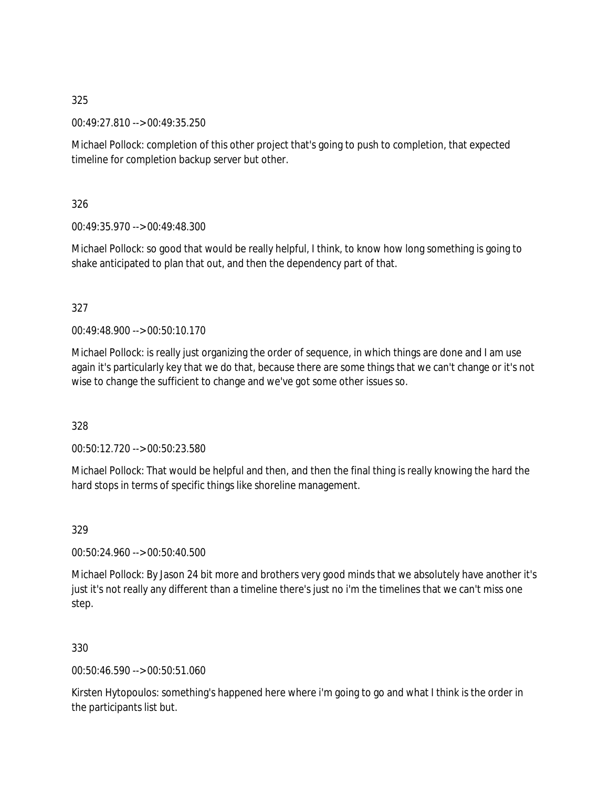00:49:27.810 --> 00:49:35.250

Michael Pollock: completion of this other project that's going to push to completion, that expected timeline for completion backup server but other.

326

00:49:35.970 --> 00:49:48.300

Michael Pollock: so good that would be really helpful, I think, to know how long something is going to shake anticipated to plan that out, and then the dependency part of that.

327

00:49:48.900 --> 00:50:10.170

Michael Pollock: is really just organizing the order of sequence, in which things are done and I am use again it's particularly key that we do that, because there are some things that we can't change or it's not wise to change the sufficient to change and we've got some other issues so.

328

00:50:12.720 --> 00:50:23.580

Michael Pollock: That would be helpful and then, and then the final thing is really knowing the hard the hard stops in terms of specific things like shoreline management.

329

00:50:24.960 --> 00:50:40.500

Michael Pollock: By Jason 24 bit more and brothers very good minds that we absolutely have another it's just it's not really any different than a timeline there's just no i'm the timelines that we can't miss one step.

330

00:50:46.590 --> 00:50:51.060

Kirsten Hytopoulos: something's happened here where i'm going to go and what I think is the order in the participants list but.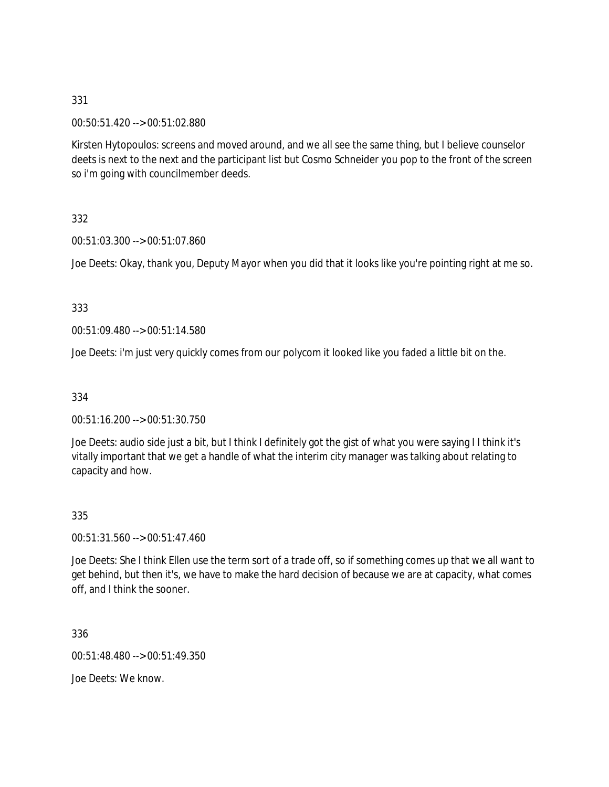00:50:51.420 --> 00:51:02.880

Kirsten Hytopoulos: screens and moved around, and we all see the same thing, but I believe counselor deets is next to the next and the participant list but Cosmo Schneider you pop to the front of the screen so i'm going with councilmember deeds.

332

00:51:03.300 --> 00:51:07.860

Joe Deets: Okay, thank you, Deputy Mayor when you did that it looks like you're pointing right at me so.

333

00:51:09.480 --> 00:51:14.580

Joe Deets: i'm just very quickly comes from our polycom it looked like you faded a little bit on the.

334

00:51:16.200 --> 00:51:30.750

Joe Deets: audio side just a bit, but I think I definitely got the gist of what you were saying I I think it's vitally important that we get a handle of what the interim city manager was talking about relating to capacity and how.

335

00:51:31.560 --> 00:51:47.460

Joe Deets: She I think Ellen use the term sort of a trade off, so if something comes up that we all want to get behind, but then it's, we have to make the hard decision of because we are at capacity, what comes off, and I think the sooner.

336

00:51:48.480 --> 00:51:49.350

Joe Deets: We know.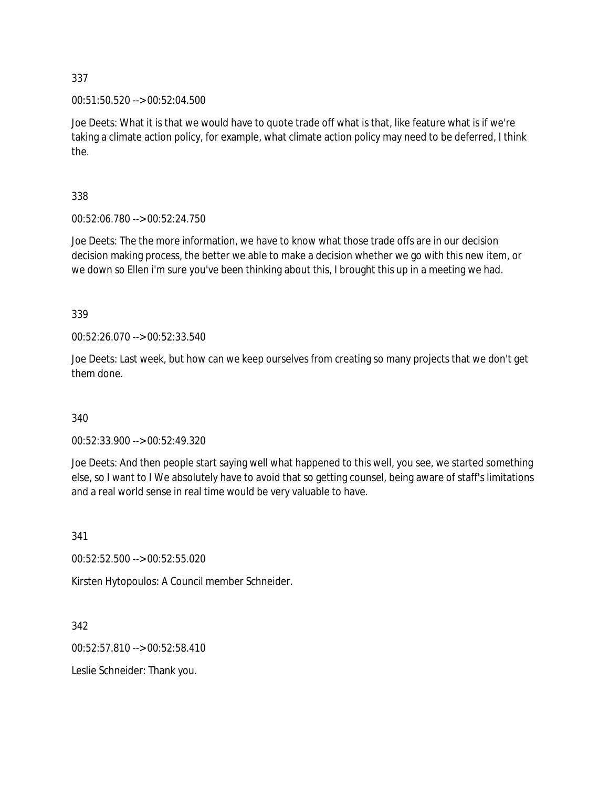00:51:50.520 --> 00:52:04.500

Joe Deets: What it is that we would have to quote trade off what is that, like feature what is if we're taking a climate action policy, for example, what climate action policy may need to be deferred, I think the.

338

00:52:06.780 --> 00:52:24.750

Joe Deets: The the more information, we have to know what those trade offs are in our decision decision making process, the better we able to make a decision whether we go with this new item, or we down so Ellen i'm sure you've been thinking about this, I brought this up in a meeting we had.

339

00:52:26.070 --> 00:52:33.540

Joe Deets: Last week, but how can we keep ourselves from creating so many projects that we don't get them done.

340

00:52:33.900 --> 00:52:49.320

Joe Deets: And then people start saying well what happened to this well, you see, we started something else, so I want to I We absolutely have to avoid that so getting counsel, being aware of staff's limitations and a real world sense in real time would be very valuable to have.

341

00:52:52.500 --> 00:52:55.020

Kirsten Hytopoulos: A Council member Schneider.

342

00:52:57.810 --> 00:52:58.410

Leslie Schneider: Thank you.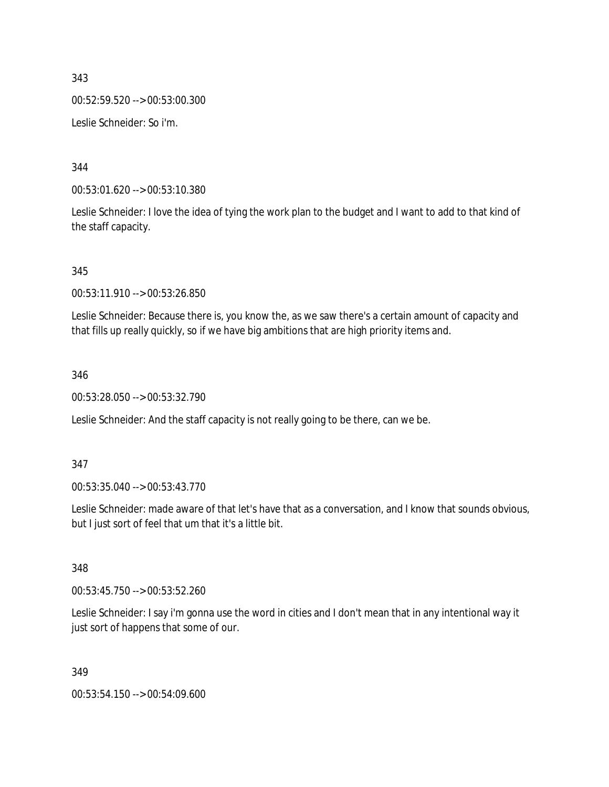343 00:52:59.520 --> 00:53:00.300 Leslie Schneider: So i'm.

344

00:53:01.620 --> 00:53:10.380

Leslie Schneider: I love the idea of tying the work plan to the budget and I want to add to that kind of the staff capacity.

345

00:53:11.910 --> 00:53:26.850

Leslie Schneider: Because there is, you know the, as we saw there's a certain amount of capacity and that fills up really quickly, so if we have big ambitions that are high priority items and.

346

00:53:28.050 --> 00:53:32.790

Leslie Schneider: And the staff capacity is not really going to be there, can we be.

347

00:53:35.040 --> 00:53:43.770

Leslie Schneider: made aware of that let's have that as a conversation, and I know that sounds obvious, but I just sort of feel that um that it's a little bit.

348

00:53:45.750 --> 00:53:52.260

Leslie Schneider: I say i'm gonna use the word in cities and I don't mean that in any intentional way it just sort of happens that some of our.

349

00:53:54.150 --> 00:54:09.600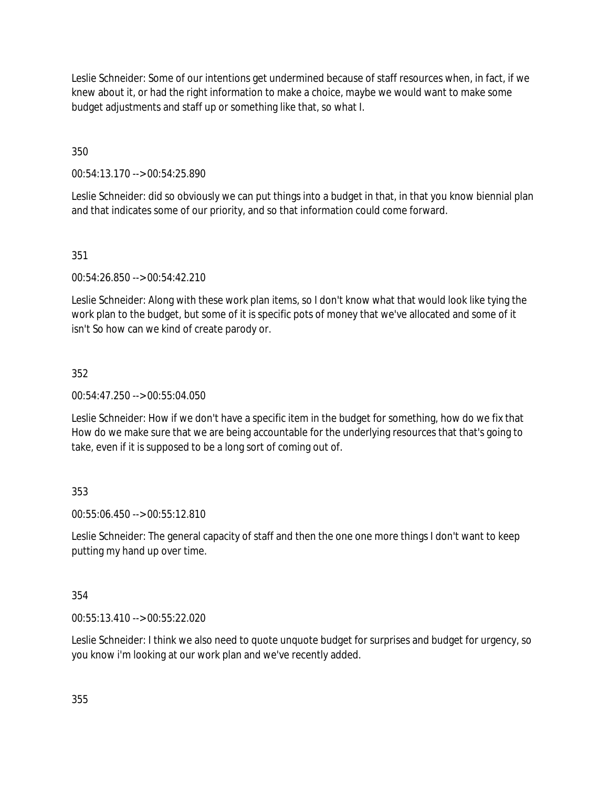Leslie Schneider: Some of our intentions get undermined because of staff resources when, in fact, if we knew about it, or had the right information to make a choice, maybe we would want to make some budget adjustments and staff up or something like that, so what I.

350

00:54:13.170 --> 00:54:25.890

Leslie Schneider: did so obviously we can put things into a budget in that, in that you know biennial plan and that indicates some of our priority, and so that information could come forward.

## 351

00:54:26.850 --> 00:54:42.210

Leslie Schneider: Along with these work plan items, so I don't know what that would look like tying the work plan to the budget, but some of it is specific pots of money that we've allocated and some of it isn't So how can we kind of create parody or.

### 352

00:54:47.250 --> 00:55:04.050

Leslie Schneider: How if we don't have a specific item in the budget for something, how do we fix that How do we make sure that we are being accountable for the underlying resources that that's going to take, even if it is supposed to be a long sort of coming out of.

## 353

00:55:06.450 --> 00:55:12.810

Leslie Schneider: The general capacity of staff and then the one one more things I don't want to keep putting my hand up over time.

### 354

00:55:13.410 --> 00:55:22.020

Leslie Schneider: I think we also need to quote unquote budget for surprises and budget for urgency, so you know i'm looking at our work plan and we've recently added.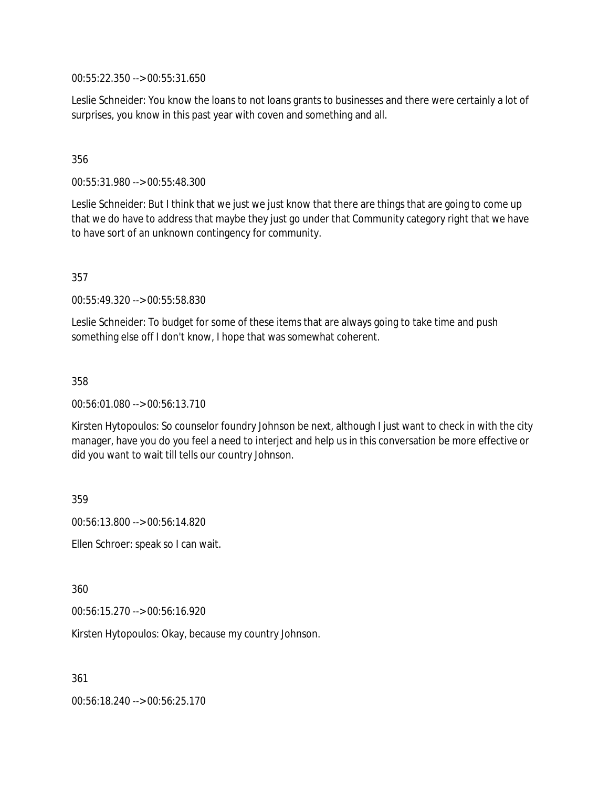00:55:22.350 --> 00:55:31.650

Leslie Schneider: You know the loans to not loans grants to businesses and there were certainly a lot of surprises, you know in this past year with coven and something and all.

#### 356

00:55:31.980 --> 00:55:48.300

Leslie Schneider: But I think that we just we just know that there are things that are going to come up that we do have to address that maybe they just go under that Community category right that we have to have sort of an unknown contingency for community.

357

00:55:49.320 --> 00:55:58.830

Leslie Schneider: To budget for some of these items that are always going to take time and push something else off I don't know, I hope that was somewhat coherent.

358

00:56:01.080 --> 00:56:13.710

Kirsten Hytopoulos: So counselor foundry Johnson be next, although I just want to check in with the city manager, have you do you feel a need to interject and help us in this conversation be more effective or did you want to wait till tells our country Johnson.

359

00:56:13.800 --> 00:56:14.820

Ellen Schroer: speak so I can wait.

360

00:56:15.270 --> 00:56:16.920

Kirsten Hytopoulos: Okay, because my country Johnson.

361

00:56:18.240 --> 00:56:25.170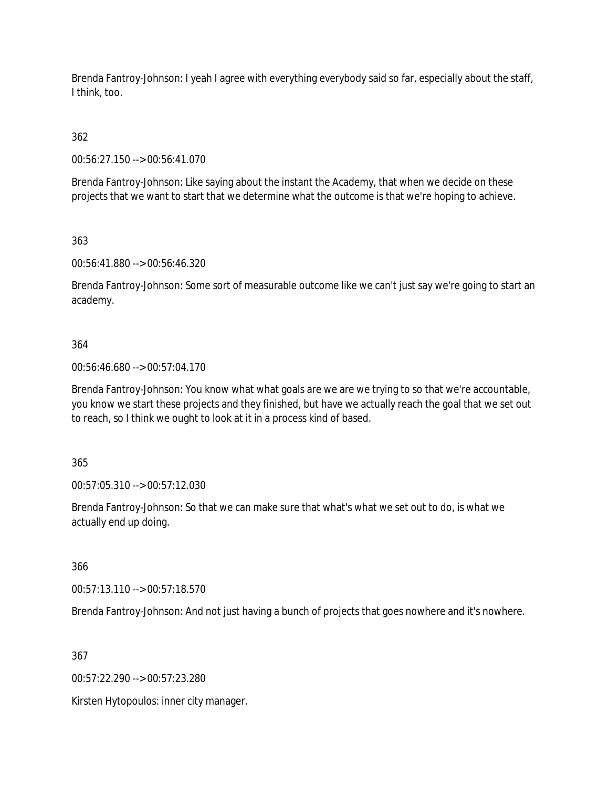Brenda Fantroy-Johnson: I yeah I agree with everything everybody said so far, especially about the staff, I think, too.

362

00:56:27.150 --> 00:56:41.070

Brenda Fantroy-Johnson: Like saying about the instant the Academy, that when we decide on these projects that we want to start that we determine what the outcome is that we're hoping to achieve.

363

00:56:41.880 --> 00:56:46.320

Brenda Fantroy-Johnson: Some sort of measurable outcome like we can't just say we're going to start an academy.

### 364

00:56:46.680 --> 00:57:04.170

Brenda Fantroy-Johnson: You know what what goals are we are we trying to so that we're accountable, you know we start these projects and they finished, but have we actually reach the goal that we set out to reach, so I think we ought to look at it in a process kind of based.

365

00:57:05.310 --> 00:57:12.030

Brenda Fantroy-Johnson: So that we can make sure that what's what we set out to do, is what we actually end up doing.

366

00:57:13.110 --> 00:57:18.570

Brenda Fantroy-Johnson: And not just having a bunch of projects that goes nowhere and it's nowhere.

367

00:57:22.290 --> 00:57:23.280

Kirsten Hytopoulos: inner city manager.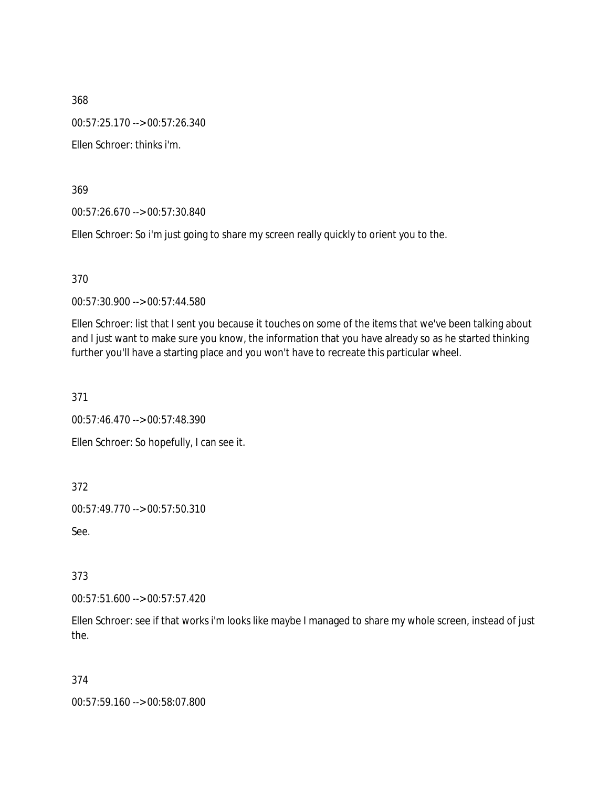368 00:57:25.170 --> 00:57:26.340 Ellen Schroer: thinks i'm.

369

00:57:26.670 --> 00:57:30.840

Ellen Schroer: So i'm just going to share my screen really quickly to orient you to the.

370

00:57:30.900 --> 00:57:44.580

Ellen Schroer: list that I sent you because it touches on some of the items that we've been talking about and I just want to make sure you know, the information that you have already so as he started thinking further you'll have a starting place and you won't have to recreate this particular wheel.

371

00:57:46.470 --> 00:57:48.390

Ellen Schroer: So hopefully, I can see it.

372

00:57:49.770 --> 00:57:50.310

See.

373

00:57:51.600 --> 00:57:57.420

Ellen Schroer: see if that works i'm looks like maybe I managed to share my whole screen, instead of just the.

374

00:57:59.160 --> 00:58:07.800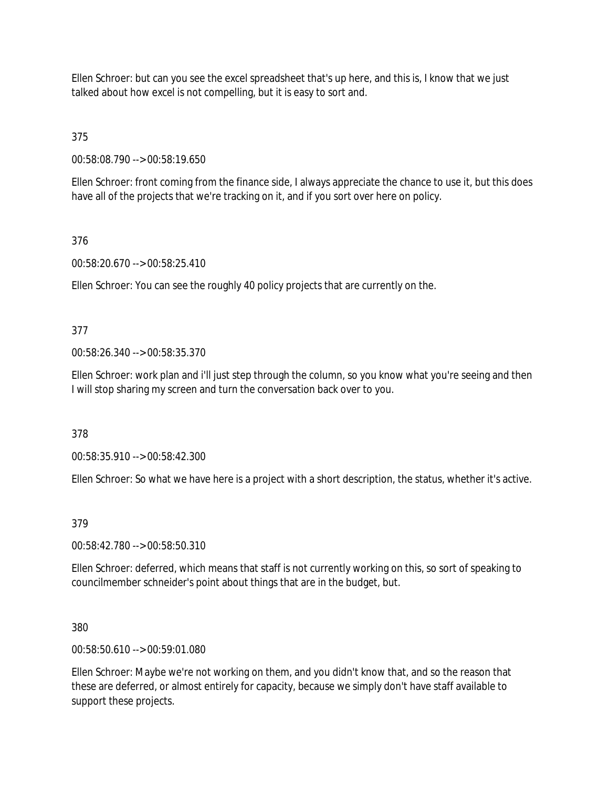Ellen Schroer: but can you see the excel spreadsheet that's up here, and this is, I know that we just talked about how excel is not compelling, but it is easy to sort and.

375

00:58:08.790 --> 00:58:19.650

Ellen Schroer: front coming from the finance side, I always appreciate the chance to use it, but this does have all of the projects that we're tracking on it, and if you sort over here on policy.

# 376

00:58:20.670 --> 00:58:25.410

Ellen Schroer: You can see the roughly 40 policy projects that are currently on the.

## 377

00:58:26.340 --> 00:58:35.370

Ellen Schroer: work plan and i'll just step through the column, so you know what you're seeing and then I will stop sharing my screen and turn the conversation back over to you.

378

00:58:35.910 --> 00:58:42.300

Ellen Schroer: So what we have here is a project with a short description, the status, whether it's active.

## 379

00:58:42.780 --> 00:58:50.310

Ellen Schroer: deferred, which means that staff is not currently working on this, so sort of speaking to councilmember schneider's point about things that are in the budget, but.

380

00:58:50.610 --> 00:59:01.080

Ellen Schroer: Maybe we're not working on them, and you didn't know that, and so the reason that these are deferred, or almost entirely for capacity, because we simply don't have staff available to support these projects.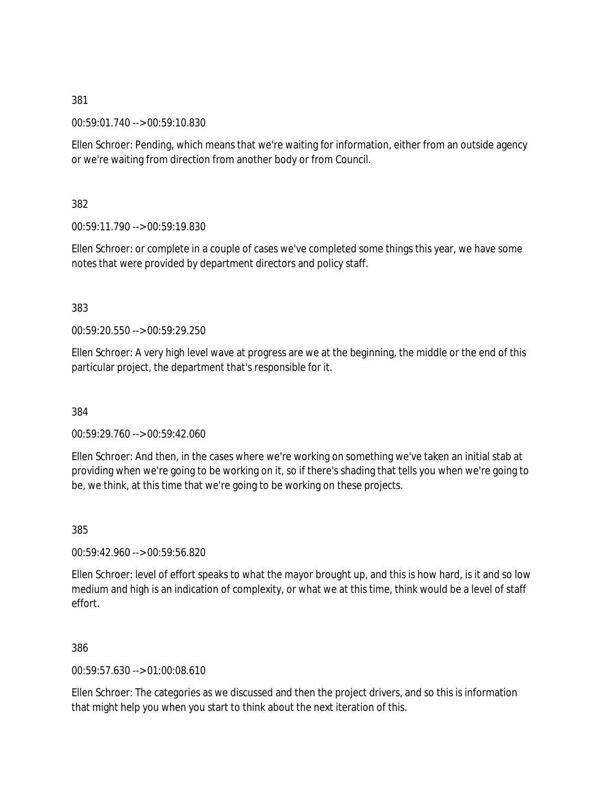00:59:01.740 --> 00:59:10.830

Ellen Schroer: Pending, which means that we're waiting for information, either from an outside agency or we're waiting from direction from another body or from Council.

382

00:59:11.790 --> 00:59:19.830

Ellen Schroer: or complete in a couple of cases we've completed some things this year, we have some notes that were provided by department directors and policy staff.

383

00:59:20.550 --> 00:59:29.250

Ellen Schroer: A very high level wave at progress are we at the beginning, the middle or the end of this particular project, the department that's responsible for it.

384

00:59:29.760 --> 00:59:42.060

Ellen Schroer: And then, in the cases where we're working on something we've taken an initial stab at providing when we're going to be working on it, so if there's shading that tells you when we're going to be, we think, at this time that we're going to be working on these projects.

385

00:59:42.960 --> 00:59:56.820

Ellen Schroer: level of effort speaks to what the mayor brought up, and this is how hard, is it and so low medium and high is an indication of complexity, or what we at this time, think would be a level of staff effort.

386

00:59:57.630 --> 01:00:08.610

Ellen Schroer: The categories as we discussed and then the project drivers, and so this is information that might help you when you start to think about the next iteration of this.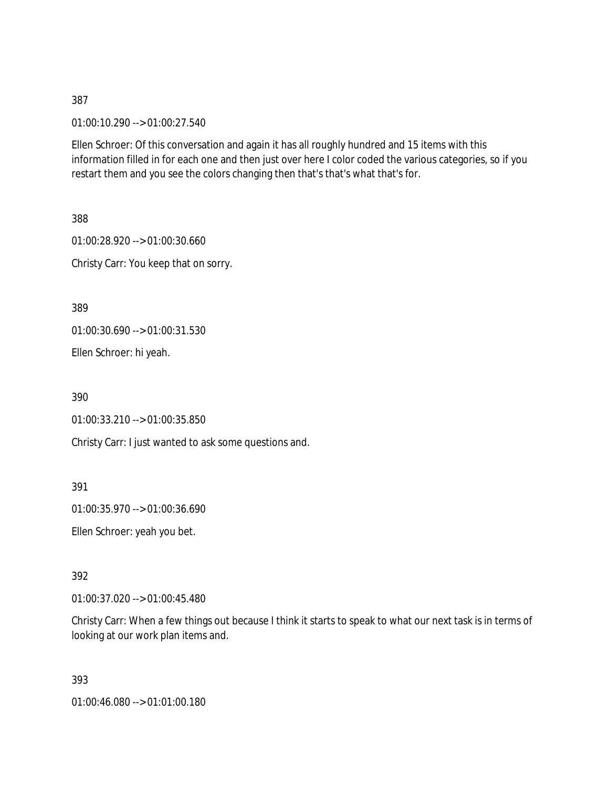01:00:10.290 --> 01:00:27.540

Ellen Schroer: Of this conversation and again it has all roughly hundred and 15 items with this information filled in for each one and then just over here I color coded the various categories, so if you restart them and you see the colors changing then that's that's what that's for.

388 01:00:28.920 --> 01:00:30.660 Christy Carr: You keep that on sorry.

389

01:00:30.690 --> 01:00:31.530

Ellen Schroer: hi yeah.

390

01:00:33.210 --> 01:00:35.850

Christy Carr: I just wanted to ask some questions and.

391

01:00:35.970 --> 01:00:36.690

Ellen Schroer: yeah you bet.

392

01:00:37.020 --> 01:00:45.480

Christy Carr: When a few things out because I think it starts to speak to what our next task is in terms of looking at our work plan items and.

393

01:00:46.080 --> 01:01:00.180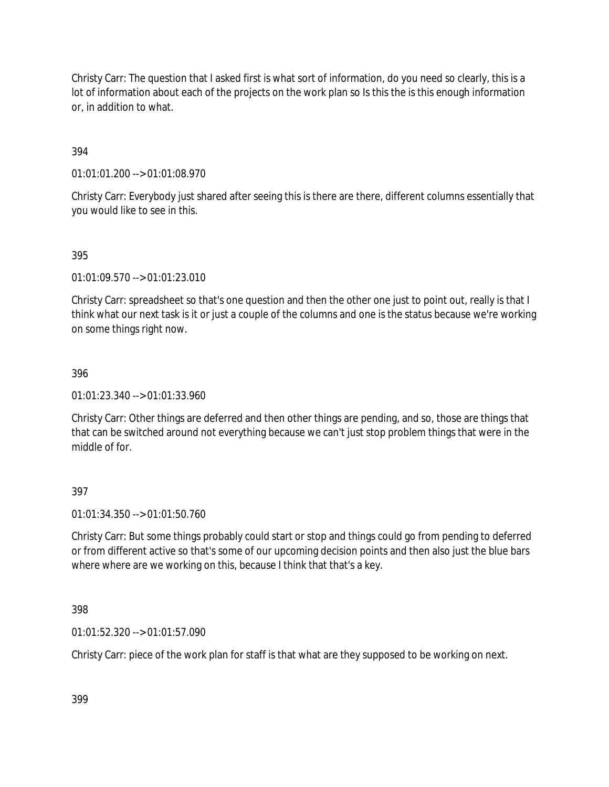Christy Carr: The question that I asked first is what sort of information, do you need so clearly, this is a lot of information about each of the projects on the work plan so Is this the is this enough information or, in addition to what.

## 394

01:01:01.200 --> 01:01:08.970

Christy Carr: Everybody just shared after seeing this is there are there, different columns essentially that you would like to see in this.

### 395

01:01:09.570 --> 01:01:23.010

Christy Carr: spreadsheet so that's one question and then the other one just to point out, really is that I think what our next task is it or just a couple of the columns and one is the status because we're working on some things right now.

### 396

01:01:23.340 --> 01:01:33.960

Christy Carr: Other things are deferred and then other things are pending, and so, those are things that that can be switched around not everything because we can't just stop problem things that were in the middle of for.

### 397

01:01:34.350 --> 01:01:50.760

Christy Carr: But some things probably could start or stop and things could go from pending to deferred or from different active so that's some of our upcoming decision points and then also just the blue bars where where are we working on this, because I think that that's a key.

398

01:01:52.320 --> 01:01:57.090

Christy Carr: piece of the work plan for staff is that what are they supposed to be working on next.

399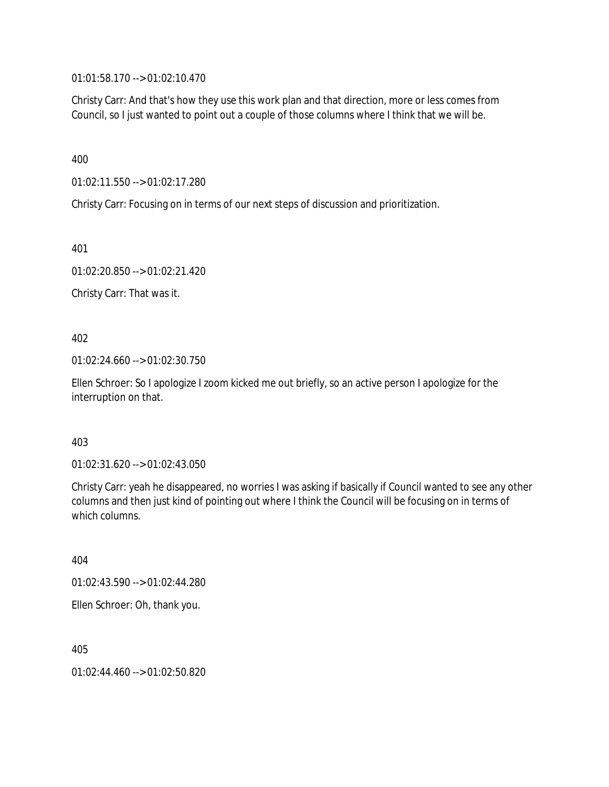01:01:58.170 --> 01:02:10.470

Christy Carr: And that's how they use this work plan and that direction, more or less comes from Council, so I just wanted to point out a couple of those columns where I think that we will be.

400

01:02:11.550 --> 01:02:17.280

Christy Carr: Focusing on in terms of our next steps of discussion and prioritization.

401

01:02:20.850 --> 01:02:21.420

Christy Carr: That was it.

402

01:02:24.660 --> 01:02:30.750

Ellen Schroer: So I apologize I zoom kicked me out briefly, so an active person I apologize for the interruption on that.

403

01:02:31.620 --> 01:02:43.050

Christy Carr: yeah he disappeared, no worries I was asking if basically if Council wanted to see any other columns and then just kind of pointing out where I think the Council will be focusing on in terms of which columns.

404

01:02:43.590 --> 01:02:44.280

Ellen Schroer: Oh, thank you.

405

01:02:44.460 --> 01:02:50.820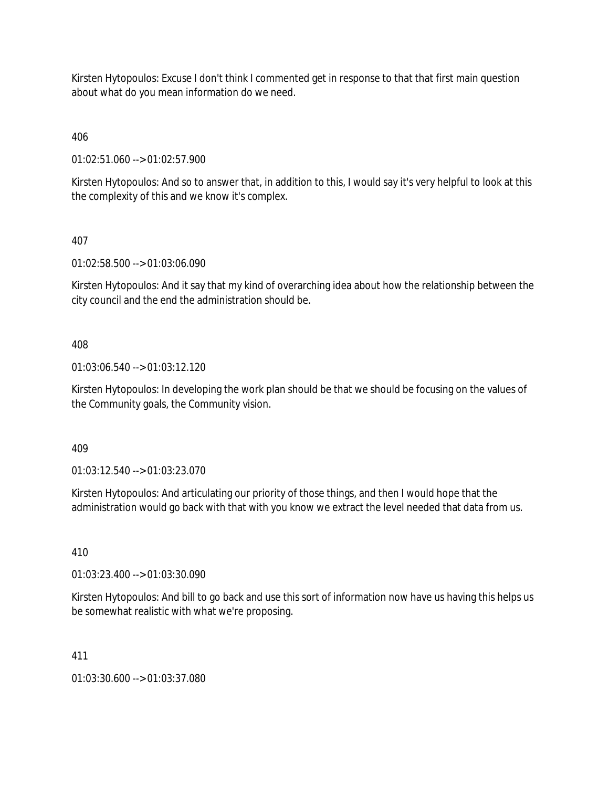Kirsten Hytopoulos: Excuse I don't think I commented get in response to that that first main question about what do you mean information do we need.

406

01:02:51.060 --> 01:02:57.900

Kirsten Hytopoulos: And so to answer that, in addition to this, I would say it's very helpful to look at this the complexity of this and we know it's complex.

### 407

01:02:58.500 --> 01:03:06.090

Kirsten Hytopoulos: And it say that my kind of overarching idea about how the relationship between the city council and the end the administration should be.

### 408

01:03:06.540 --> 01:03:12.120

Kirsten Hytopoulos: In developing the work plan should be that we should be focusing on the values of the Community goals, the Community vision.

409

01:03:12.540 --> 01:03:23.070

Kirsten Hytopoulos: And articulating our priority of those things, and then I would hope that the administration would go back with that with you know we extract the level needed that data from us.

410

01:03:23.400 --> 01:03:30.090

Kirsten Hytopoulos: And bill to go back and use this sort of information now have us having this helps us be somewhat realistic with what we're proposing.

### 411

01:03:30.600 --> 01:03:37.080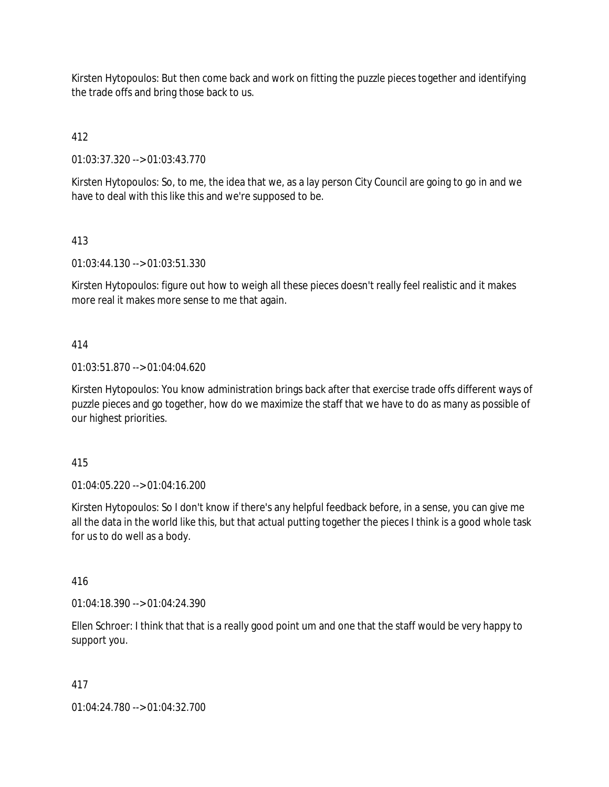Kirsten Hytopoulos: But then come back and work on fitting the puzzle pieces together and identifying the trade offs and bring those back to us.

# 412

01:03:37.320 --> 01:03:43.770

Kirsten Hytopoulos: So, to me, the idea that we, as a lay person City Council are going to go in and we have to deal with this like this and we're supposed to be.

## 413

01:03:44.130 --> 01:03:51.330

Kirsten Hytopoulos: figure out how to weigh all these pieces doesn't really feel realistic and it makes more real it makes more sense to me that again.

## 414

01:03:51.870 --> 01:04:04.620

Kirsten Hytopoulos: You know administration brings back after that exercise trade offs different ways of puzzle pieces and go together, how do we maximize the staff that we have to do as many as possible of our highest priorities.

### 415

01:04:05.220 --> 01:04:16.200

Kirsten Hytopoulos: So I don't know if there's any helpful feedback before, in a sense, you can give me all the data in the world like this, but that actual putting together the pieces I think is a good whole task for us to do well as a body.

## 416

01:04:18.390 --> 01:04:24.390

Ellen Schroer: I think that that is a really good point um and one that the staff would be very happy to support you.

### 417

01:04:24.780 --> 01:04:32.700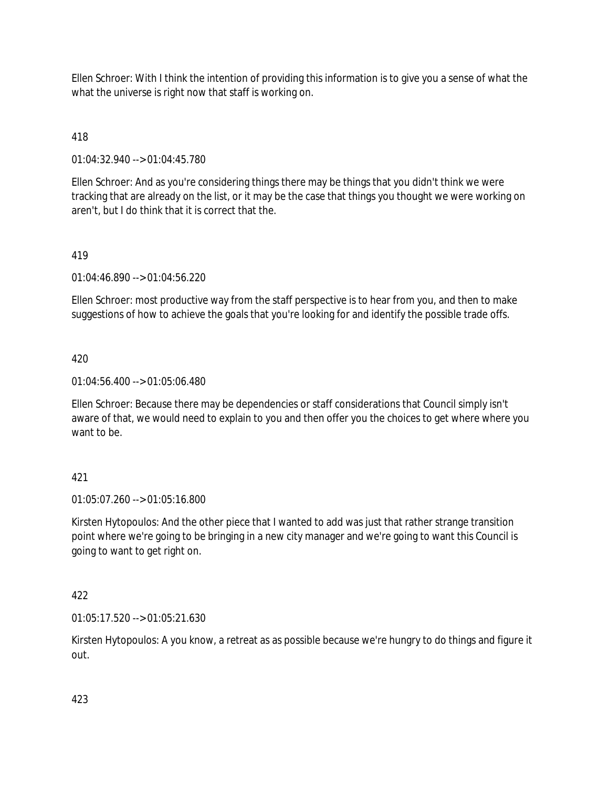Ellen Schroer: With I think the intention of providing this information is to give you a sense of what the what the universe is right now that staff is working on.

# 418

01:04:32.940 --> 01:04:45.780

Ellen Schroer: And as you're considering things there may be things that you didn't think we were tracking that are already on the list, or it may be the case that things you thought we were working on aren't, but I do think that it is correct that the.

## 419

01:04:46.890 --> 01:04:56.220

Ellen Schroer: most productive way from the staff perspective is to hear from you, and then to make suggestions of how to achieve the goals that you're looking for and identify the possible trade offs.

### 420

01:04:56.400 --> 01:05:06.480

Ellen Schroer: Because there may be dependencies or staff considerations that Council simply isn't aware of that, we would need to explain to you and then offer you the choices to get where where you want to be.

## 421

01:05:07.260 --> 01:05:16.800

Kirsten Hytopoulos: And the other piece that I wanted to add was just that rather strange transition point where we're going to be bringing in a new city manager and we're going to want this Council is going to want to get right on.

### 422

01:05:17.520 --> 01:05:21.630

Kirsten Hytopoulos: A you know, a retreat as as possible because we're hungry to do things and figure it out.

423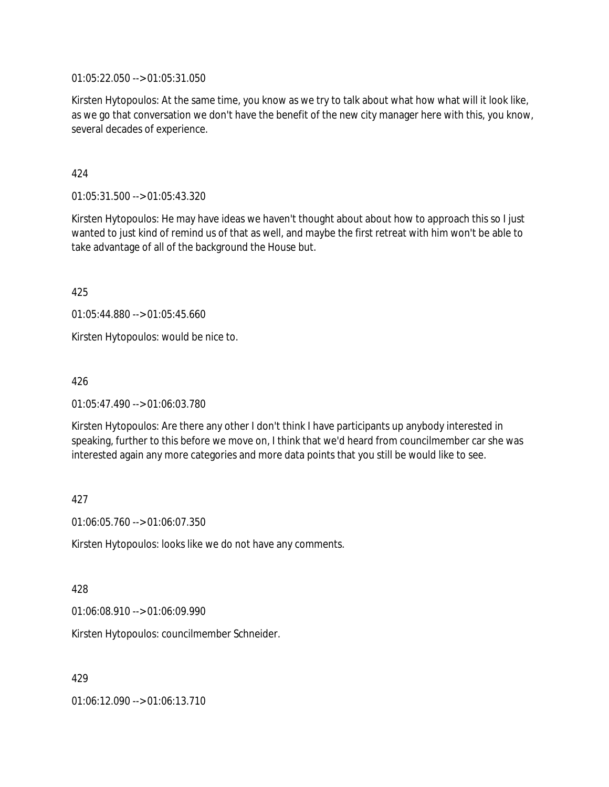01:05:22.050 --> 01:05:31.050

Kirsten Hytopoulos: At the same time, you know as we try to talk about what how what will it look like, as we go that conversation we don't have the benefit of the new city manager here with this, you know, several decades of experience.

424

01:05:31.500 --> 01:05:43.320

Kirsten Hytopoulos: He may have ideas we haven't thought about about how to approach this so I just wanted to just kind of remind us of that as well, and maybe the first retreat with him won't be able to take advantage of all of the background the House but.

425

01:05:44.880 --> 01:05:45.660

Kirsten Hytopoulos: would be nice to.

426

01:05:47.490 --> 01:06:03.780

Kirsten Hytopoulos: Are there any other I don't think I have participants up anybody interested in speaking, further to this before we move on, I think that we'd heard from councilmember car she was interested again any more categories and more data points that you still be would like to see.

427

01:06:05.760 --> 01:06:07.350

Kirsten Hytopoulos: looks like we do not have any comments.

428

01:06:08.910 --> 01:06:09.990

Kirsten Hytopoulos: councilmember Schneider.

429

01:06:12.090 --> 01:06:13.710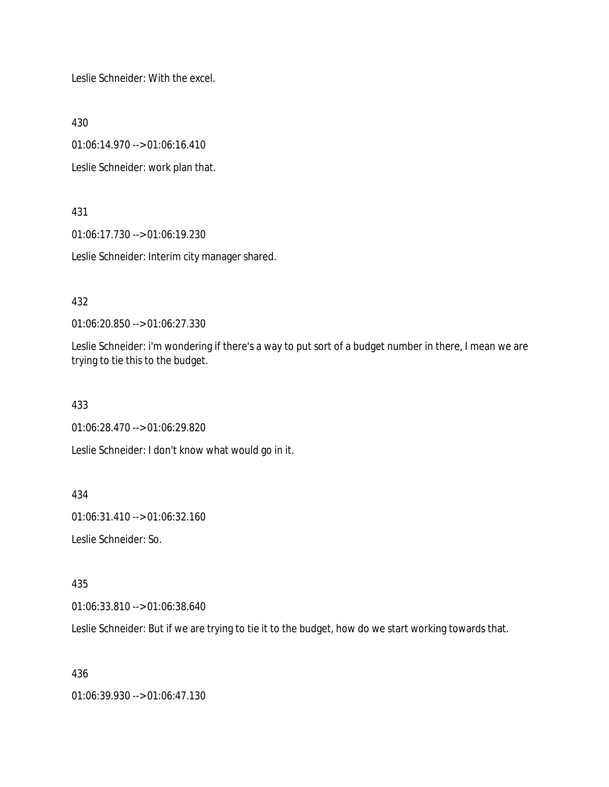Leslie Schneider: With the excel.

430

01:06:14.970 --> 01:06:16.410

Leslie Schneider: work plan that.

431

01:06:17.730 --> 01:06:19.230

Leslie Schneider: Interim city manager shared.

432

01:06:20.850 --> 01:06:27.330

Leslie Schneider: i'm wondering if there's a way to put sort of a budget number in there, I mean we are trying to tie this to the budget.

433

01:06:28.470 --> 01:06:29.820

Leslie Schneider: I don't know what would go in it.

434

01:06:31.410 --> 01:06:32.160

Leslie Schneider: So.

435

01:06:33.810 --> 01:06:38.640

Leslie Schneider: But if we are trying to tie it to the budget, how do we start working towards that.

436

01:06:39.930 --> 01:06:47.130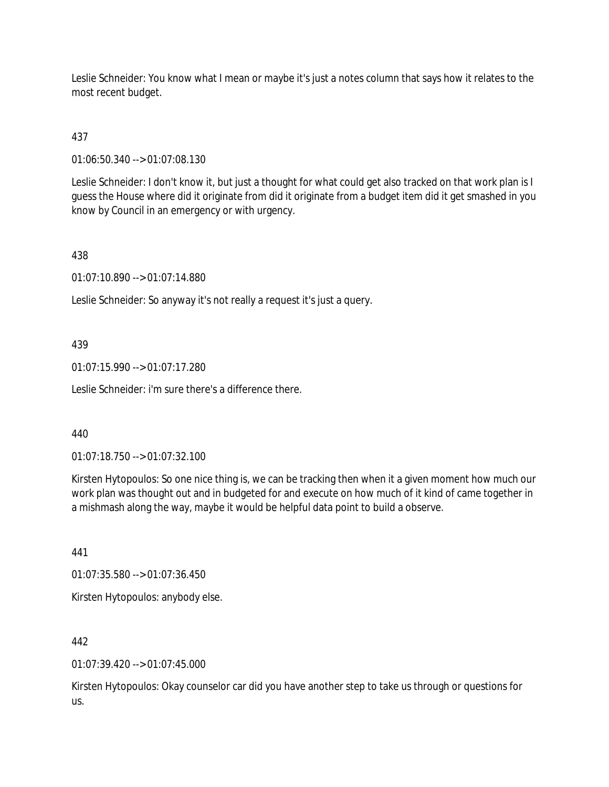Leslie Schneider: You know what I mean or maybe it's just a notes column that says how it relates to the most recent budget.

# 437

01:06:50.340 --> 01:07:08.130

Leslie Schneider: I don't know it, but just a thought for what could get also tracked on that work plan is I guess the House where did it originate from did it originate from a budget item did it get smashed in you know by Council in an emergency or with urgency.

### 438

01:07:10.890 --> 01:07:14.880

Leslie Schneider: So anyway it's not really a request it's just a query.

### 439

01:07:15.990 --> 01:07:17.280

Leslie Schneider: i'm sure there's a difference there.

### 440

01:07:18.750 --> 01:07:32.100

Kirsten Hytopoulos: So one nice thing is, we can be tracking then when it a given moment how much our work plan was thought out and in budgeted for and execute on how much of it kind of came together in a mishmash along the way, maybe it would be helpful data point to build a observe.

441

01:07:35.580 --> 01:07:36.450

Kirsten Hytopoulos: anybody else.

442

 $01:07:39.420 \rightarrow 01:07:45.000$ 

Kirsten Hytopoulos: Okay counselor car did you have another step to take us through or questions for us.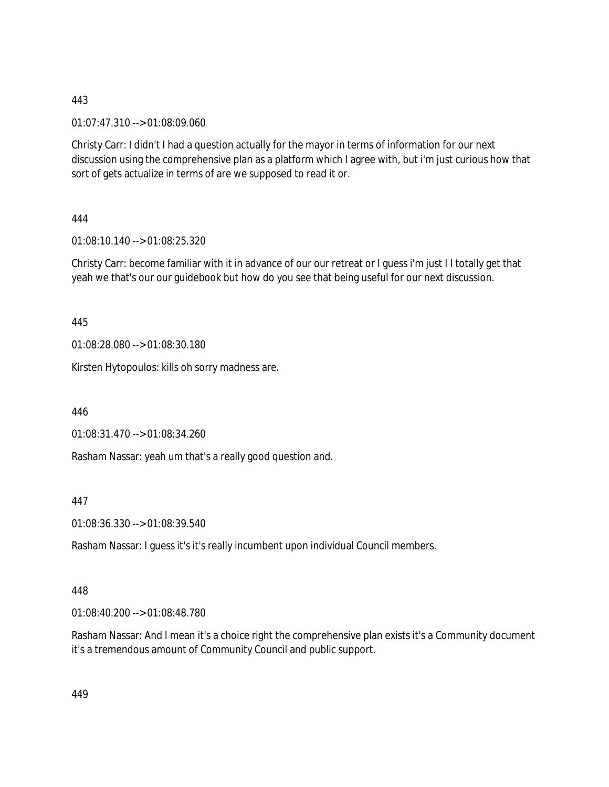01:07:47.310 --> 01:08:09.060

Christy Carr: I didn't I had a question actually for the mayor in terms of information for our next discussion using the comprehensive plan as a platform which I agree with, but i'm just curious how that sort of gets actualize in terms of are we supposed to read it or.

444

01:08:10.140 --> 01:08:25.320

Christy Carr: become familiar with it in advance of our our retreat or I guess i'm just I I totally get that yeah we that's our our guidebook but how do you see that being useful for our next discussion.

445

01:08:28.080 --> 01:08:30.180

Kirsten Hytopoulos: kills oh sorry madness are.

446

01:08:31.470 --> 01:08:34.260

Rasham Nassar: yeah um that's a really good question and.

447

01:08:36.330 --> 01:08:39.540

Rasham Nassar: I guess it's it's really incumbent upon individual Council members.

448

01:08:40.200 --> 01:08:48.780

Rasham Nassar: And I mean it's a choice right the comprehensive plan exists it's a Community document it's a tremendous amount of Community Council and public support.

449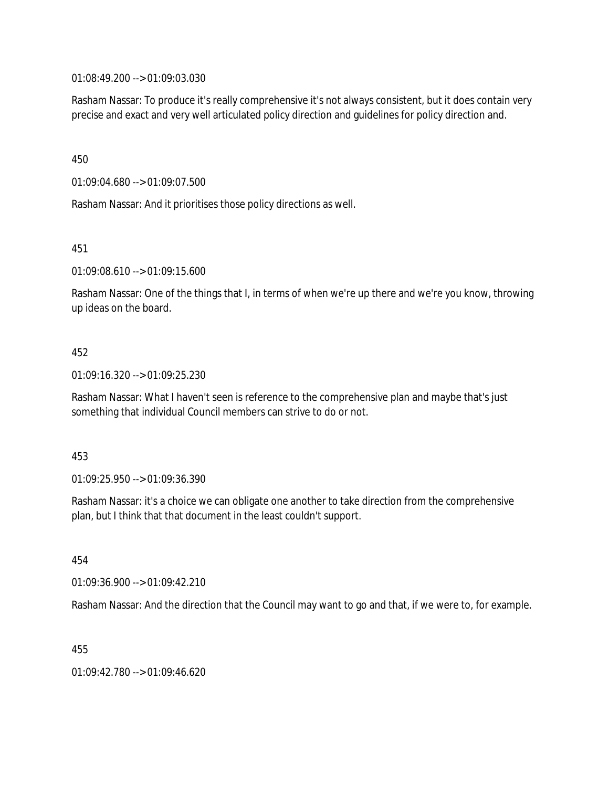01:08:49.200 --> 01:09:03.030

Rasham Nassar: To produce it's really comprehensive it's not always consistent, but it does contain very precise and exact and very well articulated policy direction and guidelines for policy direction and.

450

01:09:04.680 --> 01:09:07.500

Rasham Nassar: And it prioritises those policy directions as well.

451

01:09:08.610 --> 01:09:15.600

Rasham Nassar: One of the things that I, in terms of when we're up there and we're you know, throwing up ideas on the board.

### 452

01:09:16.320 --> 01:09:25.230

Rasham Nassar: What I haven't seen is reference to the comprehensive plan and maybe that's just something that individual Council members can strive to do or not.

#### 453

01:09:25.950 --> 01:09:36.390

Rasham Nassar: it's a choice we can obligate one another to take direction from the comprehensive plan, but I think that that document in the least couldn't support.

454

01:09:36.900 --> 01:09:42.210

Rasham Nassar: And the direction that the Council may want to go and that, if we were to, for example.

455

01:09:42.780 --> 01:09:46.620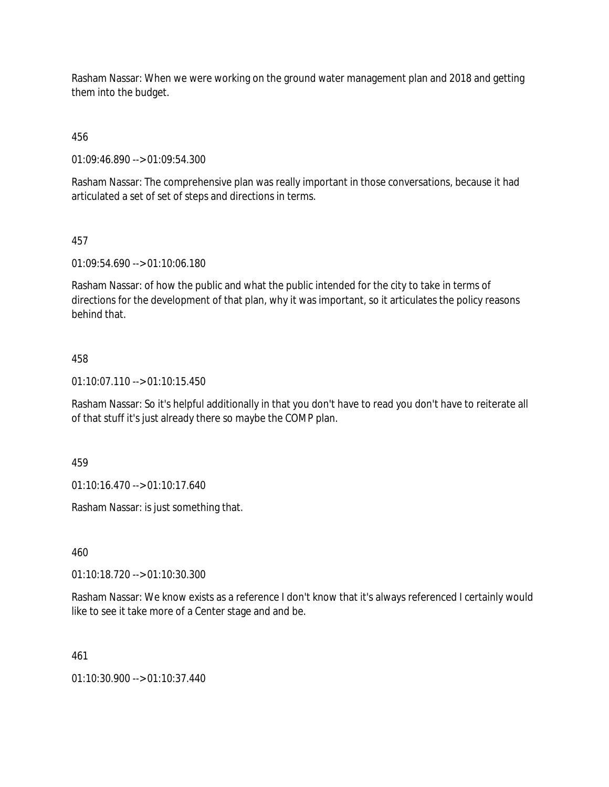Rasham Nassar: When we were working on the ground water management plan and 2018 and getting them into the budget.

456

01:09:46.890 --> 01:09:54.300

Rasham Nassar: The comprehensive plan was really important in those conversations, because it had articulated a set of set of steps and directions in terms.

## 457

01:09:54.690 --> 01:10:06.180

Rasham Nassar: of how the public and what the public intended for the city to take in terms of directions for the development of that plan, why it was important, so it articulates the policy reasons behind that.

## 458

01:10:07.110 --> 01:10:15.450

Rasham Nassar: So it's helpful additionally in that you don't have to read you don't have to reiterate all of that stuff it's just already there so maybe the COMP plan.

459

01:10:16.470 --> 01:10:17.640

Rasham Nassar: is just something that.

460

01:10:18.720 --> 01:10:30.300

Rasham Nassar: We know exists as a reference I don't know that it's always referenced I certainly would like to see it take more of a Center stage and and be.

461

01:10:30.900 --> 01:10:37.440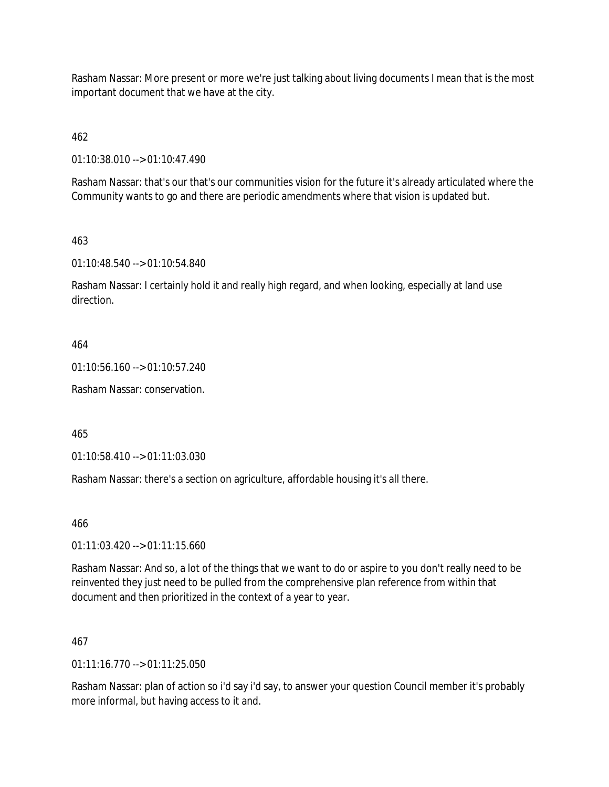Rasham Nassar: More present or more we're just talking about living documents I mean that is the most important document that we have at the city.

462

01:10:38.010 --> 01:10:47.490

Rasham Nassar: that's our that's our communities vision for the future it's already articulated where the Community wants to go and there are periodic amendments where that vision is updated but.

## 463

01:10:48.540 --> 01:10:54.840

Rasham Nassar: I certainly hold it and really high regard, and when looking, especially at land use direction.

## 464

01:10:56.160 --> 01:10:57.240

Rasham Nassar: conservation.

465

01:10:58.410 --> 01:11:03.030

Rasham Nassar: there's a section on agriculture, affordable housing it's all there.

466

01:11:03.420 --> 01:11:15.660

Rasham Nassar: And so, a lot of the things that we want to do or aspire to you don't really need to be reinvented they just need to be pulled from the comprehensive plan reference from within that document and then prioritized in the context of a year to year.

### 467

 $01:11:16.770 \rightarrow 01:11:25.050$ 

Rasham Nassar: plan of action so i'd say i'd say, to answer your question Council member it's probably more informal, but having access to it and.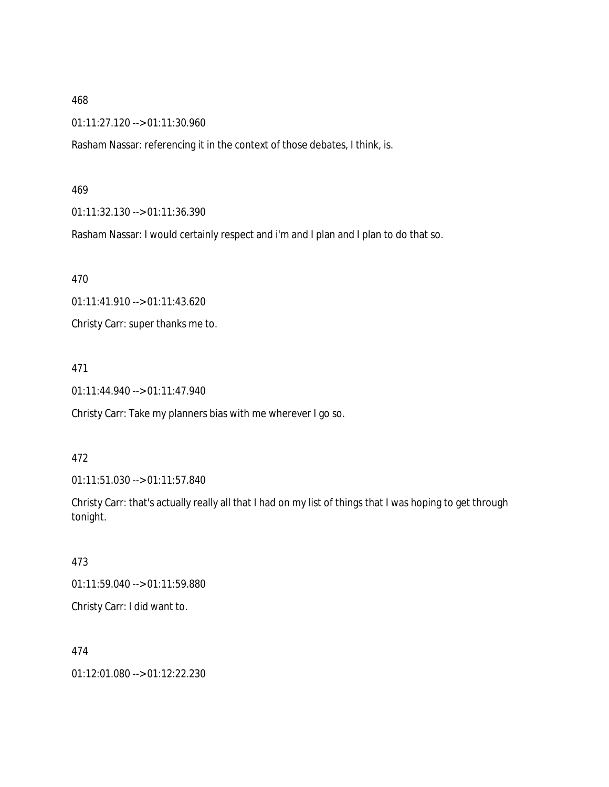01:11:27.120 --> 01:11:30.960

Rasham Nassar: referencing it in the context of those debates, I think, is.

469

01:11:32.130 --> 01:11:36.390

Rasham Nassar: I would certainly respect and i'm and I plan and I plan to do that so.

470

01:11:41.910 --> 01:11:43.620

Christy Carr: super thanks me to.

471

01:11:44.940 --> 01:11:47.940

Christy Carr: Take my planners bias with me wherever I go so.

472

01:11:51.030 --> 01:11:57.840

Christy Carr: that's actually really all that I had on my list of things that I was hoping to get through tonight.

473

01:11:59.040 --> 01:11:59.880

Christy Carr: I did want to.

474

01:12:01.080 --> 01:12:22.230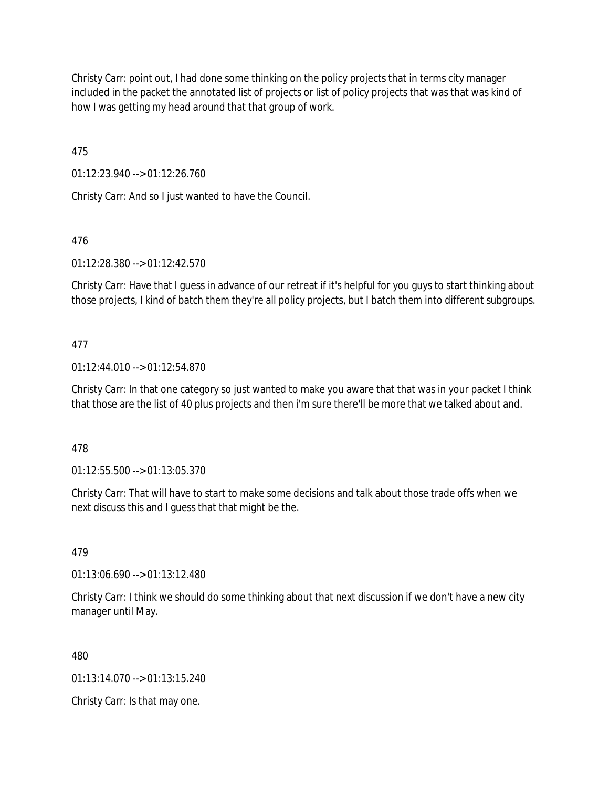Christy Carr: point out, I had done some thinking on the policy projects that in terms city manager included in the packet the annotated list of projects or list of policy projects that was that was kind of how I was getting my head around that that group of work.

475

01:12:23.940 --> 01:12:26.760

Christy Carr: And so I just wanted to have the Council.

# 476

01:12:28.380 --> 01:12:42.570

Christy Carr: Have that I guess in advance of our retreat if it's helpful for you guys to start thinking about those projects, I kind of batch them they're all policy projects, but I batch them into different subgroups.

## 477

01:12:44.010 --> 01:12:54.870

Christy Carr: In that one category so just wanted to make you aware that that was in your packet I think that those are the list of 40 plus projects and then i'm sure there'll be more that we talked about and.

## 478

01:12:55.500 --> 01:13:05.370

Christy Carr: That will have to start to make some decisions and talk about those trade offs when we next discuss this and I guess that that might be the.

## 479

01:13:06.690 --> 01:13:12.480

Christy Carr: I think we should do some thinking about that next discussion if we don't have a new city manager until May.

480

01:13:14.070 --> 01:13:15.240

Christy Carr: Is that may one.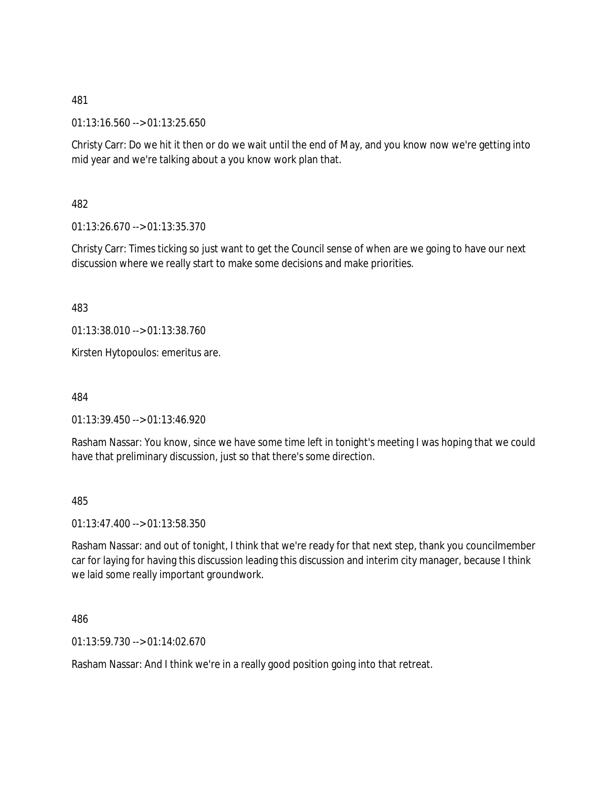01:13:16.560 --> 01:13:25.650

Christy Carr: Do we hit it then or do we wait until the end of May, and you know now we're getting into mid year and we're talking about a you know work plan that.

482

01:13:26.670 --> 01:13:35.370

Christy Carr: Times ticking so just want to get the Council sense of when are we going to have our next discussion where we really start to make some decisions and make priorities.

483

01:13:38.010 --> 01:13:38.760

Kirsten Hytopoulos: emeritus are.

484

01:13:39.450 --> 01:13:46.920

Rasham Nassar: You know, since we have some time left in tonight's meeting I was hoping that we could have that preliminary discussion, just so that there's some direction.

485

01:13:47.400 --> 01:13:58.350

Rasham Nassar: and out of tonight, I think that we're ready for that next step, thank you councilmember car for laying for having this discussion leading this discussion and interim city manager, because I think we laid some really important groundwork.

486

01:13:59.730 --> 01:14:02.670

Rasham Nassar: And I think we're in a really good position going into that retreat.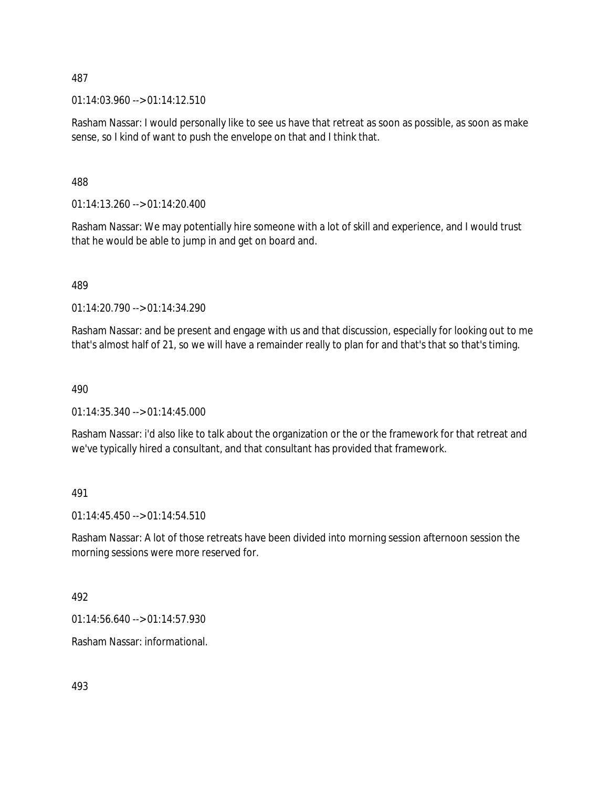$01:14:03.960 \rightarrow 01:14:12.510$ 

Rasham Nassar: I would personally like to see us have that retreat as soon as possible, as soon as make sense, so I kind of want to push the envelope on that and I think that.

488

01:14:13.260 --> 01:14:20.400

Rasham Nassar: We may potentially hire someone with a lot of skill and experience, and I would trust that he would be able to jump in and get on board and.

489

01:14:20.790 --> 01:14:34.290

Rasham Nassar: and be present and engage with us and that discussion, especially for looking out to me that's almost half of 21, so we will have a remainder really to plan for and that's that so that's timing.

490

 $01:14:35.340 \rightarrow 01:14:45.000$ 

Rasham Nassar: i'd also like to talk about the organization or the or the framework for that retreat and we've typically hired a consultant, and that consultant has provided that framework.

491

01:14:45.450 --> 01:14:54.510

Rasham Nassar: A lot of those retreats have been divided into morning session afternoon session the morning sessions were more reserved for.

492

01:14:56.640 --> 01:14:57.930

Rasham Nassar: informational.

493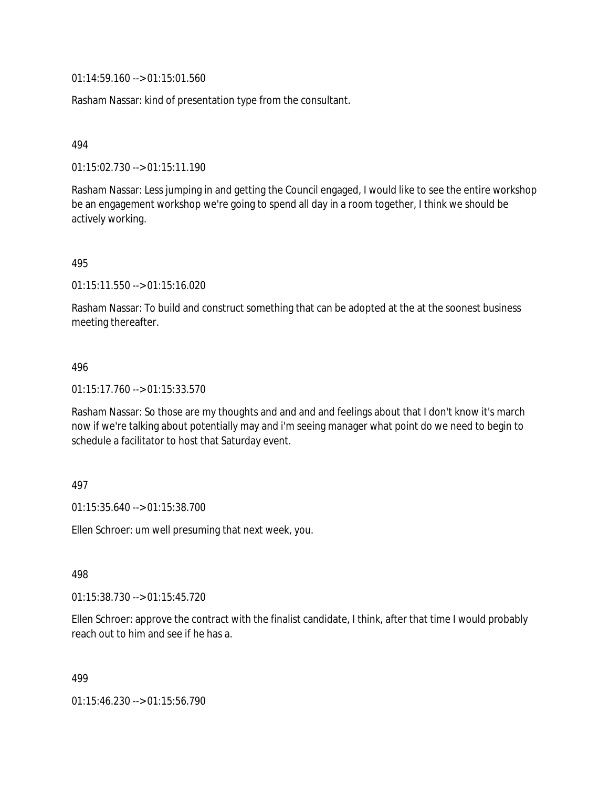01:14:59.160 --> 01:15:01.560

Rasham Nassar: kind of presentation type from the consultant.

494

01:15:02.730 --> 01:15:11.190

Rasham Nassar: Less jumping in and getting the Council engaged, I would like to see the entire workshop be an engagement workshop we're going to spend all day in a room together, I think we should be actively working.

495

01:15:11.550 --> 01:15:16.020

Rasham Nassar: To build and construct something that can be adopted at the at the soonest business meeting thereafter.

#### 496

01:15:17.760 --> 01:15:33.570

Rasham Nassar: So those are my thoughts and and and and feelings about that I don't know it's march now if we're talking about potentially may and i'm seeing manager what point do we need to begin to schedule a facilitator to host that Saturday event.

#### 497

01:15:35.640 --> 01:15:38.700

Ellen Schroer: um well presuming that next week, you.

498

01:15:38.730 --> 01:15:45.720

Ellen Schroer: approve the contract with the finalist candidate, I think, after that time I would probably reach out to him and see if he has a.

499

01:15:46.230 --> 01:15:56.790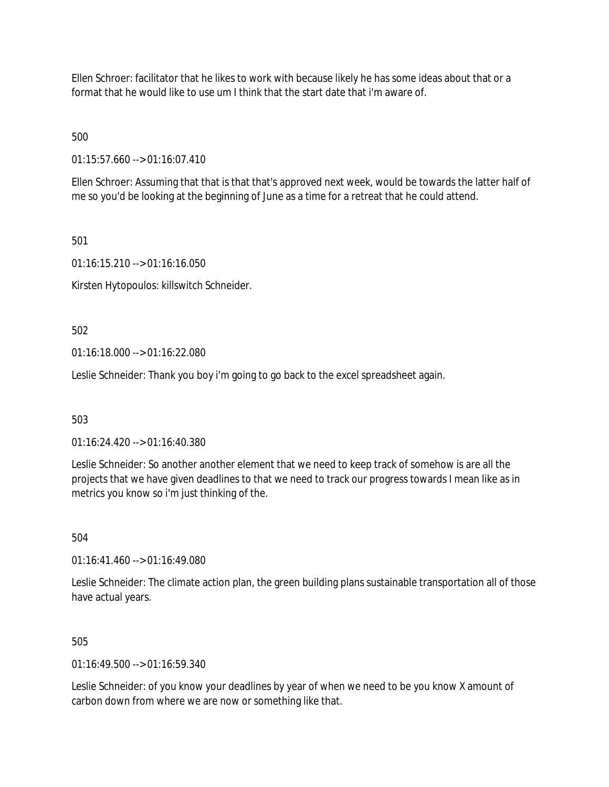Ellen Schroer: facilitator that he likes to work with because likely he has some ideas about that or a format that he would like to use um I think that the start date that i'm aware of.

500

01:15:57.660 --> 01:16:07.410

Ellen Schroer: Assuming that that is that that's approved next week, would be towards the latter half of me so you'd be looking at the beginning of June as a time for a retreat that he could attend.

501

01:16:15.210 --> 01:16:16.050

Kirsten Hytopoulos: killswitch Schneider.

502

01:16:18.000 --> 01:16:22.080

Leslie Schneider: Thank you boy i'm going to go back to the excel spreadsheet again.

503

 $01:16:24.420 \rightarrow 01:16:40.380$ 

Leslie Schneider: So another another element that we need to keep track of somehow is are all the projects that we have given deadlines to that we need to track our progress towards I mean like as in metrics you know so i'm just thinking of the.

504

01:16:41.460 --> 01:16:49.080

Leslie Schneider: The climate action plan, the green building plans sustainable transportation all of those have actual years.

505

 $01:16:49.500 \rightarrow 01:16:59.340$ 

Leslie Schneider: of you know your deadlines by year of when we need to be you know X amount of carbon down from where we are now or something like that.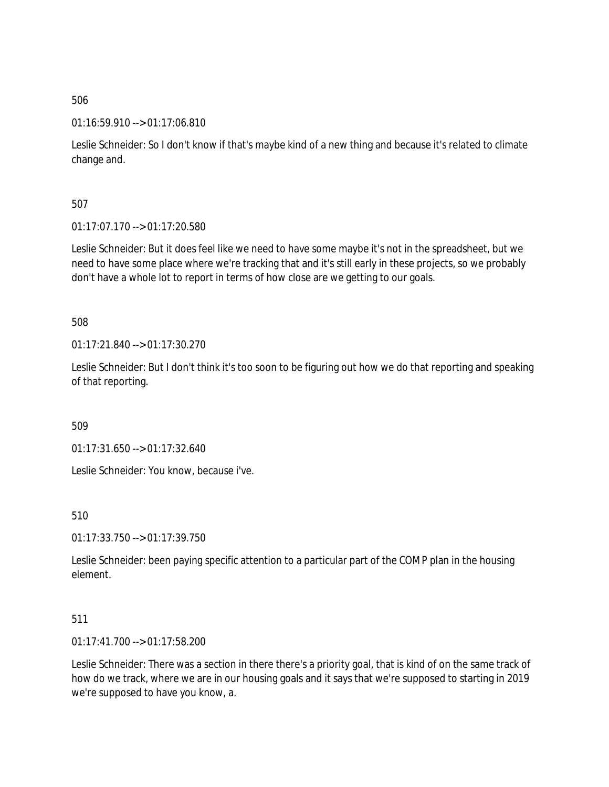01:16:59.910 --> 01:17:06.810

Leslie Schneider: So I don't know if that's maybe kind of a new thing and because it's related to climate change and.

507

01:17:07.170 --> 01:17:20.580

Leslie Schneider: But it does feel like we need to have some maybe it's not in the spreadsheet, but we need to have some place where we're tracking that and it's still early in these projects, so we probably don't have a whole lot to report in terms of how close are we getting to our goals.

508

01:17:21.840 --> 01:17:30.270

Leslie Schneider: But I don't think it's too soon to be figuring out how we do that reporting and speaking of that reporting.

509

01:17:31.650 --> 01:17:32.640

Leslie Schneider: You know, because i've.

510

01:17:33.750 --> 01:17:39.750

Leslie Schneider: been paying specific attention to a particular part of the COMP plan in the housing element.

## 511

01:17:41.700 --> 01:17:58.200

Leslie Schneider: There was a section in there there's a priority goal, that is kind of on the same track of how do we track, where we are in our housing goals and it says that we're supposed to starting in 2019 we're supposed to have you know, a.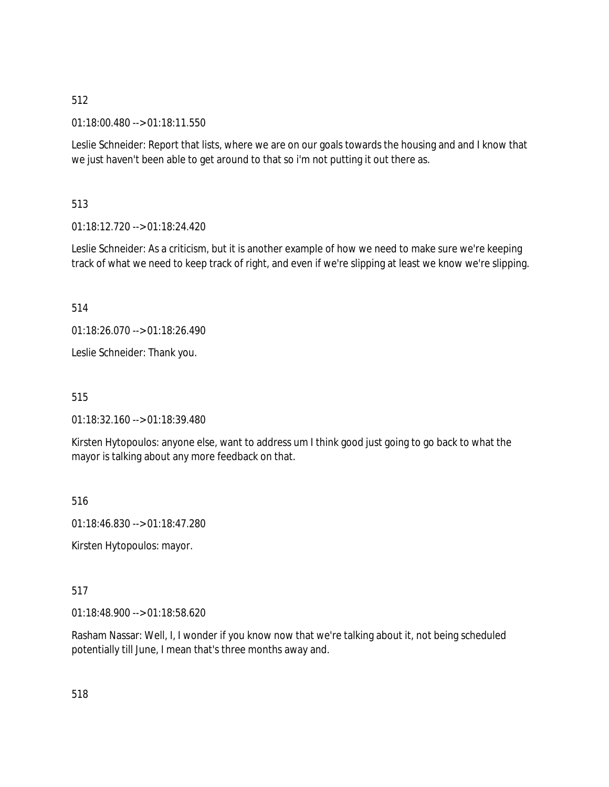01:18:00.480 --> 01:18:11.550

Leslie Schneider: Report that lists, where we are on our goals towards the housing and and I know that we just haven't been able to get around to that so i'm not putting it out there as.

513

01:18:12.720 --> 01:18:24.420

Leslie Schneider: As a criticism, but it is another example of how we need to make sure we're keeping track of what we need to keep track of right, and even if we're slipping at least we know we're slipping.

514

01:18:26.070 --> 01:18:26.490

Leslie Schneider: Thank you.

515

01:18:32.160 --> 01:18:39.480

Kirsten Hytopoulos: anyone else, want to address um I think good just going to go back to what the mayor is talking about any more feedback on that.

516

01:18:46.830 --> 01:18:47.280

Kirsten Hytopoulos: mayor.

517

01:18:48.900 --> 01:18:58.620

Rasham Nassar: Well, I, I wonder if you know now that we're talking about it, not being scheduled potentially till June, I mean that's three months away and.

518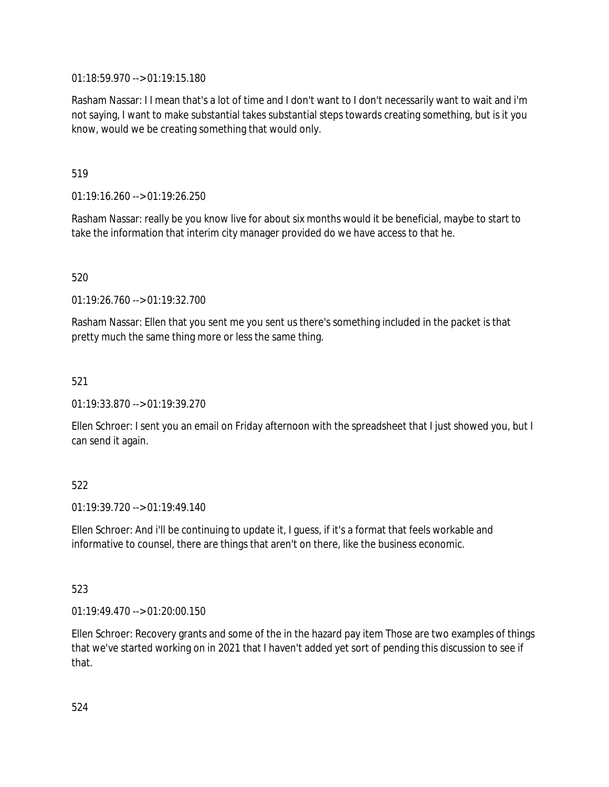01:18:59.970 --> 01:19:15.180

Rasham Nassar: I I mean that's a lot of time and I don't want to I don't necessarily want to wait and i'm not saying, I want to make substantial takes substantial steps towards creating something, but is it you know, would we be creating something that would only.

519

01:19:16.260 --> 01:19:26.250

Rasham Nassar: really be you know live for about six months would it be beneficial, maybe to start to take the information that interim city manager provided do we have access to that he.

520

01:19:26.760 --> 01:19:32.700

Rasham Nassar: Ellen that you sent me you sent us there's something included in the packet is that pretty much the same thing more or less the same thing.

521

01:19:33.870 --> 01:19:39.270

Ellen Schroer: I sent you an email on Friday afternoon with the spreadsheet that I just showed you, but I can send it again.

## 522

 $01.19.39720 - 01.1949140$ 

Ellen Schroer: And i'll be continuing to update it, I guess, if it's a format that feels workable and informative to counsel, there are things that aren't on there, like the business economic.

523

01:19:49.470 --> 01:20:00.150

Ellen Schroer: Recovery grants and some of the in the hazard pay item Those are two examples of things that we've started working on in 2021 that I haven't added yet sort of pending this discussion to see if that.

524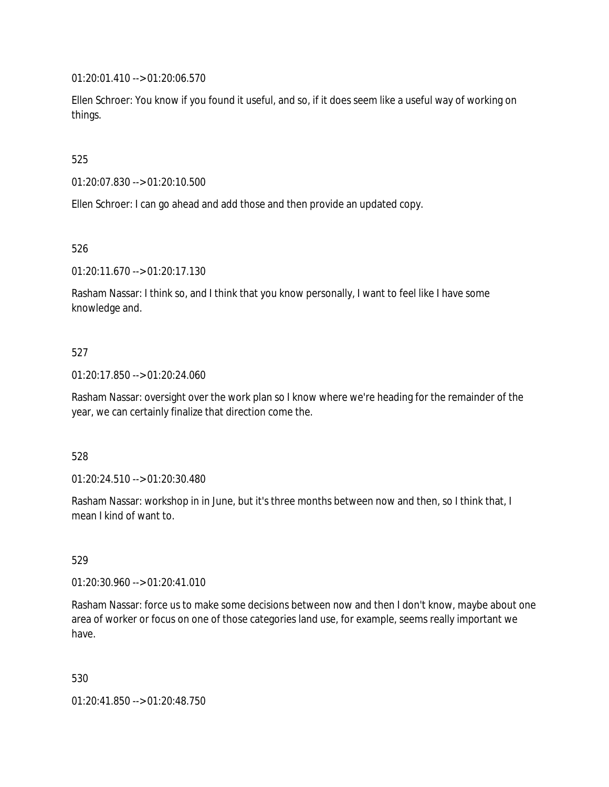01:20:01.410 --> 01:20:06.570

Ellen Schroer: You know if you found it useful, and so, if it does seem like a useful way of working on things.

525

01:20:07.830 --> 01:20:10.500

Ellen Schroer: I can go ahead and add those and then provide an updated copy.

526

01:20:11.670 --> 01:20:17.130

Rasham Nassar: I think so, and I think that you know personally, I want to feel like I have some knowledge and.

### 527

01:20:17.850 --> 01:20:24.060

Rasham Nassar: oversight over the work plan so I know where we're heading for the remainder of the year, we can certainly finalize that direction come the.

### 528

01:20:24.510 --> 01:20:30.480

Rasham Nassar: workshop in in June, but it's three months between now and then, so I think that, I mean I kind of want to.

### 529

01:20:30.960 --> 01:20:41.010

Rasham Nassar: force us to make some decisions between now and then I don't know, maybe about one area of worker or focus on one of those categories land use, for example, seems really important we have.

530

01:20:41.850 --> 01:20:48.750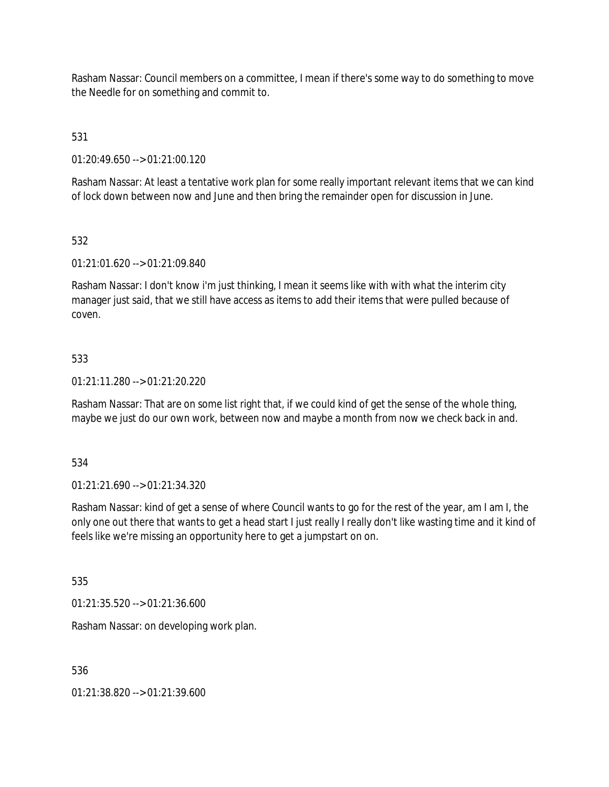Rasham Nassar: Council members on a committee, I mean if there's some way to do something to move the Needle for on something and commit to.

531

01:20:49.650 --> 01:21:00.120

Rasham Nassar: At least a tentative work plan for some really important relevant items that we can kind of lock down between now and June and then bring the remainder open for discussion in June.

## 532

01:21:01.620 --> 01:21:09.840

Rasham Nassar: I don't know i'm just thinking, I mean it seems like with with what the interim city manager just said, that we still have access as items to add their items that were pulled because of coven.

## 533

01:21:11.280 --> 01:21:20.220

Rasham Nassar: That are on some list right that, if we could kind of get the sense of the whole thing, maybe we just do our own work, between now and maybe a month from now we check back in and.

534

01:21:21.690 --> 01:21:34.320

Rasham Nassar: kind of get a sense of where Council wants to go for the rest of the year, am I am I, the only one out there that wants to get a head start I just really I really don't like wasting time and it kind of feels like we're missing an opportunity here to get a jumpstart on on.

535

01:21:35.520 --> 01:21:36.600

Rasham Nassar: on developing work plan.

536

01:21:38.820 --> 01:21:39.600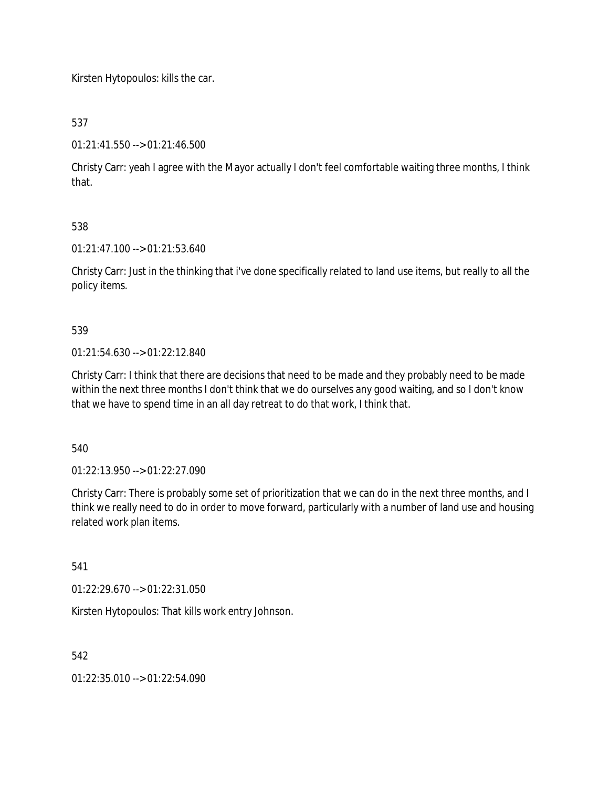Kirsten Hytopoulos: kills the car.

537

01:21:41.550 --> 01:21:46.500

Christy Carr: yeah I agree with the Mayor actually I don't feel comfortable waiting three months, I think that.

## 538

01:21:47.100 --> 01:21:53.640

Christy Carr: Just in the thinking that i've done specifically related to land use items, but really to all the policy items.

539

01:21:54.630 --> 01:22:12.840

Christy Carr: I think that there are decisions that need to be made and they probably need to be made within the next three months I don't think that we do ourselves any good waiting, and so I don't know that we have to spend time in an all day retreat to do that work, I think that.

540

01:22:13.950 --> 01:22:27.090

Christy Carr: There is probably some set of prioritization that we can do in the next three months, and I think we really need to do in order to move forward, particularly with a number of land use and housing related work plan items.

541

01:22:29.670 --> 01:22:31.050

Kirsten Hytopoulos: That kills work entry Johnson.

542

01:22:35.010 --> 01:22:54.090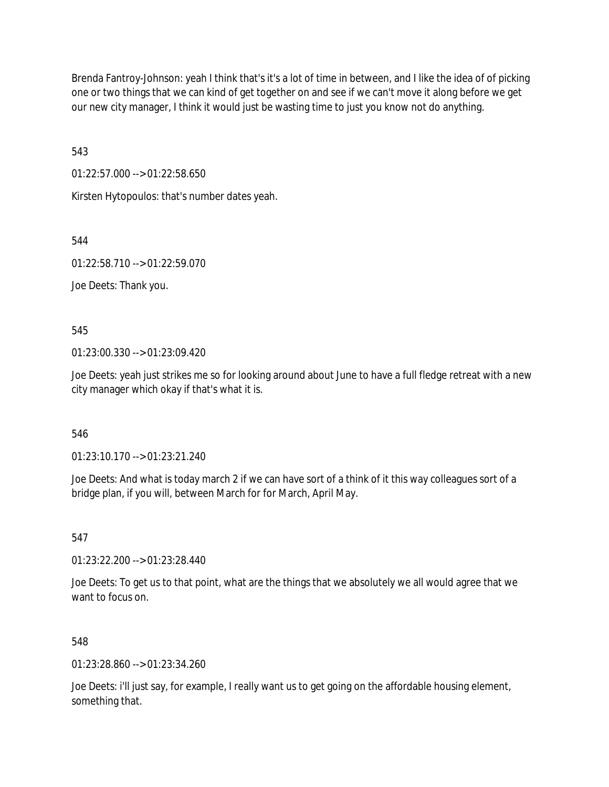Brenda Fantroy-Johnson: yeah I think that's it's a lot of time in between, and I like the idea of of picking one or two things that we can kind of get together on and see if we can't move it along before we get our new city manager, I think it would just be wasting time to just you know not do anything.

543

01:22:57.000 --> 01:22:58.650

Kirsten Hytopoulos: that's number dates yeah.

544

01:22:58.710 --> 01:22:59.070

Joe Deets: Thank you.

545

01:23:00.330 --> 01:23:09.420

Joe Deets: yeah just strikes me so for looking around about June to have a full fledge retreat with a new city manager which okay if that's what it is.

546

01:23:10.170 --> 01:23:21.240

Joe Deets: And what is today march 2 if we can have sort of a think of it this way colleagues sort of a bridge plan, if you will, between March for for March, April May.

547

01:23:22.200 --> 01:23:28.440

Joe Deets: To get us to that point, what are the things that we absolutely we all would agree that we want to focus on.

548

01:23:28.860 --> 01:23:34.260

Joe Deets: i'll just say, for example, I really want us to get going on the affordable housing element, something that.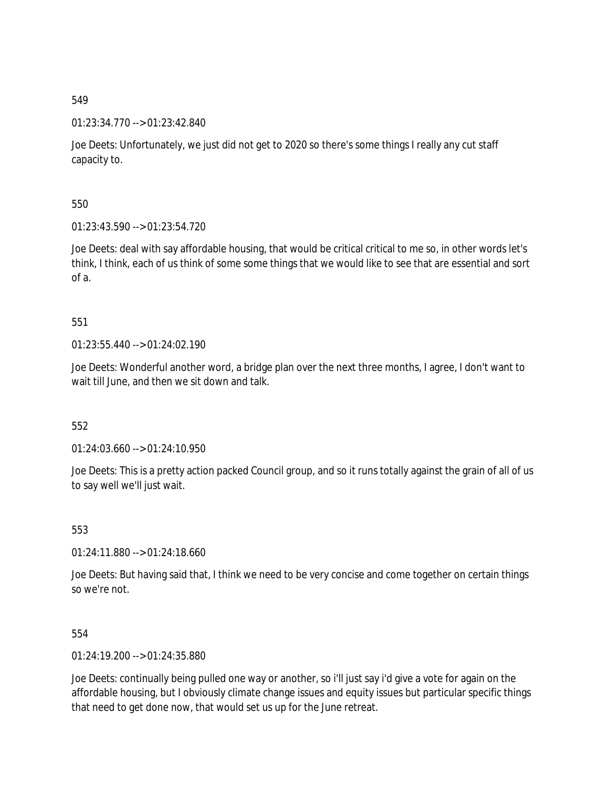01:23:34.770 --> 01:23:42.840

Joe Deets: Unfortunately, we just did not get to 2020 so there's some things I really any cut staff capacity to.

550

01:23:43.590 --> 01:23:54.720

Joe Deets: deal with say affordable housing, that would be critical critical to me so, in other words let's think, I think, each of us think of some some things that we would like to see that are essential and sort of a.

# 551

01:23:55.440 --> 01:24:02.190

Joe Deets: Wonderful another word, a bridge plan over the next three months, I agree, I don't want to wait till June, and then we sit down and talk.

552

01:24:03.660 --> 01:24:10.950

Joe Deets: This is a pretty action packed Council group, and so it runs totally against the grain of all of us to say well we'll just wait.

553

01:24:11.880 --> 01:24:18.660

Joe Deets: But having said that, I think we need to be very concise and come together on certain things so we're not.

554

01:24:19.200 --> 01:24:35.880

Joe Deets: continually being pulled one way or another, so i'll just say i'd give a vote for again on the affordable housing, but I obviously climate change issues and equity issues but particular specific things that need to get done now, that would set us up for the June retreat.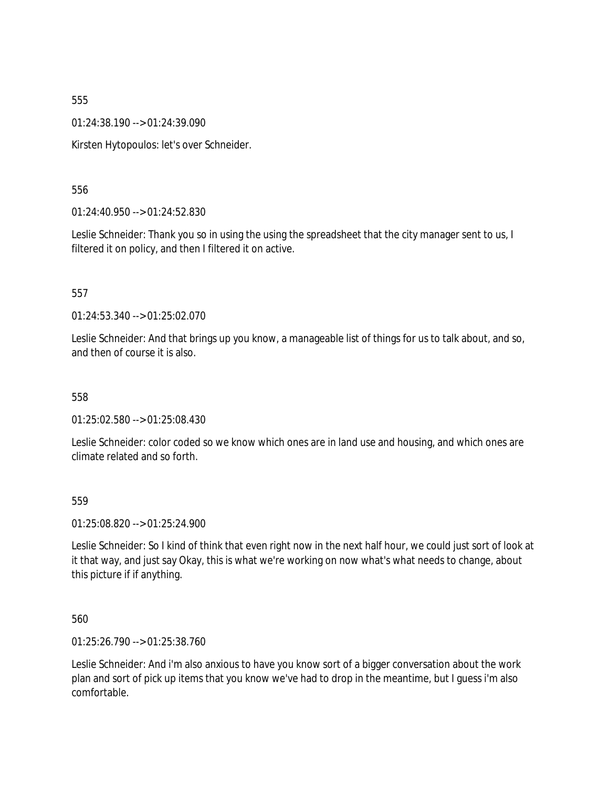01:24:38.190 --> 01:24:39.090

Kirsten Hytopoulos: let's over Schneider.

556

01:24:40.950 --> 01:24:52.830

Leslie Schneider: Thank you so in using the using the spreadsheet that the city manager sent to us, I filtered it on policy, and then I filtered it on active.

557

01:24:53.340 --> 01:25:02.070

Leslie Schneider: And that brings up you know, a manageable list of things for us to talk about, and so, and then of course it is also.

558

01:25:02.580 --> 01:25:08.430

Leslie Schneider: color coded so we know which ones are in land use and housing, and which ones are climate related and so forth.

559

01:25:08.820 --> 01:25:24.900

Leslie Schneider: So I kind of think that even right now in the next half hour, we could just sort of look at it that way, and just say Okay, this is what we're working on now what's what needs to change, about this picture if if anything.

560

01:25:26.790 --> 01:25:38.760

Leslie Schneider: And i'm also anxious to have you know sort of a bigger conversation about the work plan and sort of pick up items that you know we've had to drop in the meantime, but I guess i'm also comfortable.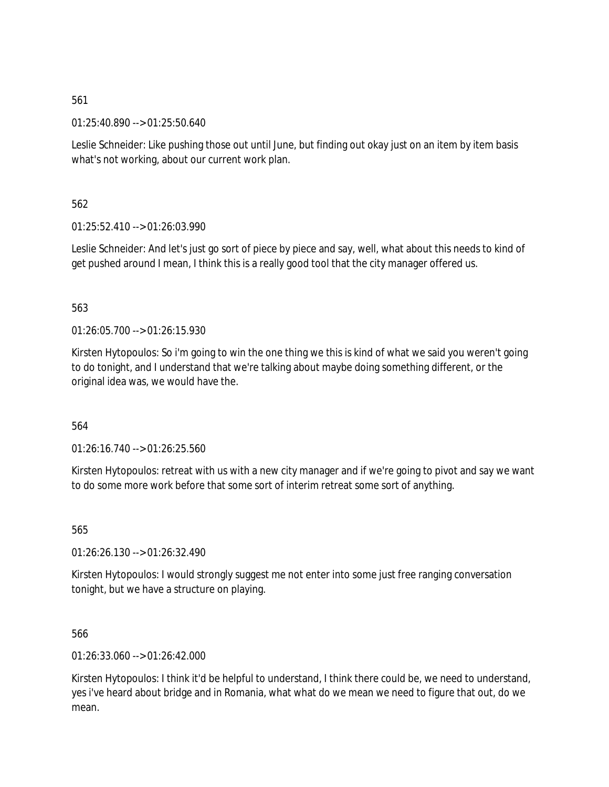01:25:40.890 --> 01:25:50.640

Leslie Schneider: Like pushing those out until June, but finding out okay just on an item by item basis what's not working, about our current work plan.

562

01:25:52.410 --> 01:26:03.990

Leslie Schneider: And let's just go sort of piece by piece and say, well, what about this needs to kind of get pushed around I mean, I think this is a really good tool that the city manager offered us.

563

 $01:26:05.700 \rightarrow 01:26:15.930$ 

Kirsten Hytopoulos: So i'm going to win the one thing we this is kind of what we said you weren't going to do tonight, and I understand that we're talking about maybe doing something different, or the original idea was, we would have the.

564

01:26:16.740 --> 01:26:25.560

Kirsten Hytopoulos: retreat with us with a new city manager and if we're going to pivot and say we want to do some more work before that some sort of interim retreat some sort of anything.

565

01:26:26.130 --> 01:26:32.490

Kirsten Hytopoulos: I would strongly suggest me not enter into some just free ranging conversation tonight, but we have a structure on playing.

566

01:26:33.060 --> 01:26:42.000

Kirsten Hytopoulos: I think it'd be helpful to understand, I think there could be, we need to understand, yes i've heard about bridge and in Romania, what what do we mean we need to figure that out, do we mean.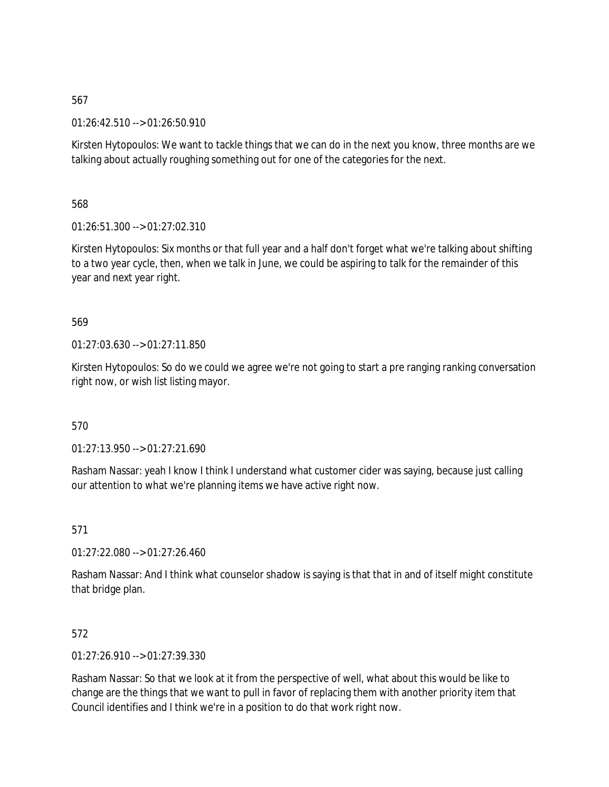01:26:42.510 --> 01:26:50.910

Kirsten Hytopoulos: We want to tackle things that we can do in the next you know, three months are we talking about actually roughing something out for one of the categories for the next.

568

01:26:51.300 --> 01:27:02.310

Kirsten Hytopoulos: Six months or that full year and a half don't forget what we're talking about shifting to a two year cycle, then, when we talk in June, we could be aspiring to talk for the remainder of this year and next year right.

## 569

01:27:03.630 --> 01:27:11.850

Kirsten Hytopoulos: So do we could we agree we're not going to start a pre ranging ranking conversation right now, or wish list listing mayor.

## 570

01:27:13.950 --> 01:27:21.690

Rasham Nassar: yeah I know I think I understand what customer cider was saying, because just calling our attention to what we're planning items we have active right now.

571

01:27:22.080 --> 01:27:26.460

Rasham Nassar: And I think what counselor shadow is saying is that that in and of itself might constitute that bridge plan.

## 572

01:27:26.910 --> 01:27:39.330

Rasham Nassar: So that we look at it from the perspective of well, what about this would be like to change are the things that we want to pull in favor of replacing them with another priority item that Council identifies and I think we're in a position to do that work right now.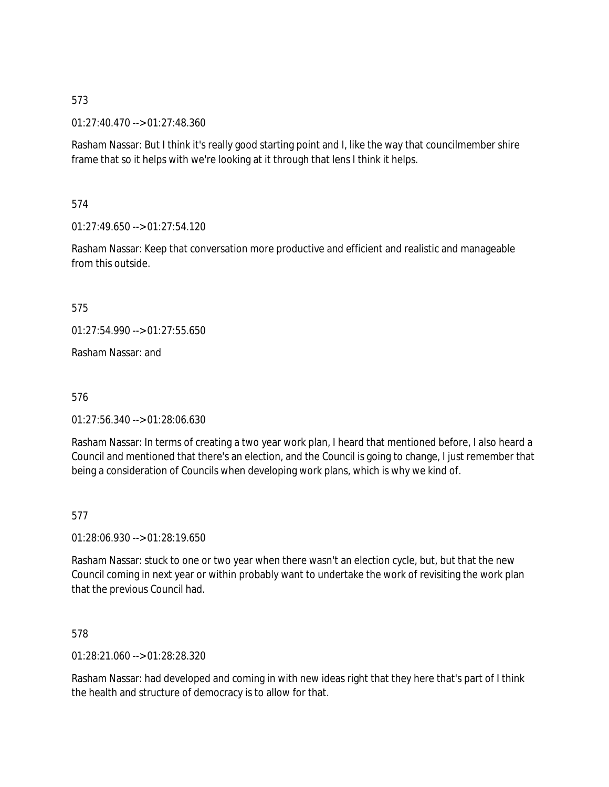01:27:40.470 --> 01:27:48.360

Rasham Nassar: But I think it's really good starting point and I, like the way that councilmember shire frame that so it helps with we're looking at it through that lens I think it helps.

574

 $01:27:49.650 \rightarrow 01:27:54.120$ 

Rasham Nassar: Keep that conversation more productive and efficient and realistic and manageable from this outside.

575

01:27:54.990 --> 01:27:55.650

Rasham Nassar: and

576

01:27:56.340 --> 01:28:06.630

Rasham Nassar: In terms of creating a two year work plan, I heard that mentioned before, I also heard a Council and mentioned that there's an election, and the Council is going to change, I just remember that being a consideration of Councils when developing work plans, which is why we kind of.

577

01:28:06.930 --> 01:28:19.650

Rasham Nassar: stuck to one or two year when there wasn't an election cycle, but, but that the new Council coming in next year or within probably want to undertake the work of revisiting the work plan that the previous Council had.

578

01:28:21.060 --> 01:28:28.320

Rasham Nassar: had developed and coming in with new ideas right that they here that's part of I think the health and structure of democracy is to allow for that.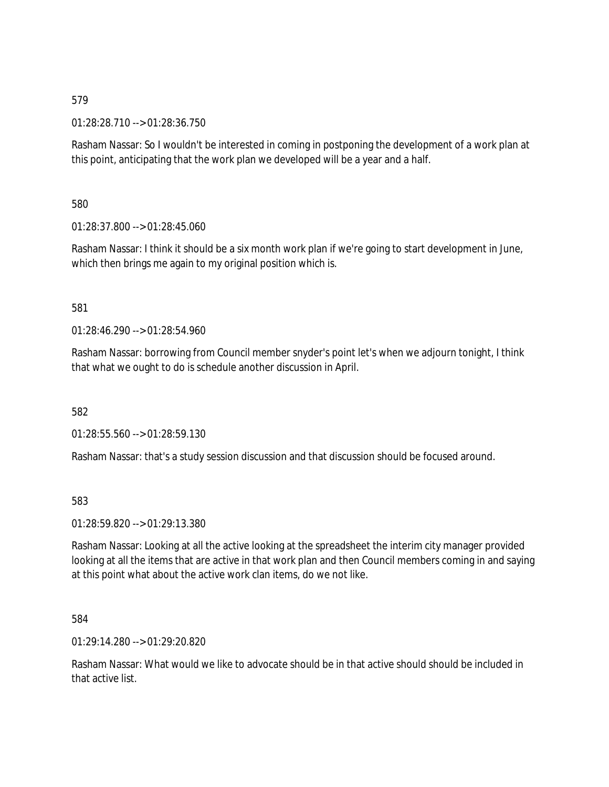01:28:28.710 --> 01:28:36.750

Rasham Nassar: So I wouldn't be interested in coming in postponing the development of a work plan at this point, anticipating that the work plan we developed will be a year and a half.

580

01:28:37.800 --> 01:28:45.060

Rasham Nassar: I think it should be a six month work plan if we're going to start development in June, which then brings me again to my original position which is.

### 581

01:28:46.290 --> 01:28:54.960

Rasham Nassar: borrowing from Council member snyder's point let's when we adjourn tonight, I think that what we ought to do is schedule another discussion in April.

582

01:28:55.560 --> 01:28:59.130

Rasham Nassar: that's a study session discussion and that discussion should be focused around.

583

01:28:59.820 --> 01:29:13.380

Rasham Nassar: Looking at all the active looking at the spreadsheet the interim city manager provided looking at all the items that are active in that work plan and then Council members coming in and saying at this point what about the active work clan items, do we not like.

584

 $01:29:14.280 \rightarrow 01:29:20.820$ 

Rasham Nassar: What would we like to advocate should be in that active should should be included in that active list.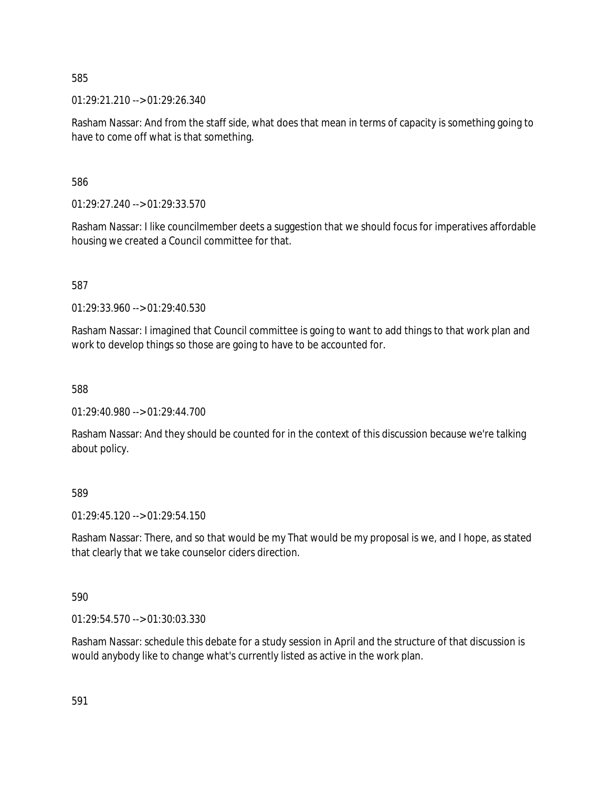01:29:21.210 --> 01:29:26.340

Rasham Nassar: And from the staff side, what does that mean in terms of capacity is something going to have to come off what is that something.

586

01:29:27.240 --> 01:29:33.570

Rasham Nassar: I like councilmember deets a suggestion that we should focus for imperatives affordable housing we created a Council committee for that.

587

01:29:33.960 --> 01:29:40.530

Rasham Nassar: I imagined that Council committee is going to want to add things to that work plan and work to develop things so those are going to have to be accounted for.

588

01:29:40.980 --> 01:29:44.700

Rasham Nassar: And they should be counted for in the context of this discussion because we're talking about policy.

589

01:29:45.120 --> 01:29:54.150

Rasham Nassar: There, and so that would be my That would be my proposal is we, and I hope, as stated that clearly that we take counselor ciders direction.

590

01:29:54.570 --> 01:30:03.330

Rasham Nassar: schedule this debate for a study session in April and the structure of that discussion is would anybody like to change what's currently listed as active in the work plan.

591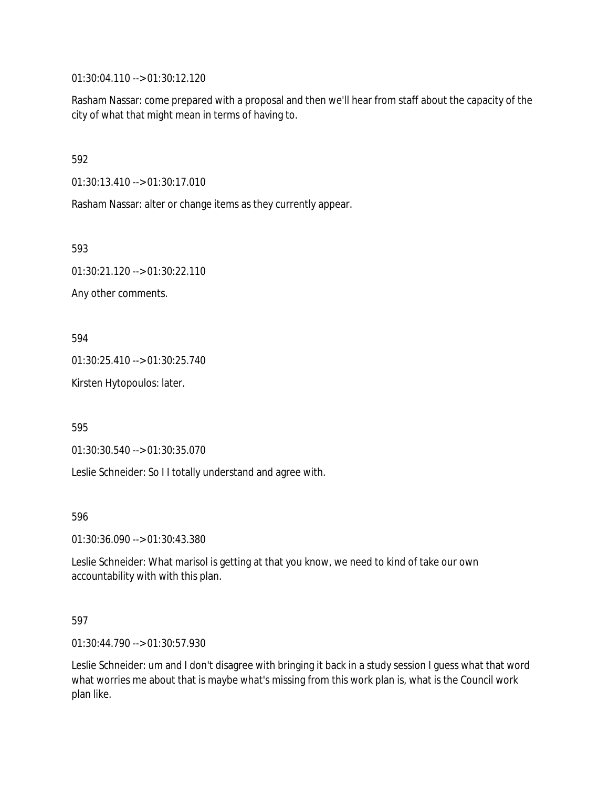01:30:04.110 --> 01:30:12.120

Rasham Nassar: come prepared with a proposal and then we'll hear from staff about the capacity of the city of what that might mean in terms of having to.

592

01:30:13.410 --> 01:30:17.010

Rasham Nassar: alter or change items as they currently appear.

593

01:30:21.120 --> 01:30:22.110

Any other comments.

594

01:30:25.410 --> 01:30:25.740

Kirsten Hytopoulos: later.

595

01:30:30.540 --> 01:30:35.070

Leslie Schneider: So I I totally understand and agree with.

596

01:30:36.090 --> 01:30:43.380

Leslie Schneider: What marisol is getting at that you know, we need to kind of take our own accountability with with this plan.

597

01:30:44.790 --> 01:30:57.930

Leslie Schneider: um and I don't disagree with bringing it back in a study session I guess what that word what worries me about that is maybe what's missing from this work plan is, what is the Council work plan like.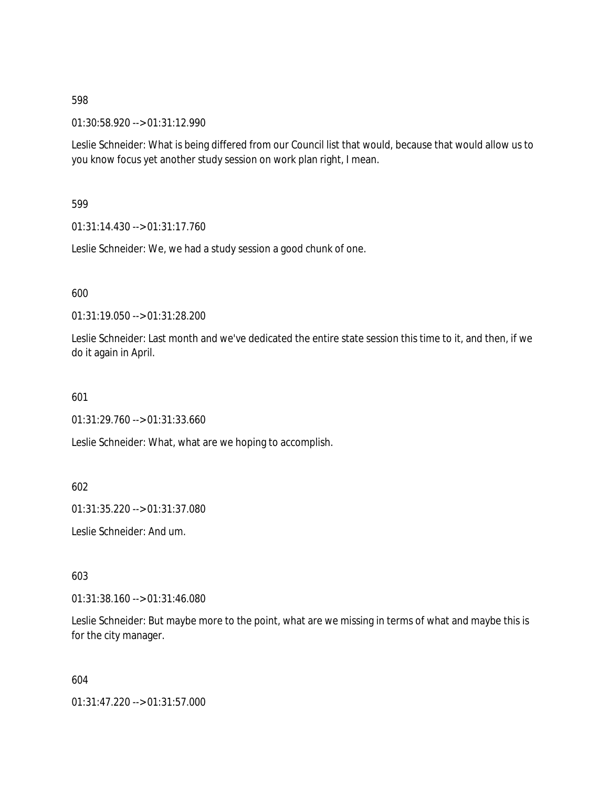01:30:58.920 --> 01:31:12.990

Leslie Schneider: What is being differed from our Council list that would, because that would allow us to you know focus yet another study session on work plan right, I mean.

599

01:31:14.430 --> 01:31:17.760

Leslie Schneider: We, we had a study session a good chunk of one.

600

01:31:19.050 --> 01:31:28.200

Leslie Schneider: Last month and we've dedicated the entire state session this time to it, and then, if we do it again in April.

601

01:31:29.760 --> 01:31:33.660

Leslie Schneider: What, what are we hoping to accomplish.

602

01:31:35.220 --> 01:31:37.080

Leslie Schneider: And um.

603

01:31:38.160 --> 01:31:46.080

Leslie Schneider: But maybe more to the point, what are we missing in terms of what and maybe this is for the city manager.

604

01:31:47.220 --> 01:31:57.000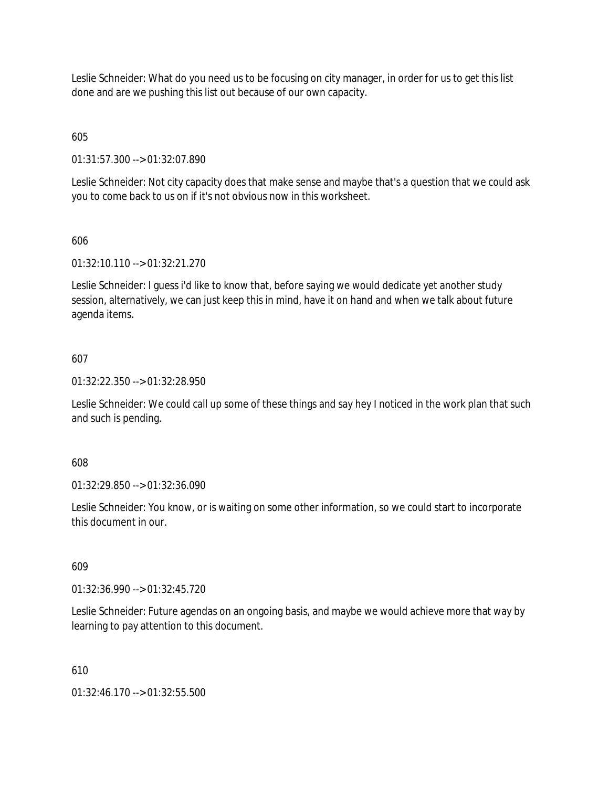Leslie Schneider: What do you need us to be focusing on city manager, in order for us to get this list done and are we pushing this list out because of our own capacity.

605

01:31:57.300 --> 01:32:07.890

Leslie Schneider: Not city capacity does that make sense and maybe that's a question that we could ask you to come back to us on if it's not obvious now in this worksheet.

## 606

01:32:10.110 --> 01:32:21.270

Leslie Schneider: I guess i'd like to know that, before saying we would dedicate yet another study session, alternatively, we can just keep this in mind, have it on hand and when we talk about future agenda items.

## 607

01:32:22.350 --> 01:32:28.950

Leslie Schneider: We could call up some of these things and say hey I noticed in the work plan that such and such is pending.

### 608

01:32:29.850 --> 01:32:36.090

Leslie Schneider: You know, or is waiting on some other information, so we could start to incorporate this document in our.

# 609

01:32:36.990 --> 01:32:45.720

Leslie Schneider: Future agendas on an ongoing basis, and maybe we would achieve more that way by learning to pay attention to this document.

### 610

01:32:46.170 --> 01:32:55.500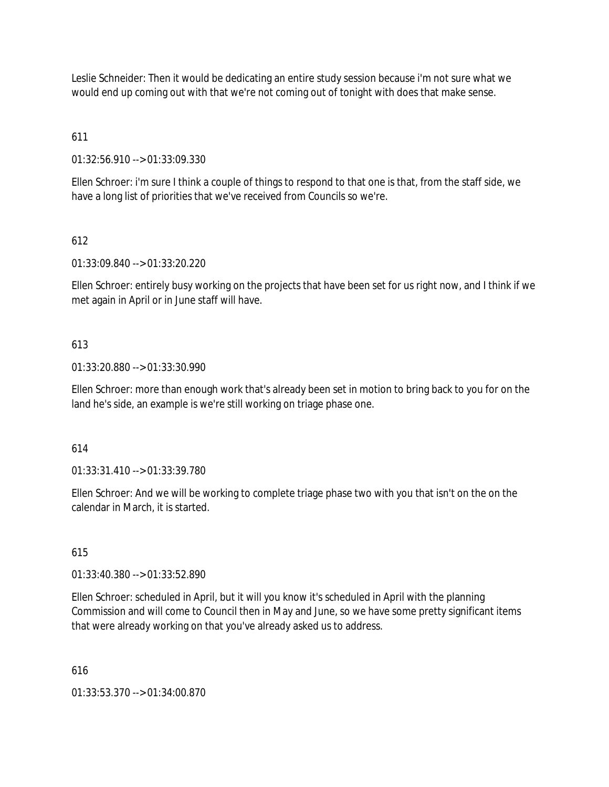Leslie Schneider: Then it would be dedicating an entire study session because i'm not sure what we would end up coming out with that we're not coming out of tonight with does that make sense.

# 611

01:32:56.910 --> 01:33:09.330

Ellen Schroer: i'm sure I think a couple of things to respond to that one is that, from the staff side, we have a long list of priorities that we've received from Councils so we're.

## 612

01:33:09.840 --> 01:33:20.220

Ellen Schroer: entirely busy working on the projects that have been set for us right now, and I think if we met again in April or in June staff will have.

## 613

01:33:20.880 --> 01:33:30.990

Ellen Schroer: more than enough work that's already been set in motion to bring back to you for on the land he's side, an example is we're still working on triage phase one.

### 614

01:33:31.410 --> 01:33:39.780

Ellen Schroer: And we will be working to complete triage phase two with you that isn't on the on the calendar in March, it is started.

### 615

01:33:40.380 --> 01:33:52.890

Ellen Schroer: scheduled in April, but it will you know it's scheduled in April with the planning Commission and will come to Council then in May and June, so we have some pretty significant items that were already working on that you've already asked us to address.

### 616

01:33:53.370 --> 01:34:00.870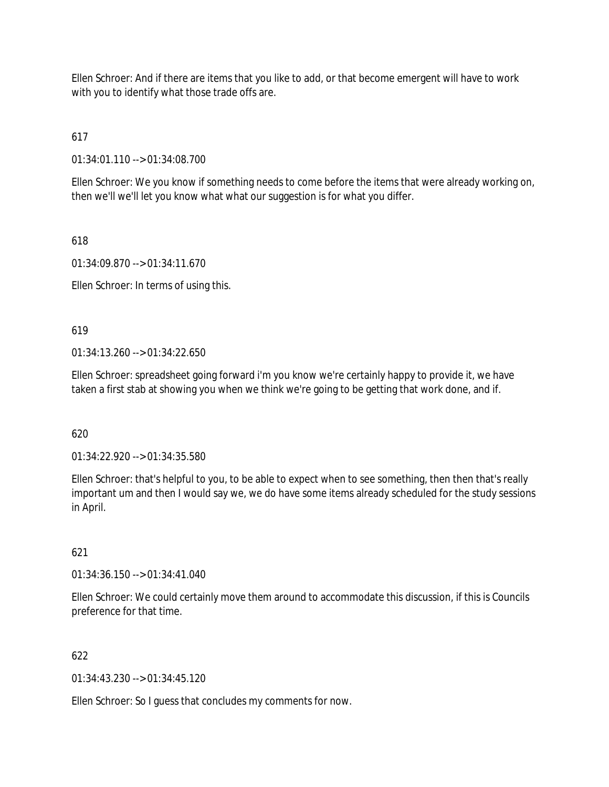Ellen Schroer: And if there are items that you like to add, or that become emergent will have to work with you to identify what those trade offs are.

617

01:34:01.110 --> 01:34:08.700

Ellen Schroer: We you know if something needs to come before the items that were already working on, then we'll we'll let you know what what our suggestion is for what you differ.

618

01:34:09.870 --> 01:34:11.670

Ellen Schroer: In terms of using this.

619

 $01:34:13.260 \rightarrow 01:34:22.650$ 

Ellen Schroer: spreadsheet going forward i'm you know we're certainly happy to provide it, we have taken a first stab at showing you when we think we're going to be getting that work done, and if.

620

01:34:22.920 --> 01:34:35.580

Ellen Schroer: that's helpful to you, to be able to expect when to see something, then then that's really important um and then I would say we, we do have some items already scheduled for the study sessions in April.

621

01:34:36.150 --> 01:34:41.040

Ellen Schroer: We could certainly move them around to accommodate this discussion, if this is Councils preference for that time.

622

01:34:43.230 --> 01:34:45.120

Ellen Schroer: So I guess that concludes my comments for now.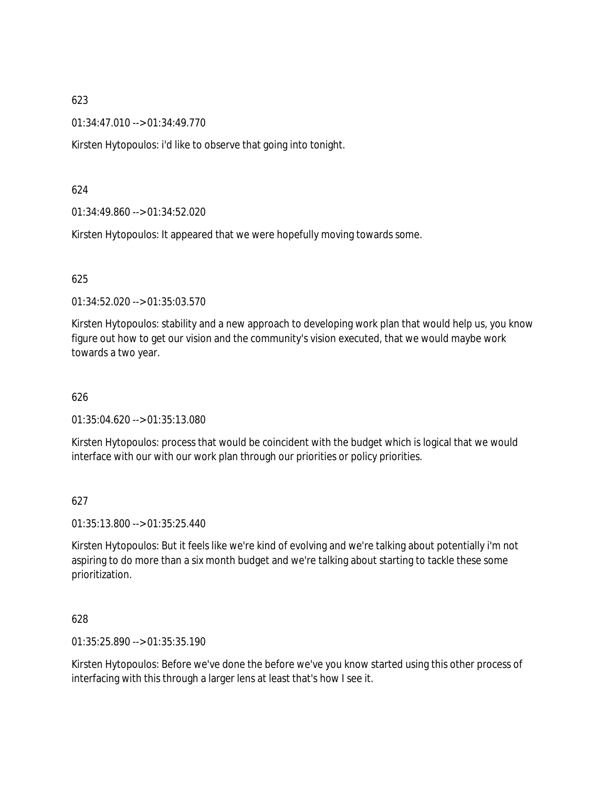01:34:47.010 --> 01:34:49.770

Kirsten Hytopoulos: i'd like to observe that going into tonight.

### 624

01:34:49.860 --> 01:34:52.020

Kirsten Hytopoulos: It appeared that we were hopefully moving towards some.

### 625

01:34:52.020 --> 01:35:03.570

Kirsten Hytopoulos: stability and a new approach to developing work plan that would help us, you know figure out how to get our vision and the community's vision executed, that we would maybe work towards a two year.

### 626

01:35:04.620 --> 01:35:13.080

Kirsten Hytopoulos: process that would be coincident with the budget which is logical that we would interface with our with our work plan through our priorities or policy priorities.

### 627

01:35:13.800 --> 01:35:25.440

Kirsten Hytopoulos: But it feels like we're kind of evolving and we're talking about potentially i'm not aspiring to do more than a six month budget and we're talking about starting to tackle these some prioritization.

### 628

01:35:25.890 --> 01:35:35.190

Kirsten Hytopoulos: Before we've done the before we've you know started using this other process of interfacing with this through a larger lens at least that's how I see it.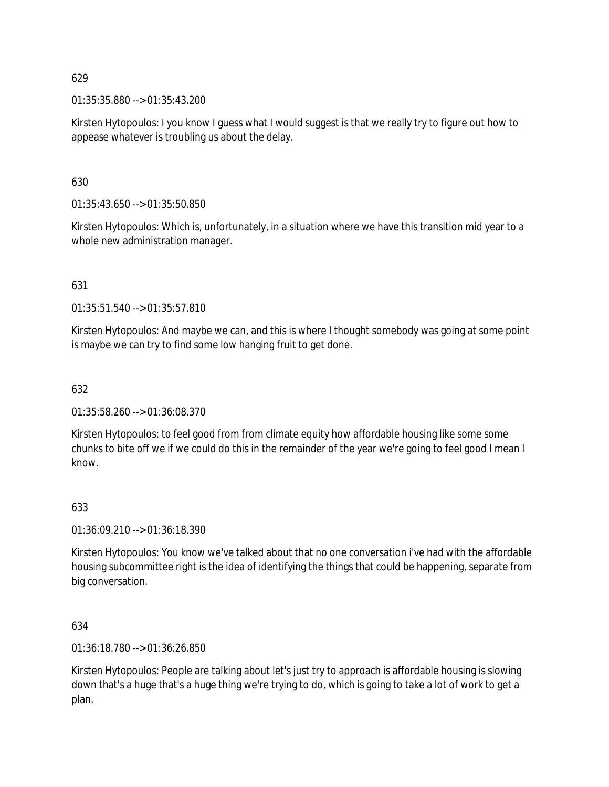01:35:35.880 --> 01:35:43.200

Kirsten Hytopoulos: I you know I guess what I would suggest is that we really try to figure out how to appease whatever is troubling us about the delay.

630

01:35:43.650 --> 01:35:50.850

Kirsten Hytopoulos: Which is, unfortunately, in a situation where we have this transition mid year to a whole new administration manager.

## 631

01:35:51.540 --> 01:35:57.810

Kirsten Hytopoulos: And maybe we can, and this is where I thought somebody was going at some point is maybe we can try to find some low hanging fruit to get done.

## 632

01:35:58.260 --> 01:36:08.370

Kirsten Hytopoulos: to feel good from from climate equity how affordable housing like some some chunks to bite off we if we could do this in the remainder of the year we're going to feel good I mean I know.

### 633

01:36:09.210 --> 01:36:18.390

Kirsten Hytopoulos: You know we've talked about that no one conversation i've had with the affordable housing subcommittee right is the idea of identifying the things that could be happening, separate from big conversation.

634

01:36:18.780 --> 01:36:26.850

Kirsten Hytopoulos: People are talking about let's just try to approach is affordable housing is slowing down that's a huge that's a huge thing we're trying to do, which is going to take a lot of work to get a plan.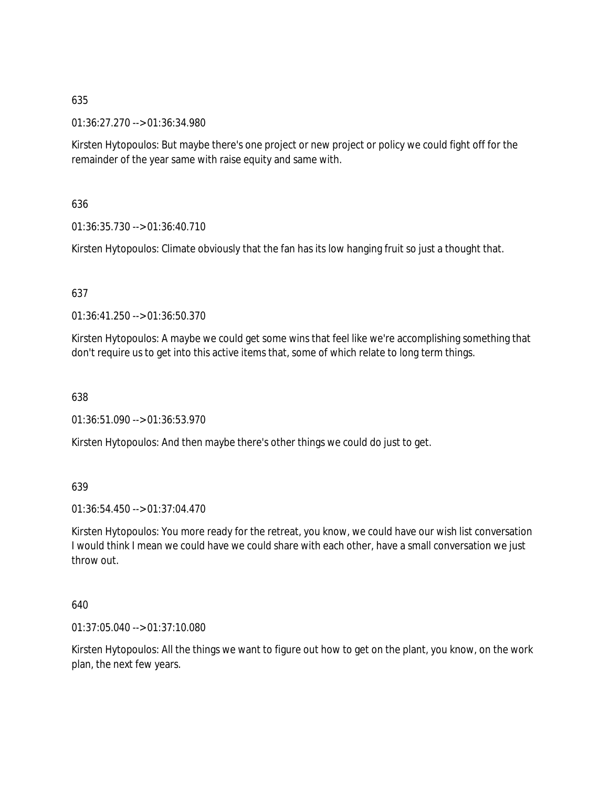01:36:27.270 --> 01:36:34.980

Kirsten Hytopoulos: But maybe there's one project or new project or policy we could fight off for the remainder of the year same with raise equity and same with.

## 636

01:36:35.730 --> 01:36:40.710

Kirsten Hytopoulos: Climate obviously that the fan has its low hanging fruit so just a thought that.

## 637

01:36:41.250 --> 01:36:50.370

Kirsten Hytopoulos: A maybe we could get some wins that feel like we're accomplishing something that don't require us to get into this active items that, some of which relate to long term things.

### 638

01:36:51.090 --> 01:36:53.970

Kirsten Hytopoulos: And then maybe there's other things we could do just to get.

### 639

01:36:54.450 --> 01:37:04.470

Kirsten Hytopoulos: You more ready for the retreat, you know, we could have our wish list conversation I would think I mean we could have we could share with each other, have a small conversation we just throw out.

### 640

01:37:05.040 --> 01:37:10.080

Kirsten Hytopoulos: All the things we want to figure out how to get on the plant, you know, on the work plan, the next few years.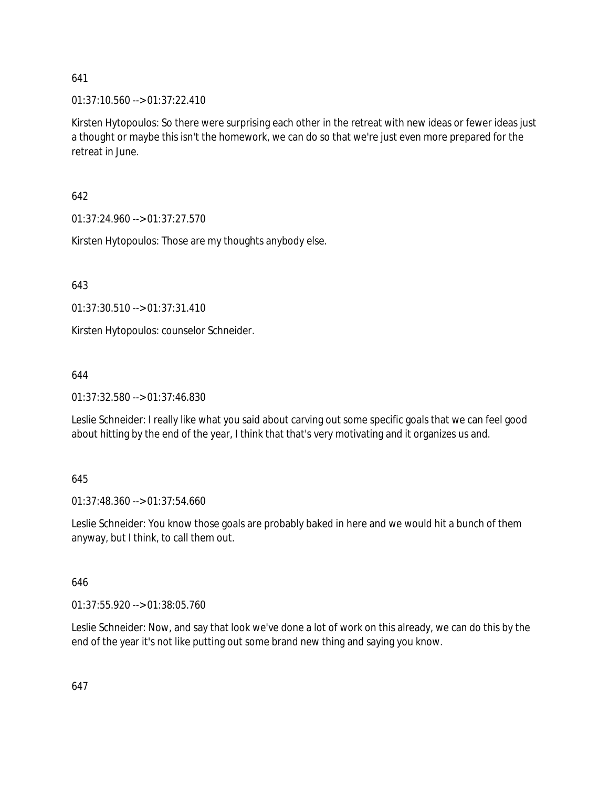01:37:10.560 --> 01:37:22.410

Kirsten Hytopoulos: So there were surprising each other in the retreat with new ideas or fewer ideas just a thought or maybe this isn't the homework, we can do so that we're just even more prepared for the retreat in June.

642

01:37:24.960 --> 01:37:27.570

Kirsten Hytopoulos: Those are my thoughts anybody else.

643

01:37:30.510 --> 01:37:31.410

Kirsten Hytopoulos: counselor Schneider.

644

01:37:32.580 --> 01:37:46.830

Leslie Schneider: I really like what you said about carving out some specific goals that we can feel good about hitting by the end of the year, I think that that's very motivating and it organizes us and.

#### 645

01:37:48.360 --> 01:37:54.660

Leslie Schneider: You know those goals are probably baked in here and we would hit a bunch of them anyway, but I think, to call them out.

646

01:37:55.920 --> 01:38:05.760

Leslie Schneider: Now, and say that look we've done a lot of work on this already, we can do this by the end of the year it's not like putting out some brand new thing and saying you know.

647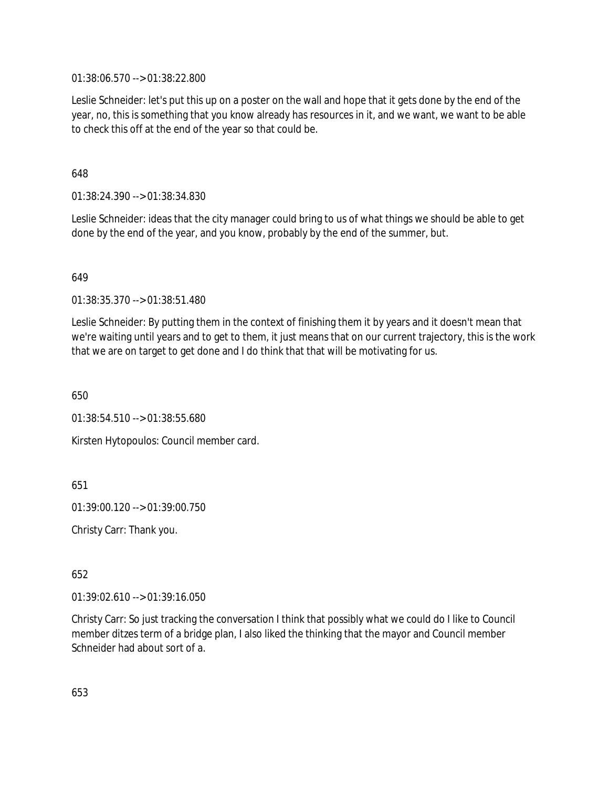01:38:06.570 --> 01:38:22.800

Leslie Schneider: let's put this up on a poster on the wall and hope that it gets done by the end of the year, no, this is something that you know already has resources in it, and we want, we want to be able to check this off at the end of the year so that could be.

648

01:38:24.390 --> 01:38:34.830

Leslie Schneider: ideas that the city manager could bring to us of what things we should be able to get done by the end of the year, and you know, probably by the end of the summer, but.

649

01:38:35.370 --> 01:38:51.480

Leslie Schneider: By putting them in the context of finishing them it by years and it doesn't mean that we're waiting until years and to get to them, it just means that on our current trajectory, this is the work that we are on target to get done and I do think that that will be motivating for us.

650

01:38:54.510 --> 01:38:55.680

Kirsten Hytopoulos: Council member card.

651

01:39:00.120 --> 01:39:00.750

Christy Carr: Thank you.

652

01:39:02.610 --> 01:39:16.050

Christy Carr: So just tracking the conversation I think that possibly what we could do I like to Council member ditzes term of a bridge plan, I also liked the thinking that the mayor and Council member Schneider had about sort of a.

653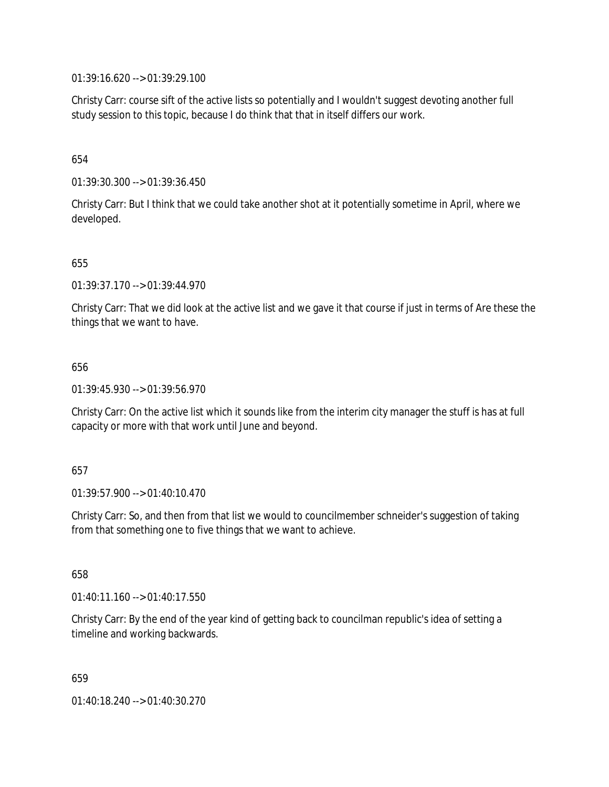01:39:16.620 --> 01:39:29.100

Christy Carr: course sift of the active lists so potentially and I wouldn't suggest devoting another full study session to this topic, because I do think that that in itself differs our work.

### 654

01:39:30.300 --> 01:39:36.450

Christy Carr: But I think that we could take another shot at it potentially sometime in April, where we developed.

### 655

01:39:37.170 --> 01:39:44.970

Christy Carr: That we did look at the active list and we gave it that course if just in terms of Are these the things that we want to have.

### 656

01:39:45.930 --> 01:39:56.970

Christy Carr: On the active list which it sounds like from the interim city manager the stuff is has at full capacity or more with that work until June and beyond.

### 657

01:39:57.900 --> 01:40:10.470

Christy Carr: So, and then from that list we would to councilmember schneider's suggestion of taking from that something one to five things that we want to achieve.

658

01:40:11.160 --> 01:40:17.550

Christy Carr: By the end of the year kind of getting back to councilman republic's idea of setting a timeline and working backwards.

659

01:40:18.240 --> 01:40:30.270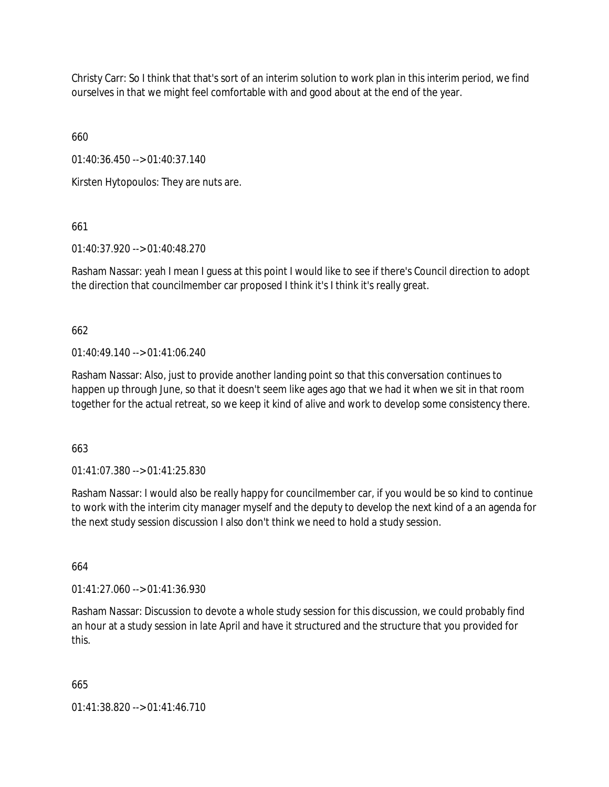Christy Carr: So I think that that's sort of an interim solution to work plan in this interim period, we find ourselves in that we might feel comfortable with and good about at the end of the year.

660

01:40:36.450 --> 01:40:37.140

Kirsten Hytopoulos: They are nuts are.

661

01:40:37.920 --> 01:40:48.270

Rasham Nassar: yeah I mean I guess at this point I would like to see if there's Council direction to adopt the direction that councilmember car proposed I think it's I think it's really great.

662

 $01:40:49.140 \rightarrow 01:41:06.240$ 

Rasham Nassar: Also, just to provide another landing point so that this conversation continues to happen up through June, so that it doesn't seem like ages ago that we had it when we sit in that room together for the actual retreat, so we keep it kind of alive and work to develop some consistency there.

663

01:41:07.380 --> 01:41:25.830

Rasham Nassar: I would also be really happy for councilmember car, if you would be so kind to continue to work with the interim city manager myself and the deputy to develop the next kind of a an agenda for the next study session discussion I also don't think we need to hold a study session.

664

01:41:27.060 --> 01:41:36.930

Rasham Nassar: Discussion to devote a whole study session for this discussion, we could probably find an hour at a study session in late April and have it structured and the structure that you provided for this.

665

01:41:38.820 --> 01:41:46.710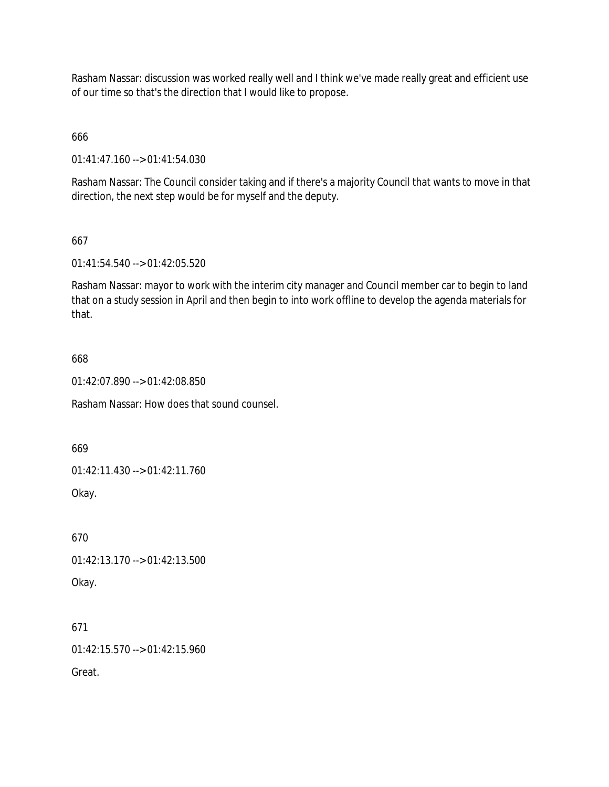Rasham Nassar: discussion was worked really well and I think we've made really great and efficient use of our time so that's the direction that I would like to propose.

666

01:41:47.160 --> 01:41:54.030

Rasham Nassar: The Council consider taking and if there's a majority Council that wants to move in that direction, the next step would be for myself and the deputy.

## 667

01:41:54.540 --> 01:42:05.520

Rasham Nassar: mayor to work with the interim city manager and Council member car to begin to land that on a study session in April and then begin to into work offline to develop the agenda materials for that.

## 668

01:42:07.890 --> 01:42:08.850

Rasham Nassar: How does that sound counsel.

669

01:42:11.430 --> 01:42:11.760

Okay.

670 01:42:13.170 --> 01:42:13.500 Okay.

671 01:42:15.570 --> 01:42:15.960

Great.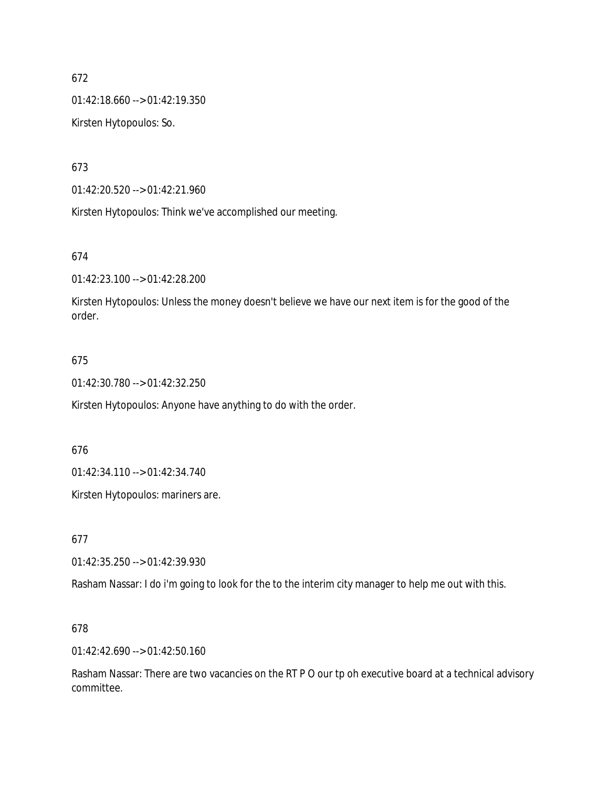01:42:18.660 --> 01:42:19.350

Kirsten Hytopoulos: So.

673

01:42:20.520 --> 01:42:21.960

Kirsten Hytopoulos: Think we've accomplished our meeting.

### 674

01:42:23.100 --> 01:42:28.200

Kirsten Hytopoulos: Unless the money doesn't believe we have our next item is for the good of the order.

# 675

01:42:30.780 --> 01:42:32.250

Kirsten Hytopoulos: Anyone have anything to do with the order.

# 676

01:42:34.110 --> 01:42:34.740

Kirsten Hytopoulos: mariners are.

### 677

01:42:35.250 --> 01:42:39.930

Rasham Nassar: I do i'm going to look for the to the interim city manager to help me out with this.

### 678

01:42:42.690 --> 01:42:50.160

Rasham Nassar: There are two vacancies on the RT P O our tp oh executive board at a technical advisory committee.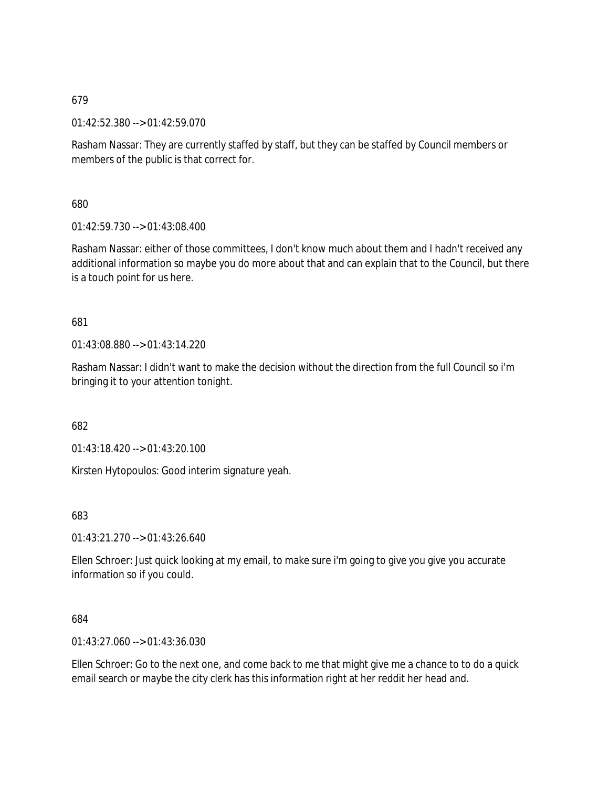01:42:52.380 --> 01:42:59.070

Rasham Nassar: They are currently staffed by staff, but they can be staffed by Council members or members of the public is that correct for.

680

01:42:59.730 --> 01:43:08.400

Rasham Nassar: either of those committees, I don't know much about them and I hadn't received any additional information so maybe you do more about that and can explain that to the Council, but there is a touch point for us here.

# 681

01:43:08.880 --> 01:43:14.220

Rasham Nassar: I didn't want to make the decision without the direction from the full Council so i'm bringing it to your attention tonight.

682

01:43:18.420 --> 01:43:20.100

Kirsten Hytopoulos: Good interim signature yeah.

### 683

01:43:21.270 --> 01:43:26.640

Ellen Schroer: Just quick looking at my email, to make sure i'm going to give you give you accurate information so if you could.

### 684

01:43:27.060 --> 01:43:36.030

Ellen Schroer: Go to the next one, and come back to me that might give me a chance to to do a quick email search or maybe the city clerk has this information right at her reddit her head and.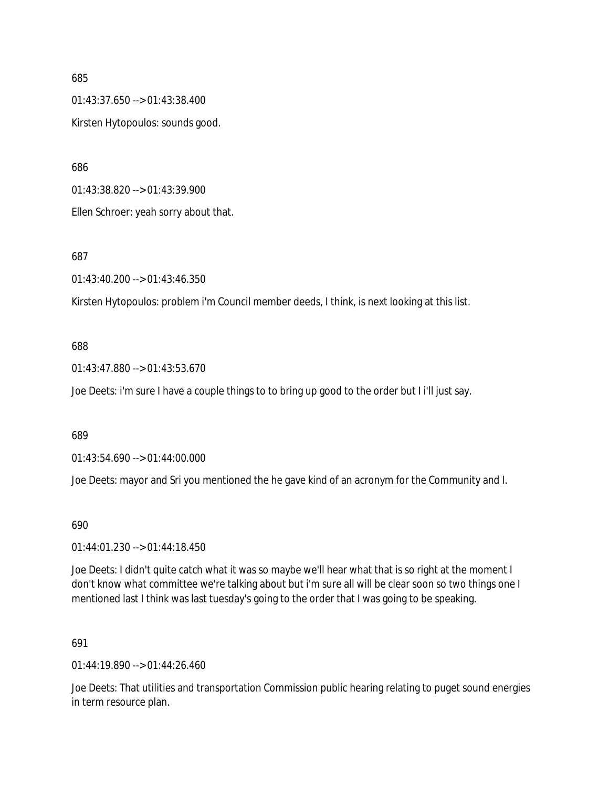01:43:37.650 --> 01:43:38.400 Kirsten Hytopoulos: sounds good.

686

01:43:38.820 --> 01:43:39.900

Ellen Schroer: yeah sorry about that.

687

01:43:40.200 --> 01:43:46.350

Kirsten Hytopoulos: problem i'm Council member deeds, I think, is next looking at this list.

#### 688

01:43:47.880 --> 01:43:53.670

Joe Deets: i'm sure I have a couple things to to bring up good to the order but I i'll just say.

689

01:43:54.690 --> 01:44:00.000

Joe Deets: mayor and Sri you mentioned the he gave kind of an acronym for the Community and I.

690

01:44:01.230 --> 01:44:18.450

Joe Deets: I didn't quite catch what it was so maybe we'll hear what that is so right at the moment I don't know what committee we're talking about but i'm sure all will be clear soon so two things one I mentioned last I think was last tuesday's going to the order that I was going to be speaking.

#### 691

01:44:19.890 --> 01:44:26.460

Joe Deets: That utilities and transportation Commission public hearing relating to puget sound energies in term resource plan.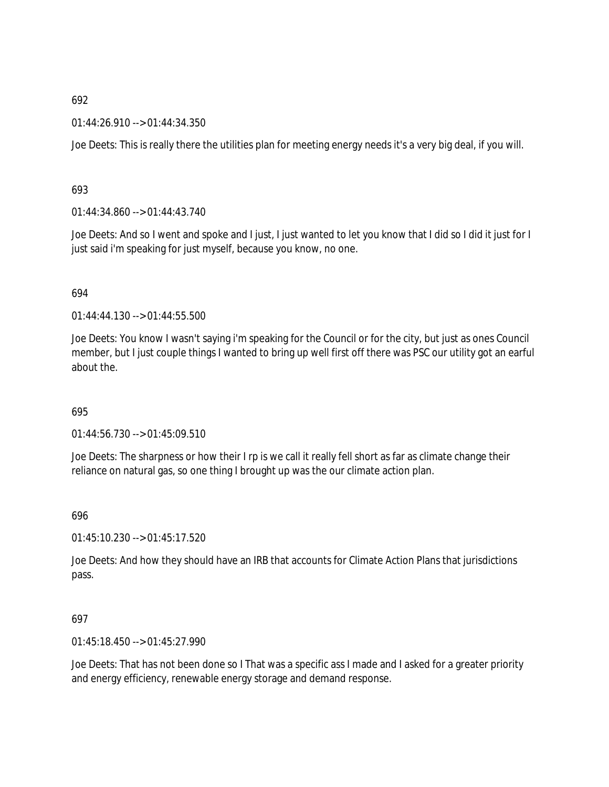01:44:26.910 --> 01:44:34.350

Joe Deets: This is really there the utilities plan for meeting energy needs it's a very big deal, if you will.

### 693

01:44:34.860 --> 01:44:43.740

Joe Deets: And so I went and spoke and I just, I just wanted to let you know that I did so I did it just for I just said i'm speaking for just myself, because you know, no one.

### 694

01:44:44.130 --> 01:44:55.500

Joe Deets: You know I wasn't saying i'm speaking for the Council or for the city, but just as ones Council member, but I just couple things I wanted to bring up well first off there was PSC our utility got an earful about the.

### 695

01:44:56.730 --> 01:45:09.510

Joe Deets: The sharpness or how their I rp is we call it really fell short as far as climate change their reliance on natural gas, so one thing I brought up was the our climate action plan.

#### 696

01:45:10.230 --> 01:45:17.520

Joe Deets: And how they should have an IRB that accounts for Climate Action Plans that jurisdictions pass.

### 697

01:45:18.450 --> 01:45:27.990

Joe Deets: That has not been done so I That was a specific ass I made and I asked for a greater priority and energy efficiency, renewable energy storage and demand response.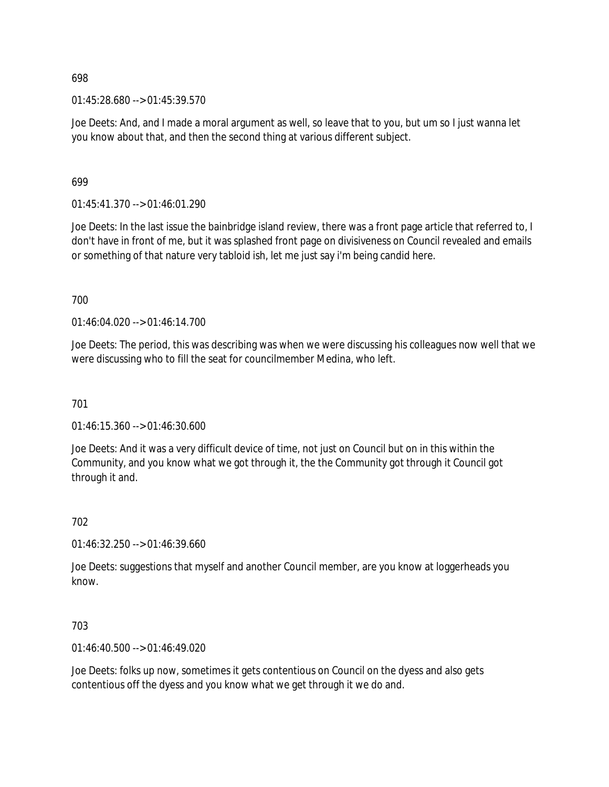01:45:28.680 --> 01:45:39.570

Joe Deets: And, and I made a moral argument as well, so leave that to you, but um so I just wanna let you know about that, and then the second thing at various different subject.

699

01:45:41.370 --> 01:46:01.290

Joe Deets: In the last issue the bainbridge island review, there was a front page article that referred to, I don't have in front of me, but it was splashed front page on divisiveness on Council revealed and emails or something of that nature very tabloid ish, let me just say i'm being candid here.

700

01:46:04.020 --> 01:46:14.700

Joe Deets: The period, this was describing was when we were discussing his colleagues now well that we were discussing who to fill the seat for councilmember Medina, who left.

701

01:46:15.360 --> 01:46:30.600

Joe Deets: And it was a very difficult device of time, not just on Council but on in this within the Community, and you know what we got through it, the the Community got through it Council got through it and.

702

01:46:32.250 --> 01:46:39.660

Joe Deets: suggestions that myself and another Council member, are you know at loggerheads you know.

703

01:46:40.500 --> 01:46:49.020

Joe Deets: folks up now, sometimes it gets contentious on Council on the dyess and also gets contentious off the dyess and you know what we get through it we do and.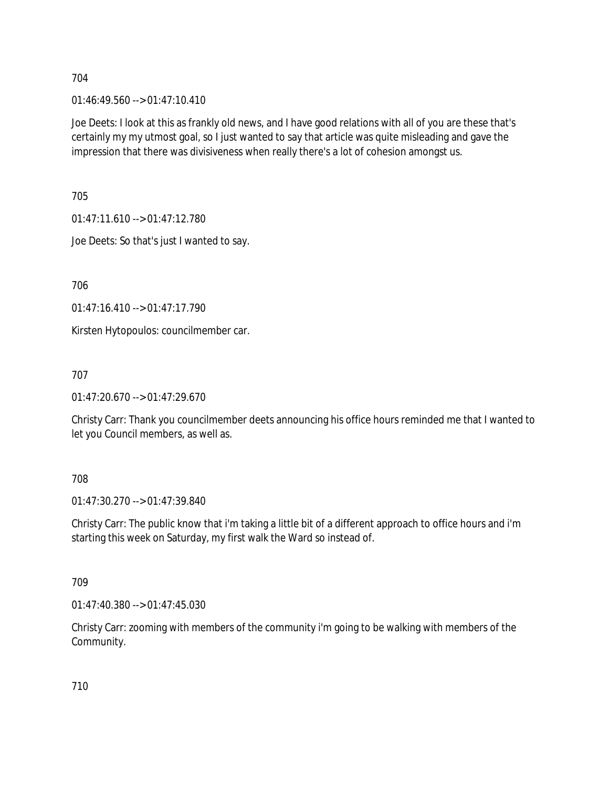01:46:49.560 --> 01:47:10.410

Joe Deets: I look at this as frankly old news, and I have good relations with all of you are these that's certainly my my utmost goal, so I just wanted to say that article was quite misleading and gave the impression that there was divisiveness when really there's a lot of cohesion amongst us.

705

01:47:11.610 --> 01:47:12.780

Joe Deets: So that's just I wanted to say.

706

01:47:16.410 --> 01:47:17.790

Kirsten Hytopoulos: councilmember car.

707

01:47:20.670 --> 01:47:29.670

Christy Carr: Thank you councilmember deets announcing his office hours reminded me that I wanted to let you Council members, as well as.

### 708

01:47:30.270 --> 01:47:39.840

Christy Carr: The public know that i'm taking a little bit of a different approach to office hours and i'm starting this week on Saturday, my first walk the Ward so instead of.

### 709

01:47:40.380 --> 01:47:45.030

Christy Carr: zooming with members of the community i'm going to be walking with members of the Community.

710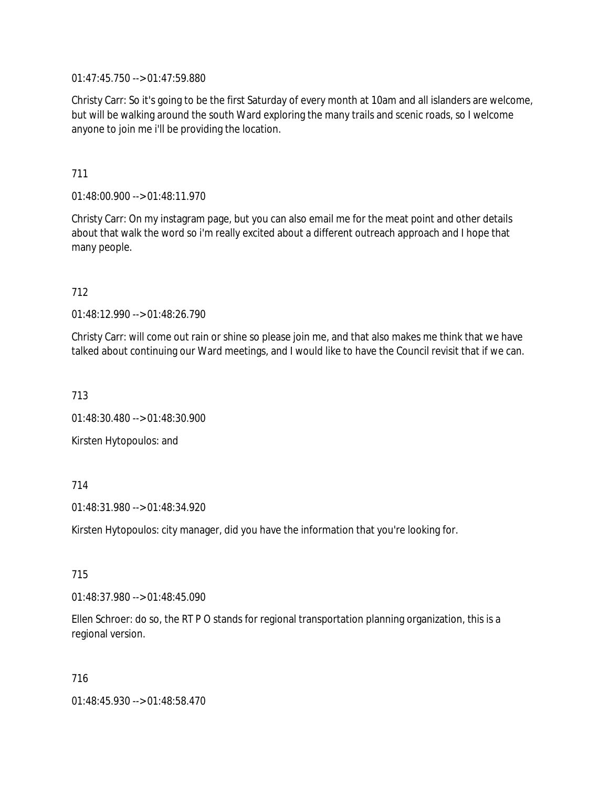01:47:45.750 --> 01:47:59.880

Christy Carr: So it's going to be the first Saturday of every month at 10am and all islanders are welcome, but will be walking around the south Ward exploring the many trails and scenic roads, so I welcome anyone to join me i'll be providing the location.

711

01:48:00.900 --> 01:48:11.970

Christy Carr: On my instagram page, but you can also email me for the meat point and other details about that walk the word so i'm really excited about a different outreach approach and I hope that many people.

712

01:48:12.990 --> 01:48:26.790

Christy Carr: will come out rain or shine so please join me, and that also makes me think that we have talked about continuing our Ward meetings, and I would like to have the Council revisit that if we can.

713

01:48:30.480 --> 01:48:30.900

Kirsten Hytopoulos: and

714

01:48:31.980 --> 01:48:34.920

Kirsten Hytopoulos: city manager, did you have the information that you're looking for.

715

01:48:37.980 --> 01:48:45.090

Ellen Schroer: do so, the RT P O stands for regional transportation planning organization, this is a regional version.

716

01:48:45.930 --> 01:48:58.470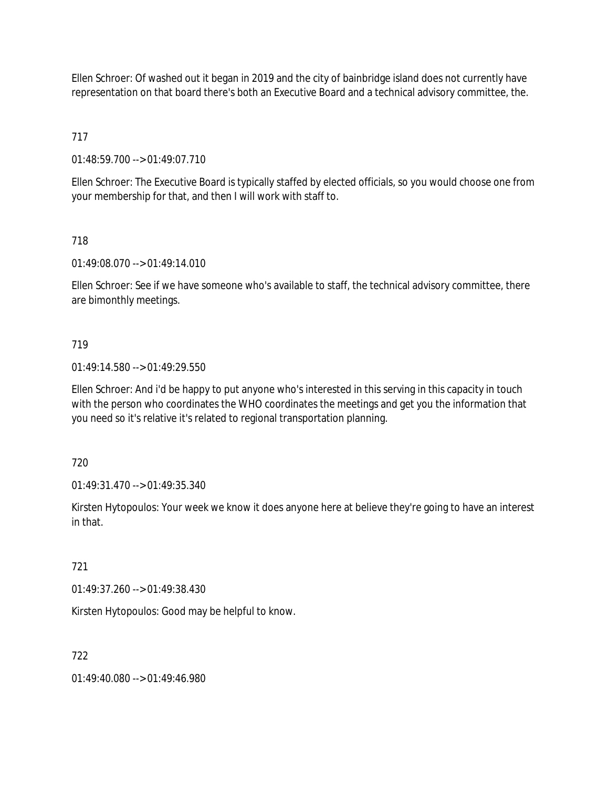Ellen Schroer: Of washed out it began in 2019 and the city of bainbridge island does not currently have representation on that board there's both an Executive Board and a technical advisory committee, the.

717

01:48:59.700 --> 01:49:07.710

Ellen Schroer: The Executive Board is typically staffed by elected officials, so you would choose one from your membership for that, and then I will work with staff to.

718

01:49:08.070 --> 01:49:14.010

Ellen Schroer: See if we have someone who's available to staff, the technical advisory committee, there are bimonthly meetings.

719

01:49:14.580 --> 01:49:29.550

Ellen Schroer: And i'd be happy to put anyone who's interested in this serving in this capacity in touch with the person who coordinates the WHO coordinates the meetings and get you the information that you need so it's relative it's related to regional transportation planning.

720

01:49:31.470 --> 01:49:35.340

Kirsten Hytopoulos: Your week we know it does anyone here at believe they're going to have an interest in that.

721

01:49:37.260 --> 01:49:38.430

Kirsten Hytopoulos: Good may be helpful to know.

722

01:49:40.080 --> 01:49:46.980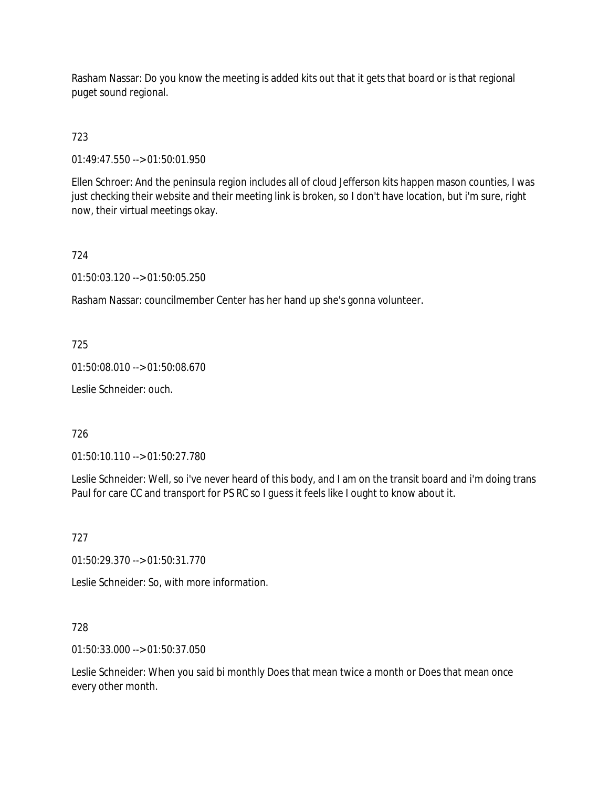Rasham Nassar: Do you know the meeting is added kits out that it gets that board or is that regional puget sound regional.

# 723

01:49:47.550 --> 01:50:01.950

Ellen Schroer: And the peninsula region includes all of cloud Jefferson kits happen mason counties, I was just checking their website and their meeting link is broken, so I don't have location, but i'm sure, right now, their virtual meetings okay.

# 724

01:50:03.120 --> 01:50:05.250

Rasham Nassar: councilmember Center has her hand up she's gonna volunteer.

# 725

01:50:08.010 --> 01:50:08.670

Leslie Schneider: ouch.

# 726

01:50:10.110 --> 01:50:27.780

Leslie Schneider: Well, so i've never heard of this body, and I am on the transit board and i'm doing trans Paul for care CC and transport for PS RC so I guess it feels like I ought to know about it.

### 727

01:50:29.370 --> 01:50:31.770

Leslie Schneider: So, with more information.

### 728

01:50:33.000 --> 01:50:37.050

Leslie Schneider: When you said bi monthly Does that mean twice a month or Does that mean once every other month.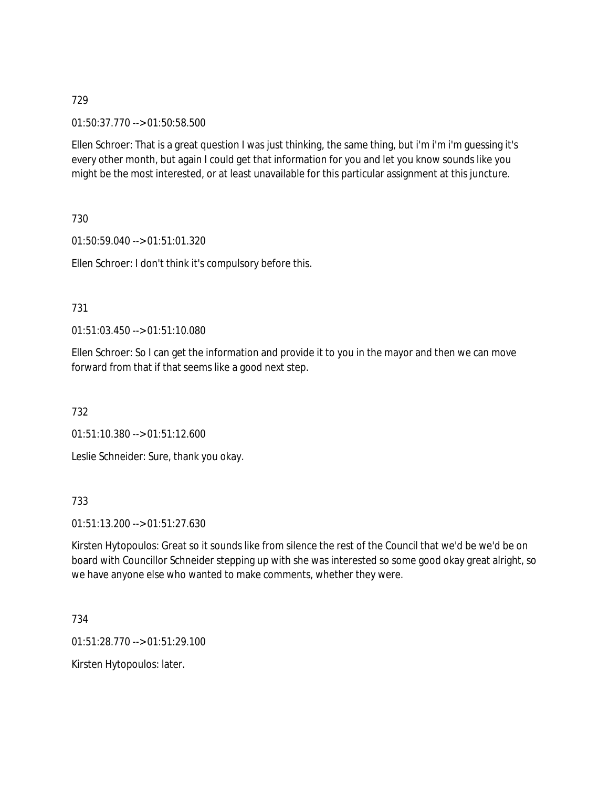01:50:37.770 --> 01:50:58.500

Ellen Schroer: That is a great question I was just thinking, the same thing, but i'm i'm i'm guessing it's every other month, but again I could get that information for you and let you know sounds like you might be the most interested, or at least unavailable for this particular assignment at this juncture.

730

01:50:59.040 --> 01:51:01.320

Ellen Schroer: I don't think it's compulsory before this.

### 731

01:51:03.450 --> 01:51:10.080

Ellen Schroer: So I can get the information and provide it to you in the mayor and then we can move forward from that if that seems like a good next step.

732

01:51:10.380 --> 01:51:12.600

Leslie Schneider: Sure, thank you okay.

733

01:51:13.200 --> 01:51:27.630

Kirsten Hytopoulos: Great so it sounds like from silence the rest of the Council that we'd be we'd be on board with Councillor Schneider stepping up with she was interested so some good okay great alright, so we have anyone else who wanted to make comments, whether they were.

734

01:51:28.770 --> 01:51:29.100

Kirsten Hytopoulos: later.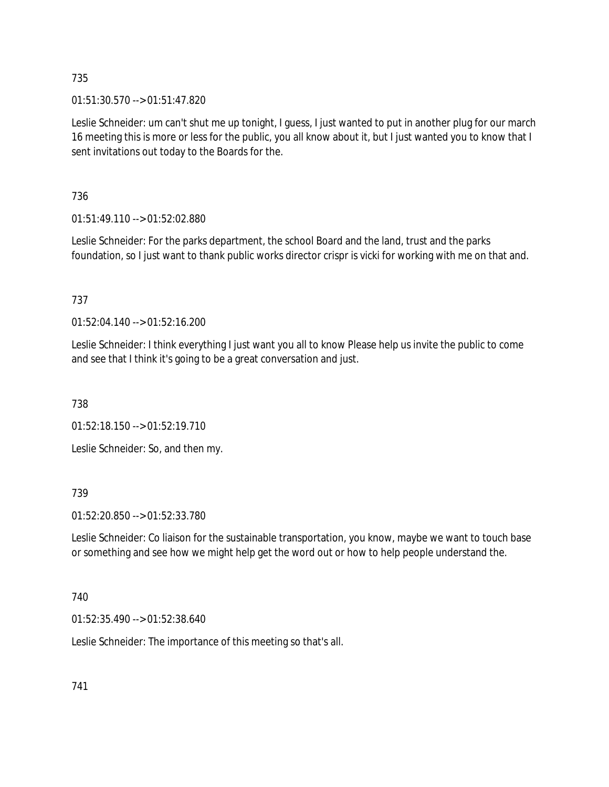01:51:30.570 --> 01:51:47.820

Leslie Schneider: um can't shut me up tonight, I guess, I just wanted to put in another plug for our march 16 meeting this is more or less for the public, you all know about it, but I just wanted you to know that I sent invitations out today to the Boards for the.

736

01:51:49.110 --> 01:52:02.880

Leslie Schneider: For the parks department, the school Board and the land, trust and the parks foundation, so I just want to thank public works director crispr is vicki for working with me on that and.

737

01:52:04.140 --> 01:52:16.200

Leslie Schneider: I think everything I just want you all to know Please help us invite the public to come and see that I think it's going to be a great conversation and just.

738

01:52:18.150 --> 01:52:19.710

Leslie Schneider: So, and then my.

739

01:52:20.850 --> 01:52:33.780

Leslie Schneider: Co liaison for the sustainable transportation, you know, maybe we want to touch base or something and see how we might help get the word out or how to help people understand the.

740

01:52:35.490 --> 01:52:38.640

Leslie Schneider: The importance of this meeting so that's all.

741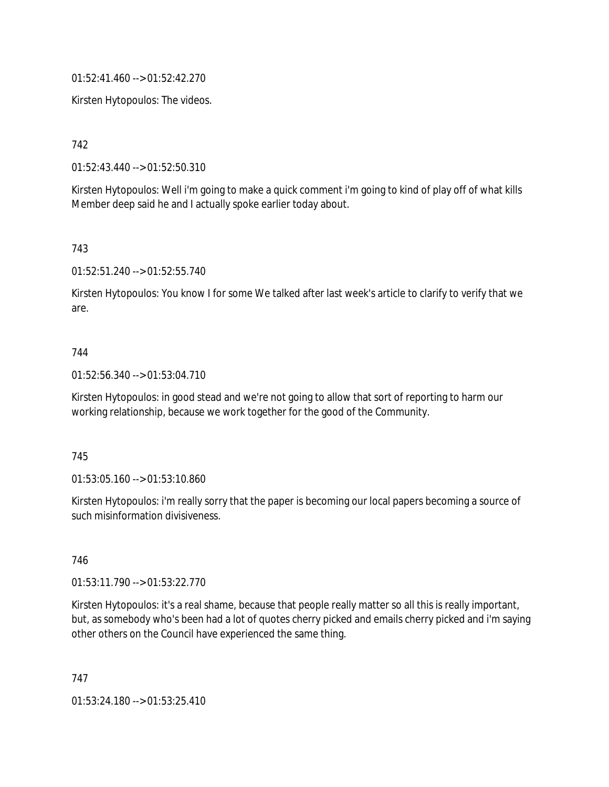01:52:41.460 --> 01:52:42.270

Kirsten Hytopoulos: The videos.

742

01:52:43.440 --> 01:52:50.310

Kirsten Hytopoulos: Well i'm going to make a quick comment i'm going to kind of play off of what kills Member deep said he and I actually spoke earlier today about.

743

01:52:51.240 --> 01:52:55.740

Kirsten Hytopoulos: You know I for some We talked after last week's article to clarify to verify that we are.

#### 744

01:52:56.340 --> 01:53:04.710

Kirsten Hytopoulos: in good stead and we're not going to allow that sort of reporting to harm our working relationship, because we work together for the good of the Community.

#### 745

01:53:05.160 --> 01:53:10.860

Kirsten Hytopoulos: i'm really sorry that the paper is becoming our local papers becoming a source of such misinformation divisiveness.

#### 746

01:53:11.790 --> 01:53:22.770

Kirsten Hytopoulos: it's a real shame, because that people really matter so all this is really important, but, as somebody who's been had a lot of quotes cherry picked and emails cherry picked and i'm saying other others on the Council have experienced the same thing.

747

01:53:24.180 --> 01:53:25.410